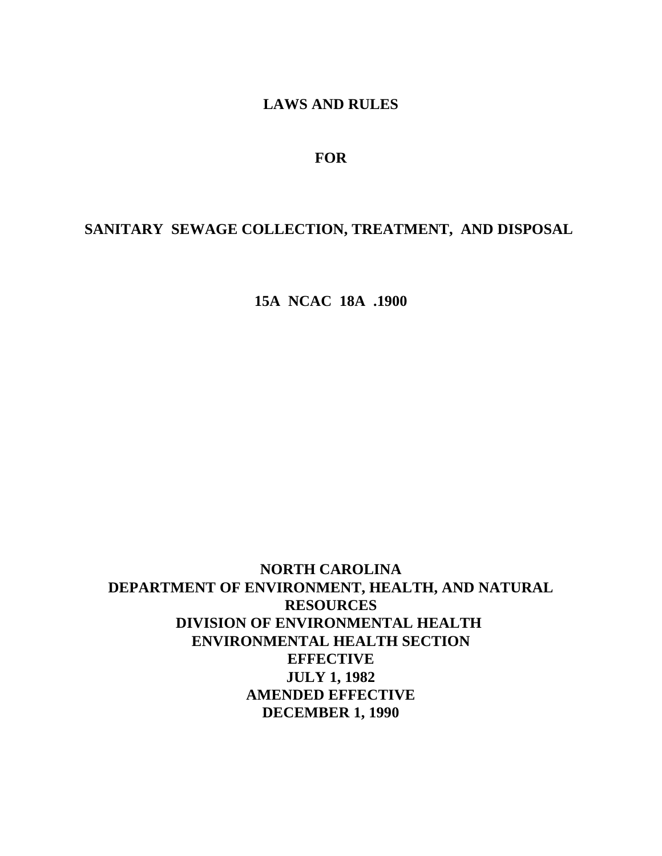# **LAWS AND RULES**

# **FOR**

# **SANITARY SEWAGE COLLECTION, TREATMENT, AND DISPOSAL**

**15A NCAC 18A .1900**

**NORTH CAROLINA DEPARTMENT OF ENVIRONMENT, HEALTH, AND NATURAL RESOURCES DIVISION OF ENVIRONMENTAL HEALTH ENVIRONMENTAL HEALTH SECTION EFFECTIVE JULY 1, 1982 AMENDED EFFECTIVE DECEMBER 1, 1990**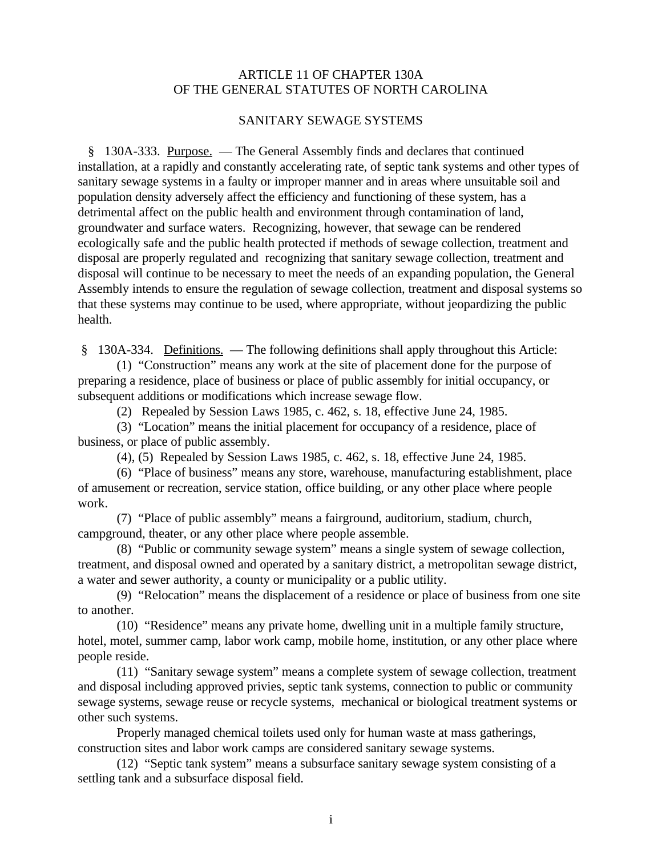# ARTICLE 11 OF CHAPTER 130A OF THE GENERAL STATUTES OF NORTH CAROLINA

### SANITARY SEWAGE SYSTEMS

 § 130A-333. Purpose. — The General Assembly finds and declares that continued installation, at a rapidly and constantly accelerating rate, of septic tank systems and other types of sanitary sewage systems in a faulty or improper manner and in areas where unsuitable soil and population density adversely affect the efficiency and functioning of these system, has a detrimental affect on the public health and environment through contamination of land, groundwater and surface waters. Recognizing, however, that sewage can be rendered ecologically safe and the public health protected if methods of sewage collection, treatment and disposal are properly regulated and recognizing that sanitary sewage collection, treatment and disposal will continue to be necessary to meet the needs of an expanding population, the General Assembly intends to ensure the regulation of sewage collection, treatment and disposal systems so that these systems may continue to be used, where appropriate, without jeopardizing the public health.

§ 130A-334. Definitions. — The following definitions shall apply throughout this Article:

(1) "Construction" means any work at the site of placement done for the purpose of preparing a residence, place of business or place of public assembly for initial occupancy, or subsequent additions or modifications which increase sewage flow.

(2) Repealed by Session Laws 1985, c. 462, s. 18, effective June 24, 1985.

(3) "Location" means the initial placement for occupancy of a residence, place of business, or place of public assembly.

(4), (5) Repealed by Session Laws 1985, c. 462, s. 18, effective June 24, 1985.

(6) "Place of business" means any store, warehouse, manufacturing establishment, place of amusement or recreation, service station, office building, or any other place where people work.

(7) "Place of public assembly" means a fairground, auditorium, stadium, church, campground, theater, or any other place where people assemble.

(8) "Public or community sewage system" means a single system of sewage collection, treatment, and disposal owned and operated by a sanitary district, a metropolitan sewage district, a water and sewer authority, a county or municipality or a public utility.

(9) "Relocation" means the displacement of a residence or place of business from one site to another.

(10) "Residence" means any private home, dwelling unit in a multiple family structure, hotel, motel, summer camp, labor work camp, mobile home, institution, or any other place where people reside.

(11) "Sanitary sewage system" means a complete system of sewage collection, treatment and disposal including approved privies, septic tank systems, connection to public or community sewage systems, sewage reuse or recycle systems, mechanical or biological treatment systems or other such systems.

Properly managed chemical toilets used only for human waste at mass gatherings, construction sites and labor work camps are considered sanitary sewage systems.

(12) "Septic tank system" means a subsurface sanitary sewage system consisting of a settling tank and a subsurface disposal field.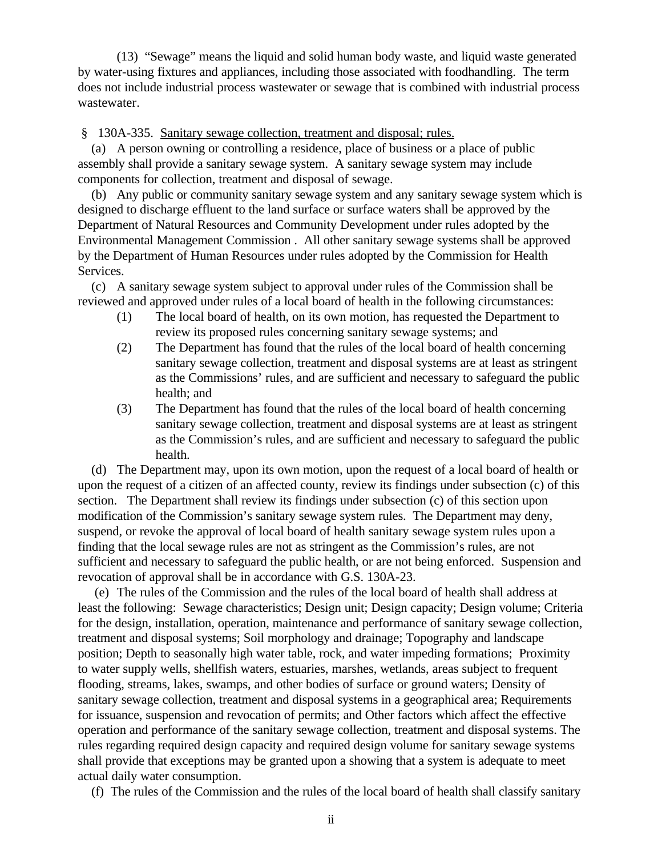(13) "Sewage" means the liquid and solid human body waste, and liquid waste generated by water-using fixtures and appliances, including those associated with foodhandling. The term does not include industrial process wastewater or sewage that is combined with industrial process wastewater.

§ 130A-335. Sanitary sewage collection, treatment and disposal; rules.

 (a) A person owning or controlling a residence, place of business or a place of public assembly shall provide a sanitary sewage system. A sanitary sewage system may include components for collection, treatment and disposal of sewage.

 (b) Any public or community sanitary sewage system and any sanitary sewage system which is designed to discharge effluent to the land surface or surface waters shall be approved by the Department of Natural Resources and Community Development under rules adopted by the Environmental Management Commission . All other sanitary sewage systems shall be approved by the Department of Human Resources under rules adopted by the Commission for Health Services.

 (c) A sanitary sewage system subject to approval under rules of the Commission shall be reviewed and approved under rules of a local board of health in the following circumstances:

- (1) The local board of health, on its own motion, has requested the Department to review its proposed rules concerning sanitary sewage systems; and
- (2) The Department has found that the rules of the local board of health concerning sanitary sewage collection, treatment and disposal systems are at least as stringent as the Commissions' rules, and are sufficient and necessary to safeguard the public health; and
- (3) The Department has found that the rules of the local board of health concerning sanitary sewage collection, treatment and disposal systems are at least as stringent as the Commission's rules, and are sufficient and necessary to safeguard the public health.

 (d) The Department may, upon its own motion, upon the request of a local board of health or upon the request of a citizen of an affected county, review its findings under subsection (c) of this section. The Department shall review its findings under subsection (c) of this section upon modification of the Commission's sanitary sewage system rules. The Department may deny, suspend, or revoke the approval of local board of health sanitary sewage system rules upon a finding that the local sewage rules are not as stringent as the Commission's rules, are not sufficient and necessary to safeguard the public health, or are not being enforced. Suspension and revocation of approval shall be in accordance with G.S. 130A-23.

 (e) The rules of the Commission and the rules of the local board of health shall address at least the following: Sewage characteristics; Design unit; Design capacity; Design volume; Criteria for the design, installation, operation, maintenance and performance of sanitary sewage collection, treatment and disposal systems; Soil morphology and drainage; Topography and landscape position; Depth to seasonally high water table, rock, and water impeding formations; Proximity to water supply wells, shellfish waters, estuaries, marshes, wetlands, areas subject to frequent flooding, streams, lakes, swamps, and other bodies of surface or ground waters; Density of sanitary sewage collection, treatment and disposal systems in a geographical area; Requirements for issuance, suspension and revocation of permits; and Other factors which affect the effective operation and performance of the sanitary sewage collection, treatment and disposal systems. The rules regarding required design capacity and required design volume for sanitary sewage systems shall provide that exceptions may be granted upon a showing that a system is adequate to meet actual daily water consumption.

(f) The rules of the Commission and the rules of the local board of health shall classify sanitary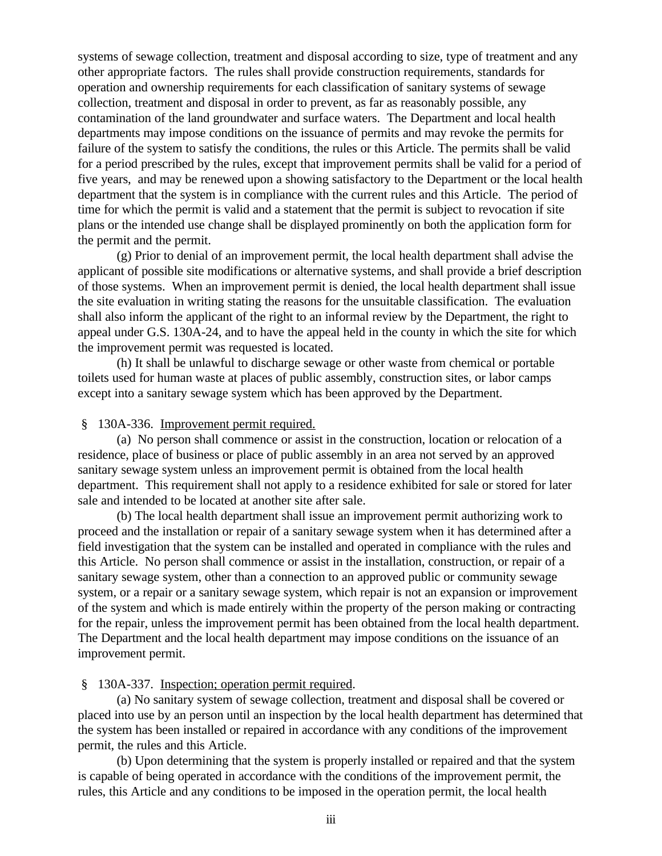systems of sewage collection, treatment and disposal according to size, type of treatment and any other appropriate factors. The rules shall provide construction requirements, standards for operation and ownership requirements for each classification of sanitary systems of sewage collection, treatment and disposal in order to prevent, as far as reasonably possible, any contamination of the land groundwater and surface waters. The Department and local health departments may impose conditions on the issuance of permits and may revoke the permits for failure of the system to satisfy the conditions, the rules or this Article. The permits shall be valid for a period prescribed by the rules, except that improvement permits shall be valid for a period of five years, and may be renewed upon a showing satisfactory to the Department or the local health department that the system is in compliance with the current rules and this Article. The period of time for which the permit is valid and a statement that the permit is subject to revocation if site plans or the intended use change shall be displayed prominently on both the application form for the permit and the permit.

(g) Prior to denial of an improvement permit, the local health department shall advise the applicant of possible site modifications or alternative systems, and shall provide a brief description of those systems. When an improvement permit is denied, the local health department shall issue the site evaluation in writing stating the reasons for the unsuitable classification. The evaluation shall also inform the applicant of the right to an informal review by the Department, the right to appeal under G.S. 130A-24, and to have the appeal held in the county in which the site for which the improvement permit was requested is located.

(h) It shall be unlawful to discharge sewage or other waste from chemical or portable toilets used for human waste at places of public assembly, construction sites, or labor camps except into a sanitary sewage system which has been approved by the Department.

### § 130A-336. Improvement permit required.

(a) No person shall commence or assist in the construction, location or relocation of a residence, place of business or place of public assembly in an area not served by an approved sanitary sewage system unless an improvement permit is obtained from the local health department. This requirement shall not apply to a residence exhibited for sale or stored for later sale and intended to be located at another site after sale.

(b) The local health department shall issue an improvement permit authorizing work to proceed and the installation or repair of a sanitary sewage system when it has determined after a field investigation that the system can be installed and operated in compliance with the rules and this Article. No person shall commence or assist in the installation, construction, or repair of a sanitary sewage system, other than a connection to an approved public or community sewage system, or a repair or a sanitary sewage system, which repair is not an expansion or improvement of the system and which is made entirely within the property of the person making or contracting for the repair, unless the improvement permit has been obtained from the local health department. The Department and the local health department may impose conditions on the issuance of an improvement permit.

### § 130A-337. Inspection; operation permit required.

(a) No sanitary system of sewage collection, treatment and disposal shall be covered or placed into use by an person until an inspection by the local health department has determined that the system has been installed or repaired in accordance with any conditions of the improvement permit, the rules and this Article.

(b) Upon determining that the system is properly installed or repaired and that the system is capable of being operated in accordance with the conditions of the improvement permit, the rules, this Article and any conditions to be imposed in the operation permit, the local health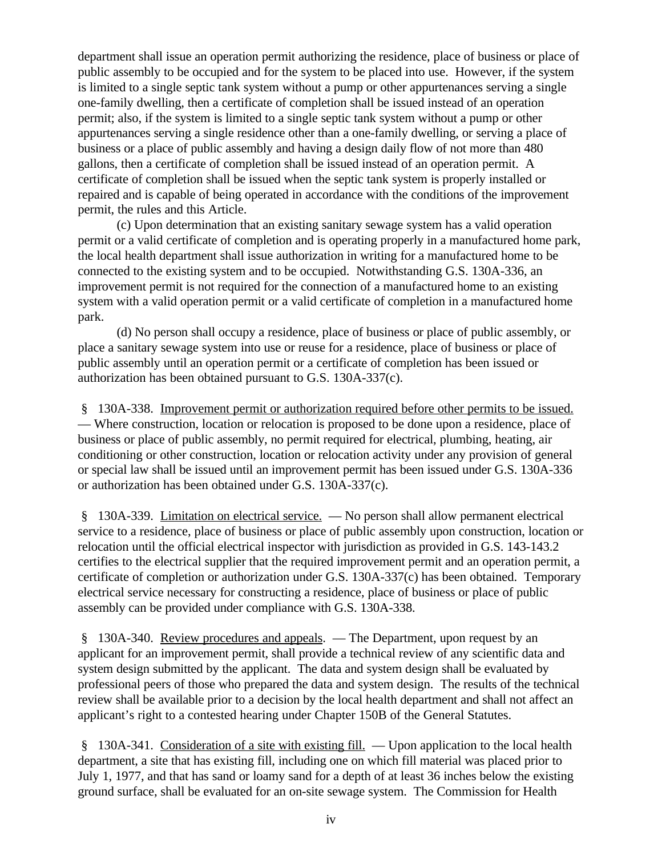department shall issue an operation permit authorizing the residence, place of business or place of public assembly to be occupied and for the system to be placed into use. However, if the system is limited to a single septic tank system without a pump or other appurtenances serving a single one-family dwelling, then a certificate of completion shall be issued instead of an operation permit; also, if the system is limited to a single septic tank system without a pump or other appurtenances serving a single residence other than a one-family dwelling, or serving a place of business or a place of public assembly and having a design daily flow of not more than 480 gallons, then a certificate of completion shall be issued instead of an operation permit. A certificate of completion shall be issued when the septic tank system is properly installed or repaired and is capable of being operated in accordance with the conditions of the improvement permit, the rules and this Article.

(c) Upon determination that an existing sanitary sewage system has a valid operation permit or a valid certificate of completion and is operating properly in a manufactured home park, the local health department shall issue authorization in writing for a manufactured home to be connected to the existing system and to be occupied. Notwithstanding G.S. 130A-336, an improvement permit is not required for the connection of a manufactured home to an existing system with a valid operation permit or a valid certificate of completion in a manufactured home park.

(d) No person shall occupy a residence, place of business or place of public assembly, or place a sanitary sewage system into use or reuse for a residence, place of business or place of public assembly until an operation permit or a certificate of completion has been issued or authorization has been obtained pursuant to G.S. 130A-337(c).

 § 130A-338. Improvement permit or authorization required before other permits to be issued. — Where construction, location or relocation is proposed to be done upon a residence, place of business or place of public assembly, no permit required for electrical, plumbing, heating, air conditioning or other construction, location or relocation activity under any provision of general or special law shall be issued until an improvement permit has been issued under G.S. 130A-336 or authorization has been obtained under G.S. 130A-337(c).

 § 130A-339. Limitation on electrical service. — No person shall allow permanent electrical service to a residence, place of business or place of public assembly upon construction, location or relocation until the official electrical inspector with jurisdiction as provided in G.S. 143-143.2 certifies to the electrical supplier that the required improvement permit and an operation permit, a certificate of completion or authorization under G.S. 130A-337(c) has been obtained. Temporary electrical service necessary for constructing a residence, place of business or place of public assembly can be provided under compliance with G.S. 130A-338.

 § 130A-340. Review procedures and appeals. — The Department, upon request by an applicant for an improvement permit, shall provide a technical review of any scientific data and system design submitted by the applicant. The data and system design shall be evaluated by professional peers of those who prepared the data and system design. The results of the technical review shall be available prior to a decision by the local health department and shall not affect an applicant's right to a contested hearing under Chapter 150B of the General Statutes.

 § 130A-341. Consideration of a site with existing fill. — Upon application to the local health department, a site that has existing fill, including one on which fill material was placed prior to July 1, 1977, and that has sand or loamy sand for a depth of at least 36 inches below the existing ground surface, shall be evaluated for an on-site sewage system. The Commission for Health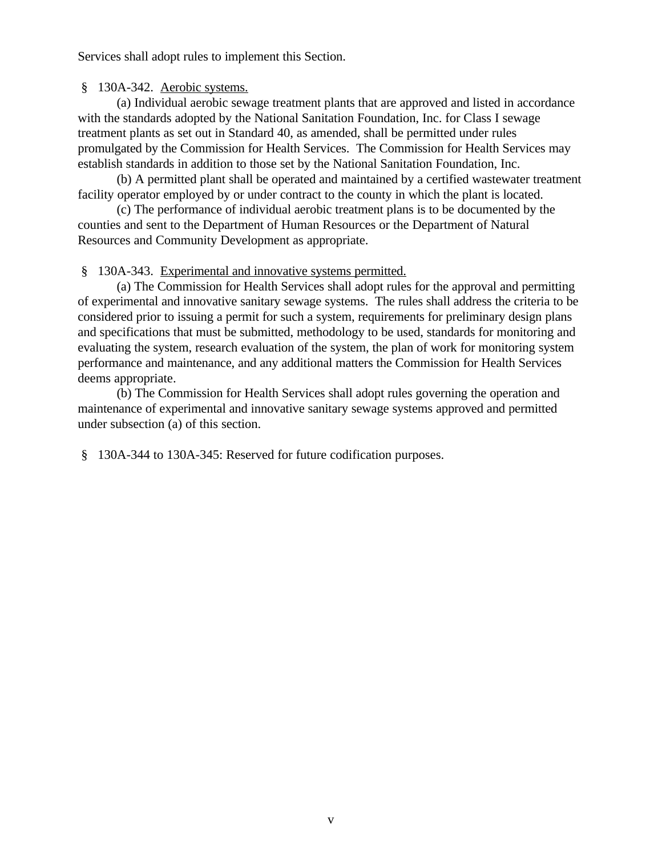Services shall adopt rules to implement this Section.

### § 130A-342. Aerobic systems.

(a) Individual aerobic sewage treatment plants that are approved and listed in accordance with the standards adopted by the National Sanitation Foundation, Inc. for Class I sewage treatment plants as set out in Standard 40, as amended, shall be permitted under rules promulgated by the Commission for Health Services. The Commission for Health Services may establish standards in addition to those set by the National Sanitation Foundation, Inc.

(b) A permitted plant shall be operated and maintained by a certified wastewater treatment facility operator employed by or under contract to the county in which the plant is located.

(c) The performance of individual aerobic treatment plans is to be documented by the counties and sent to the Department of Human Resources or the Department of Natural Resources and Community Development as appropriate.

### § 130A-343. Experimental and innovative systems permitted.

(a) The Commission for Health Services shall adopt rules for the approval and permitting of experimental and innovative sanitary sewage systems. The rules shall address the criteria to be considered prior to issuing a permit for such a system, requirements for preliminary design plans and specifications that must be submitted, methodology to be used, standards for monitoring and evaluating the system, research evaluation of the system, the plan of work for monitoring system performance and maintenance, and any additional matters the Commission for Health Services deems appropriate.

(b) The Commission for Health Services shall adopt rules governing the operation and maintenance of experimental and innovative sanitary sewage systems approved and permitted under subsection (a) of this section.

§ 130A-344 to 130A-345: Reserved for future codification purposes.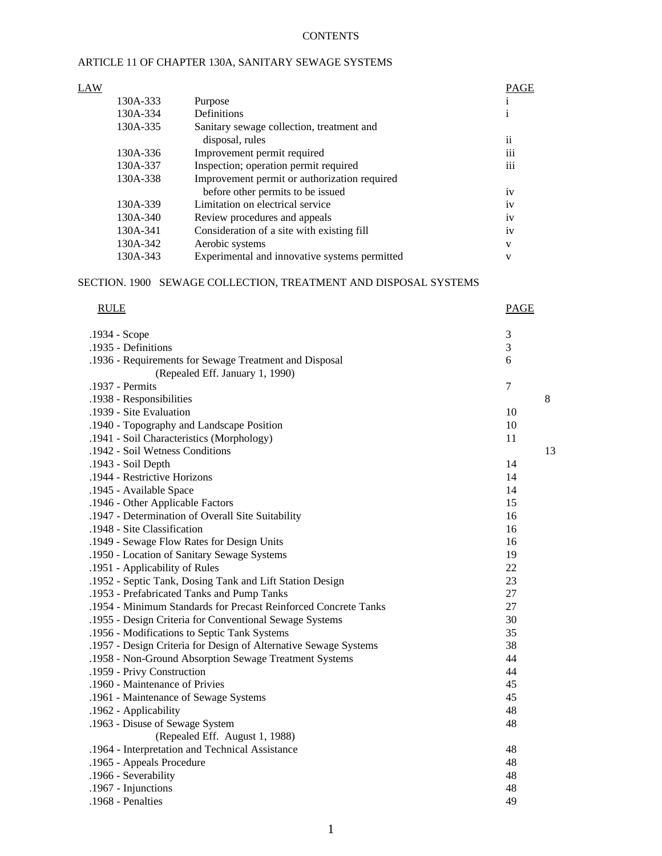### **CONTENTS**

### ARTICLE 11 OF CHAPTER 130A, SANITARY SEWAGE SYSTEMS

| LAW |          |                                               | PAGE            |
|-----|----------|-----------------------------------------------|-----------------|
|     | 130A-333 | Purpose                                       |                 |
|     | 130A-334 | Definitions                                   |                 |
|     | 130A-335 | Sanitary sewage collection, treatment and     |                 |
|     |          | disposal, rules                               | ii              |
|     | 130A-336 | Improvement permit required                   | $\cdots$<br>111 |
|     | 130A-337 | Inspection; operation permit required         | 111             |
|     | 130A-338 | Improvement permit or authorization required  |                 |
|     |          | before other permits to be issued             | iv              |
|     | 130A-339 | Limitation on electrical service              | iv              |
|     | 130A-340 | Review procedures and appeals                 | iv              |
|     | 130A-341 | Consideration of a site with existing fill    | 1V              |
|     | 130A-342 | Aerobic systems                               | V               |
|     | 130A-343 | Experimental and innovative systems permitted | V               |

# SECTION. 1900 SEWAGE COLLECTION, TREATMENT AND DISPOSAL SYSTEMS

#### RULE PAGE PAGE AND PAGE AND RELEASE AND RELEASE AND RELEASE AND RELEASE AND RELEASE AND RELEASE AND RELEASE AND RELEASE AND RELEASE AND RELEASE AND RELEASE AND RELEASE AND RELEASE AND RELEASE AND RELEASE AND RELEASE AND RE

| .1934 - Scope                                                    | $\mathfrak{Z}$ |
|------------------------------------------------------------------|----------------|
| .1935 - Definitions                                              | 3              |
| .1936 - Requirements for Sewage Treatment and Disposal           | 6              |
| (Repealed Eff. January 1, 1990)                                  |                |
| .1937 - Permits                                                  | $\tau$         |
| .1938 - Responsibilities                                         | 8              |
| .1939 - Site Evaluation                                          | 10             |
| .1940 - Topography and Landscape Position                        | 10             |
| .1941 - Soil Characteristics (Morphology)                        | 11             |
| .1942 - Soil Wetness Conditions                                  | 13             |
| .1943 - Soil Depth                                               | 14             |
| .1944 - Restrictive Horizons                                     | 14             |
| .1945 - Available Space                                          | 14             |
| .1946 - Other Applicable Factors                                 | 15             |
| .1947 - Determination of Overall Site Suitability                | 16             |
| .1948 - Site Classification                                      | 16             |
| .1949 - Sewage Flow Rates for Design Units                       | 16             |
| .1950 - Location of Sanitary Sewage Systems                      | 19             |
| .1951 - Applicability of Rules                                   | 22             |
| .1952 - Septic Tank, Dosing Tank and Lift Station Design         | 23             |
| .1953 - Prefabricated Tanks and Pump Tanks                       | 27             |
| .1954 - Minimum Standards for Precast Reinforced Concrete Tanks  | 27             |
| .1955 - Design Criteria for Conventional Sewage Systems          | 30             |
| .1956 - Modifications to Septic Tank Systems                     | 35             |
| .1957 - Design Criteria for Design of Alternative Sewage Systems | 38             |
| .1958 - Non-Ground Absorption Sewage Treatment Systems           | 44             |
| .1959 - Privy Construction                                       | 44             |
| .1960 - Maintenance of Privies                                   | 45             |
| .1961 - Maintenance of Sewage Systems                            | 45             |
| .1962 - Applicability                                            | 48             |
| .1963 - Disuse of Sewage System                                  | 48             |
| (Repealed Eff. August 1, 1988)                                   |                |
| .1964 - Interpretation and Technical Assistance                  | 48             |
| .1965 - Appeals Procedure                                        | 48             |
| .1966 - Severability                                             | 48             |
| .1967 - Injunctions                                              | 48             |
| .1968 - Penalties                                                | 49             |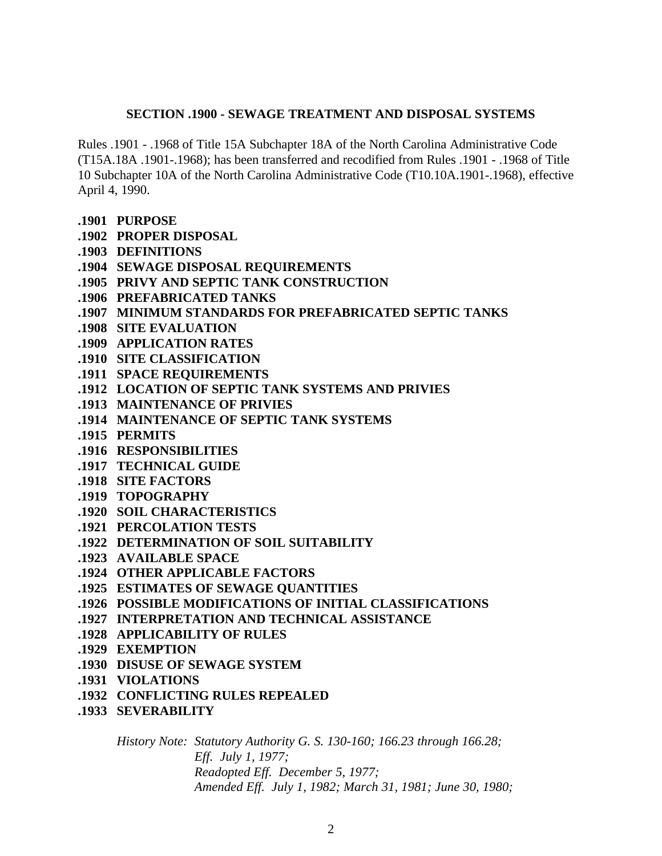## **SECTION .1900 - SEWAGE TREATMENT AND DISPOSAL SYSTEMS**

Rules .1901 - .1968 of Title 15A Subchapter 18A of the North Carolina Administrative Code (T15A.18A .1901-.1968); has been transferred and recodified from Rules .1901 - .1968 of Title 10 Subchapter 10A of the North Carolina Administrative Code (T10.10A.1901-.1968), effective April 4, 1990.

- **.1901 PURPOSE**
- **.1902 PROPER DISPOSAL**
- **.1903 DEFINITIONS**
- **.1904 SEWAGE DISPOSAL REQUIREMENTS**
- **.1905 PRIVY AND SEPTIC TANK CONSTRUCTION**
- **.1906 PREFABRICATED TANKS**
- **.1907 MINIMUM STANDARDS FOR PREFABRICATED SEPTIC TANKS**
- **.1908 SITE EVALUATION**
- **.1909 APPLICATION RATES**
- **.1910 SITE CLASSIFICATION**
- **.1911 SPACE REQUIREMENTS**
- **.1912 LOCATION OF SEPTIC TANK SYSTEMS AND PRIVIES**
- **.1913 MAINTENANCE OF PRIVIES**
- **.1914 MAINTENANCE OF SEPTIC TANK SYSTEMS**
- **.1915 PERMITS**
- **.1916 RESPONSIBILITIES**
- **.1917 TECHNICAL GUIDE**
- **.1918 SITE FACTORS**
- **.1919 TOPOGRAPHY**
- **.1920 SOIL CHARACTERISTICS**
- **.1921 PERCOLATION TESTS**
- **.1922 DETERMINATION OF SOIL SUITABILITY**
- **.1923 AVAILABLE SPACE**
- **.1924 OTHER APPLICABLE FACTORS**
- **.1925 ESTIMATES OF SEWAGE QUANTITIES**
- **.1926 POSSIBLE MODIFICATIONS OF INITIAL CLASSIFICATIONS**
- **.1927 INTERPRETATION AND TECHNICAL ASSISTANCE**
- **.1928 APPLICABILITY OF RULES**
- **.1929 EXEMPTION**
- **.1930 DISUSE OF SEWAGE SYSTEM**
- **.1931 VIOLATIONS**
- **.1932 CONFLICTING RULES REPEALED**
- **.1933 SEVERABILITY**

*History Note: Statutory Authority G. S. 130-160; 166.23 through 166.28; Eff. July 1, 1977; Readopted Eff. December 5, 1977; Amended Eff. July 1, 1982; March 31, 1981; June 30, 1980;*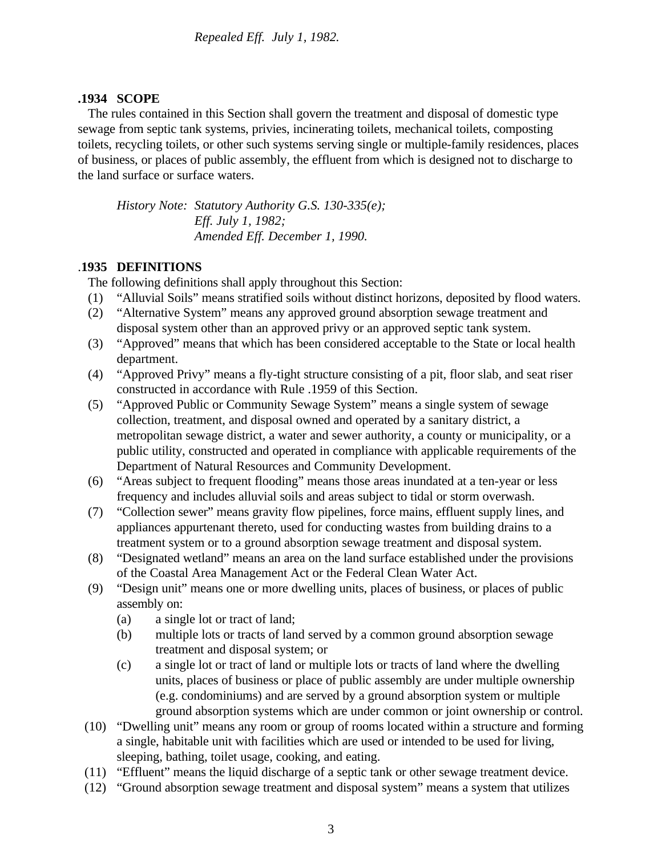# **.1934 SCOPE**

 The rules contained in this Section shall govern the treatment and disposal of domestic type sewage from septic tank systems, privies, incinerating toilets, mechanical toilets, composting toilets, recycling toilets, or other such systems serving single or multiple-family residences, places of business, or places of public assembly, the effluent from which is designed not to discharge to the land surface or surface waters.

*History Note: Statutory Authority G.S. 130-335(e); Eff. July 1, 1982; Amended Eff. December 1, 1990.*

# .**1935 DEFINITIONS**

The following definitions shall apply throughout this Section:

- (1) "Alluvial Soils" means stratified soils without distinct horizons, deposited by flood waters.
- (2) "Alternative System" means any approved ground absorption sewage treatment and disposal system other than an approved privy or an approved septic tank system.
- (3) "Approved" means that which has been considered acceptable to the State or local health department.
- (4) "Approved Privy" means a fly-tight structure consisting of a pit, floor slab, and seat riser constructed in accordance with Rule .1959 of this Section.
- (5) "Approved Public or Community Sewage System" means a single system of sewage collection, treatment, and disposal owned and operated by a sanitary district, a metropolitan sewage district, a water and sewer authority, a county or municipality, or a public utility, constructed and operated in compliance with applicable requirements of the Department of Natural Resources and Community Development.
- (6) "Areas subject to frequent flooding" means those areas inundated at a ten-year or less frequency and includes alluvial soils and areas subject to tidal or storm overwash.
- (7) "Collection sewer" means gravity flow pipelines, force mains, effluent supply lines, and appliances appurtenant thereto, used for conducting wastes from building drains to a treatment system or to a ground absorption sewage treatment and disposal system.
- (8) "Designated wetland" means an area on the land surface established under the provisions of the Coastal Area Management Act or the Federal Clean Water Act.
- (9) "Design unit" means one or more dwelling units, places of business, or places of public assembly on:
	- (a) a single lot or tract of land;
	- (b) multiple lots or tracts of land served by a common ground absorption sewage treatment and disposal system; or
	- (c) a single lot or tract of land or multiple lots or tracts of land where the dwelling units, places of business or place of public assembly are under multiple ownership (e.g. condominiums) and are served by a ground absorption system or multiple ground absorption systems which are under common or joint ownership or control.
- (10) "Dwelling unit" means any room or group of rooms located within a structure and forming a single, habitable unit with facilities which are used or intended to be used for living, sleeping, bathing, toilet usage, cooking, and eating.
- (11) "Effluent" means the liquid discharge of a septic tank or other sewage treatment device.
- (12) "Ground absorption sewage treatment and disposal system" means a system that utilizes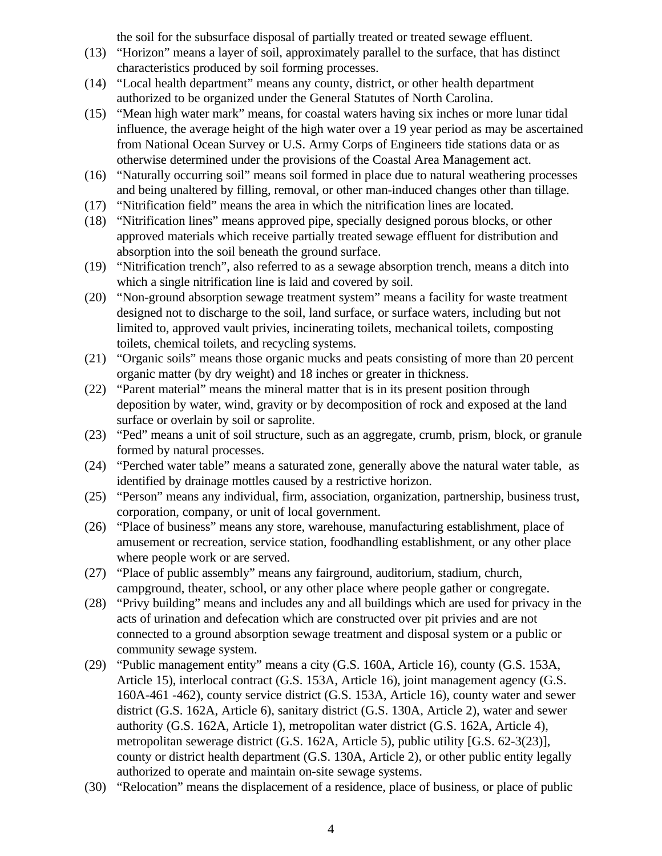the soil for the subsurface disposal of partially treated or treated sewage effluent.

- (13) "Horizon" means a layer of soil, approximately parallel to the surface, that has distinct characteristics produced by soil forming processes.
- (14) "Local health department" means any county, district, or other health department authorized to be organized under the General Statutes of North Carolina.
- (15) "Mean high water mark" means, for coastal waters having six inches or more lunar tidal influence, the average height of the high water over a 19 year period as may be ascertained from National Ocean Survey or U.S. Army Corps of Engineers tide stations data or as otherwise determined under the provisions of the Coastal Area Management act.
- (16) "Naturally occurring soil" means soil formed in place due to natural weathering processes and being unaltered by filling, removal, or other man-induced changes other than tillage.
- (17) "Nitrification field" means the area in which the nitrification lines are located.
- (18) "Nitrification lines" means approved pipe, specially designed porous blocks, or other approved materials which receive partially treated sewage effluent for distribution and absorption into the soil beneath the ground surface.
- (19) "Nitrification trench", also referred to as a sewage absorption trench, means a ditch into which a single nitrification line is laid and covered by soil.
- (20) "Non-ground absorption sewage treatment system" means a facility for waste treatment designed not to discharge to the soil, land surface, or surface waters, including but not limited to, approved vault privies, incinerating toilets, mechanical toilets, composting toilets, chemical toilets, and recycling systems.
- (21) "Organic soils" means those organic mucks and peats consisting of more than 20 percent organic matter (by dry weight) and 18 inches or greater in thickness.
- (22) "Parent material" means the mineral matter that is in its present position through deposition by water, wind, gravity or by decomposition of rock and exposed at the land surface or overlain by soil or saprolite.
- (23) "Ped" means a unit of soil structure, such as an aggregate, crumb, prism, block, or granule formed by natural processes.
- (24) "Perched water table" means a saturated zone, generally above the natural water table, as identified by drainage mottles caused by a restrictive horizon.
- (25) "Person" means any individual, firm, association, organization, partnership, business trust, corporation, company, or unit of local government.
- (26) "Place of business" means any store, warehouse, manufacturing establishment, place of amusement or recreation, service station, foodhandling establishment, or any other place where people work or are served.
- (27) "Place of public assembly" means any fairground, auditorium, stadium, church, campground, theater, school, or any other place where people gather or congregate.
- (28) "Privy building" means and includes any and all buildings which are used for privacy in the acts of urination and defecation which are constructed over pit privies and are not connected to a ground absorption sewage treatment and disposal system or a public or community sewage system.
- (29) "Public management entity" means a city (G.S. 160A, Article 16), county (G.S. 153A, Article 15), interlocal contract (G.S. 153A, Article 16), joint management agency (G.S. 160A-461 -462), county service district (G.S. 153A, Article 16), county water and sewer district (G.S. 162A, Article 6), sanitary district (G.S. 130A, Article 2), water and sewer authority (G.S. 162A, Article 1), metropolitan water district (G.S. 162A, Article 4), metropolitan sewerage district (G.S. 162A, Article 5), public utility [G.S. 62-3(23)], county or district health department (G.S. 130A, Article 2), or other public entity legally authorized to operate and maintain on-site sewage systems.
- (30) "Relocation" means the displacement of a residence, place of business, or place of public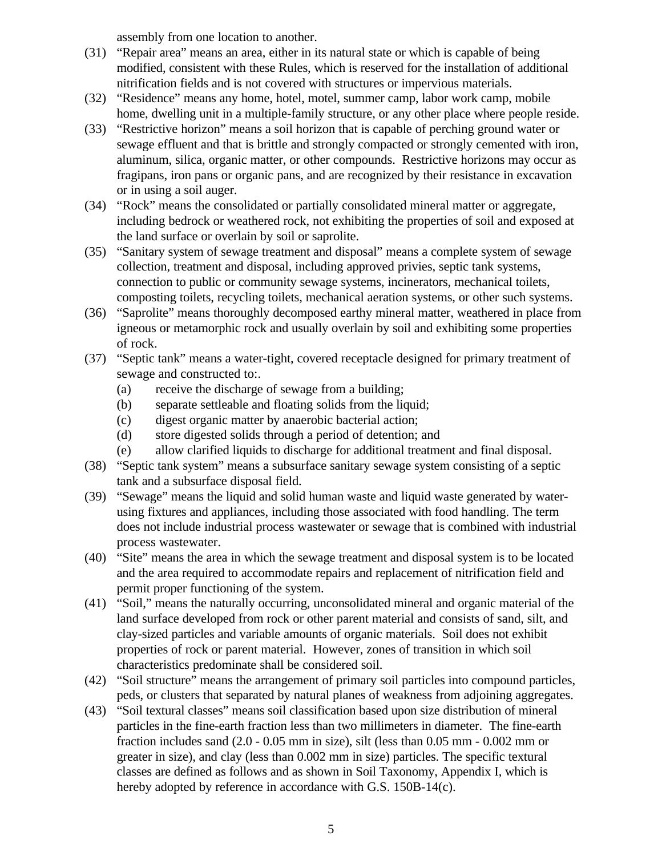assembly from one location to another.

- (31) "Repair area" means an area, either in its natural state or which is capable of being modified, consistent with these Rules, which is reserved for the installation of additional nitrification fields and is not covered with structures or impervious materials.
- (32) "Residence" means any home, hotel, motel, summer camp, labor work camp, mobile home, dwelling unit in a multiple-family structure, or any other place where people reside.
- (33) "Restrictive horizon" means a soil horizon that is capable of perching ground water or sewage effluent and that is brittle and strongly compacted or strongly cemented with iron, aluminum, silica, organic matter, or other compounds. Restrictive horizons may occur as fragipans, iron pans or organic pans, and are recognized by their resistance in excavation or in using a soil auger.
- (34) "Rock" means the consolidated or partially consolidated mineral matter or aggregate, including bedrock or weathered rock, not exhibiting the properties of soil and exposed at the land surface or overlain by soil or saprolite.
- (35) "Sanitary system of sewage treatment and disposal" means a complete system of sewage collection, treatment and disposal, including approved privies, septic tank systems, connection to public or community sewage systems, incinerators, mechanical toilets, composting toilets, recycling toilets, mechanical aeration systems, or other such systems.
- (36) "Saprolite" means thoroughly decomposed earthy mineral matter, weathered in place from igneous or metamorphic rock and usually overlain by soil and exhibiting some properties of rock.
- (37) "Septic tank" means a water-tight, covered receptacle designed for primary treatment of sewage and constructed to:.
	- (a) receive the discharge of sewage from a building;
	- (b) separate settleable and floating solids from the liquid;
	- (c) digest organic matter by anaerobic bacterial action;
	- (d) store digested solids through a period of detention; and
	- (e) allow clarified liquids to discharge for additional treatment and final disposal.
- (38) "Septic tank system" means a subsurface sanitary sewage system consisting of a septic tank and a subsurface disposal field.
- (39) "Sewage" means the liquid and solid human waste and liquid waste generated by waterusing fixtures and appliances, including those associated with food handling. The term does not include industrial process wastewater or sewage that is combined with industrial process wastewater.
- (40) "Site" means the area in which the sewage treatment and disposal system is to be located and the area required to accommodate repairs and replacement of nitrification field and permit proper functioning of the system.
- (41) "Soil," means the naturally occurring, unconsolidated mineral and organic material of the land surface developed from rock or other parent material and consists of sand, silt, and clay-sized particles and variable amounts of organic materials. Soil does not exhibit properties of rock or parent material. However, zones of transition in which soil characteristics predominate shall be considered soil.
- (42) "Soil structure" means the arrangement of primary soil particles into compound particles, peds, or clusters that separated by natural planes of weakness from adjoining aggregates.
- (43) "Soil textural classes" means soil classification based upon size distribution of mineral particles in the fine-earth fraction less than two millimeters in diameter. The fine-earth fraction includes sand (2.0 - 0.05 mm in size), silt (less than 0.05 mm - 0.002 mm or greater in size), and clay (less than 0.002 mm in size) particles. The specific textural classes are defined as follows and as shown in Soil Taxonomy, Appendix I, which is hereby adopted by reference in accordance with G.S. 150B-14(c).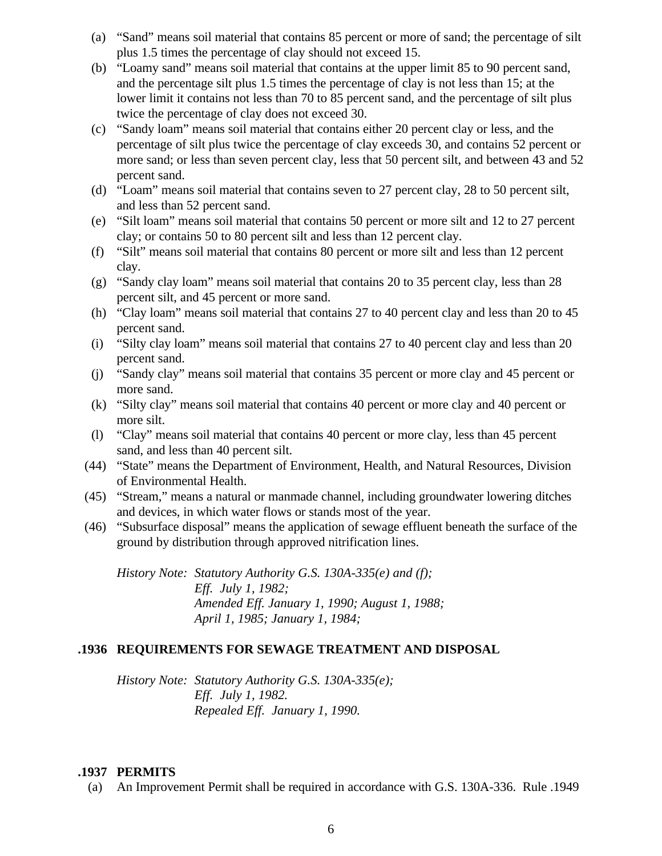- (a) "Sand" means soil material that contains 85 percent or more of sand; the percentage of silt plus 1.5 times the percentage of clay should not exceed 15.
- (b) "Loamy sand" means soil material that contains at the upper limit 85 to 90 percent sand, and the percentage silt plus 1.5 times the percentage of clay is not less than 15; at the lower limit it contains not less than 70 to 85 percent sand, and the percentage of silt plus twice the percentage of clay does not exceed 30.
- (c) "Sandy loam" means soil material that contains either 20 percent clay or less, and the percentage of silt plus twice the percentage of clay exceeds 30, and contains 52 percent or more sand; or less than seven percent clay, less that 50 percent silt, and between 43 and 52 percent sand.
- (d) "Loam" means soil material that contains seven to 27 percent clay, 28 to 50 percent silt, and less than 52 percent sand.
- (e) "Silt loam" means soil material that contains 50 percent or more silt and 12 to 27 percent clay; or contains 50 to 80 percent silt and less than 12 percent clay.
- (f) "Silt" means soil material that contains 80 percent or more silt and less than 12 percent clay.
- (g) "Sandy clay loam" means soil material that contains 20 to 35 percent clay, less than 28 percent silt, and 45 percent or more sand.
- (h) "Clay loam" means soil material that contains 27 to 40 percent clay and less than 20 to 45 percent sand.
- (i) "Silty clay loam" means soil material that contains 27 to 40 percent clay and less than 20 percent sand.
- (j) "Sandy clay" means soil material that contains 35 percent or more clay and 45 percent or more sand.
- (k) "Silty clay" means soil material that contains 40 percent or more clay and 40 percent or more silt.
- (l) "Clay" means soil material that contains 40 percent or more clay, less than 45 percent sand, and less than 40 percent silt.
- (44) "State" means the Department of Environment, Health, and Natural Resources, Division of Environmental Health.
- (45) "Stream," means a natural or manmade channel, including groundwater lowering ditches and devices, in which water flows or stands most of the year.
- (46) "Subsurface disposal" means the application of sewage effluent beneath the surface of the ground by distribution through approved nitrification lines.

*History Note: Statutory Authority G.S. 130A-335(e) and (f); Eff. July 1, 1982; Amended Eff. January 1, 1990; August 1, 1988; April 1, 1985; January 1, 1984;* 

# **.1936 REQUIREMENTS FOR SEWAGE TREATMENT AND DISPOSAL**

*History Note: Statutory Authority G.S. 130A-335(e); Eff. July 1, 1982. Repealed Eff. January 1, 1990.*

## **.1937 PERMITS**

(a) An Improvement Permit shall be required in accordance with G.S. 130A-336. Rule .1949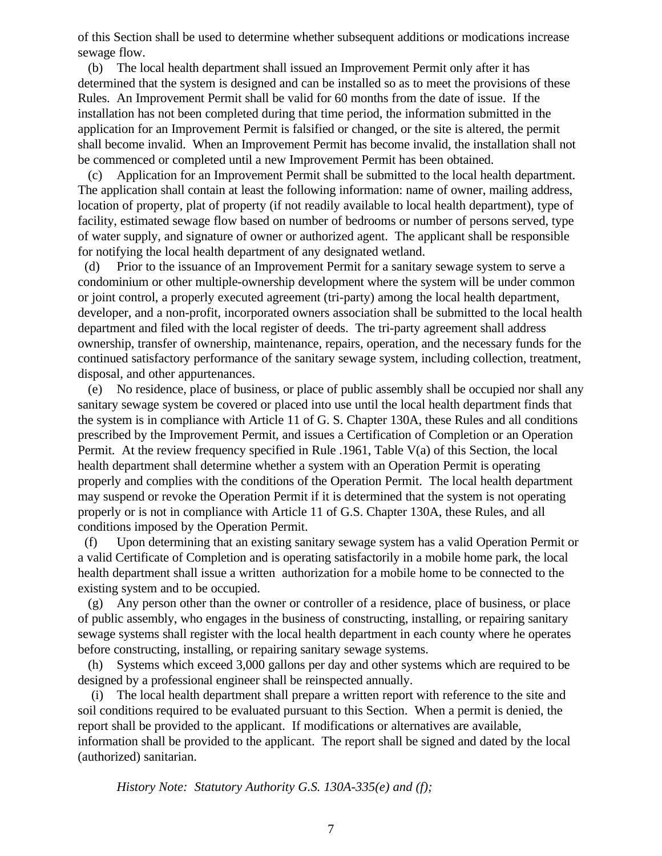of this Section shall be used to determine whether subsequent additions or modications increase sewage flow.

 (b) The local health department shall issued an Improvement Permit only after it has determined that the system is designed and can be installed so as to meet the provisions of these Rules. An Improvement Permit shall be valid for 60 months from the date of issue. If the installation has not been completed during that time period, the information submitted in the application for an Improvement Permit is falsified or changed, or the site is altered, the permit shall become invalid. When an Improvement Permit has become invalid, the installation shall not be commenced or completed until a new Improvement Permit has been obtained.

 (c) Application for an Improvement Permit shall be submitted to the local health department. The application shall contain at least the following information: name of owner, mailing address, location of property, plat of property (if not readily available to local health department), type of facility, estimated sewage flow based on number of bedrooms or number of persons served, type of water supply, and signature of owner or authorized agent. The applicant shall be responsible for notifying the local health department of any designated wetland.

 (d) Prior to the issuance of an Improvement Permit for a sanitary sewage system to serve a condominium or other multiple-ownership development where the system will be under common or joint control, a properly executed agreement (tri-party) among the local health department, developer, and a non-profit, incorporated owners association shall be submitted to the local health department and filed with the local register of deeds. The tri-party agreement shall address ownership, transfer of ownership, maintenance, repairs, operation, and the necessary funds for the continued satisfactory performance of the sanitary sewage system, including collection, treatment, disposal, and other appurtenances.

 (e) No residence, place of business, or place of public assembly shall be occupied nor shall any sanitary sewage system be covered or placed into use until the local health department finds that the system is in compliance with Article 11 of G. S. Chapter 130A, these Rules and all conditions prescribed by the Improvement Permit, and issues a Certification of Completion or an Operation Permit. At the review frequency specified in Rule .1961, Table V(a) of this Section, the local health department shall determine whether a system with an Operation Permit is operating properly and complies with the conditions of the Operation Permit. The local health department may suspend or revoke the Operation Permit if it is determined that the system is not operating properly or is not in compliance with Article 11 of G.S. Chapter 130A, these Rules, and all conditions imposed by the Operation Permit.

 (f) Upon determining that an existing sanitary sewage system has a valid Operation Permit or a valid Certificate of Completion and is operating satisfactorily in a mobile home park, the local health department shall issue a written authorization for a mobile home to be connected to the existing system and to be occupied.

 (g) Any person other than the owner or controller of a residence, place of business, or place of public assembly, who engages in the business of constructing, installing, or repairing sanitary sewage systems shall register with the local health department in each county where he operates before constructing, installing, or repairing sanitary sewage systems.

 (h) Systems which exceed 3,000 gallons per day and other systems which are required to be designed by a professional engineer shall be reinspected annually.

 (i) The local health department shall prepare a written report with reference to the site and soil conditions required to be evaluated pursuant to this Section. When a permit is denied, the report shall be provided to the applicant. If modifications or alternatives are available, information shall be provided to the applicant. The report shall be signed and dated by the local (authorized) sanitarian.

*History Note: Statutory Authority G.S. 130A-335(e) and (f);*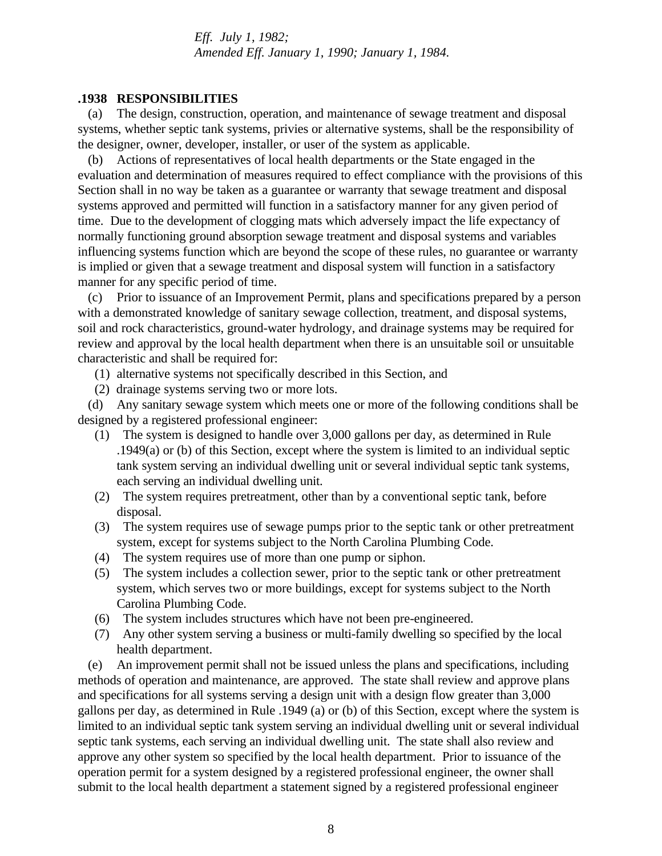*Eff. July 1, 1982; Amended Eff. January 1, 1990; January 1, 1984.*

#### **.1938 RESPONSIBILITIES**

 (a) The design, construction, operation, and maintenance of sewage treatment and disposal systems, whether septic tank systems, privies or alternative systems, shall be the responsibility of the designer, owner, developer, installer, or user of the system as applicable.

 (b) Actions of representatives of local health departments or the State engaged in the evaluation and determination of measures required to effect compliance with the provisions of this Section shall in no way be taken as a guarantee or warranty that sewage treatment and disposal systems approved and permitted will function in a satisfactory manner for any given period of time. Due to the development of clogging mats which adversely impact the life expectancy of normally functioning ground absorption sewage treatment and disposal systems and variables influencing systems function which are beyond the scope of these rules, no guarantee or warranty is implied or given that a sewage treatment and disposal system will function in a satisfactory manner for any specific period of time.

 (c) Prior to issuance of an Improvement Permit, plans and specifications prepared by a person with a demonstrated knowledge of sanitary sewage collection, treatment, and disposal systems, soil and rock characteristics, ground-water hydrology, and drainage systems may be required for review and approval by the local health department when there is an unsuitable soil or unsuitable characteristic and shall be required for:

- (1) alternative systems not specifically described in this Section, and
- (2) drainage systems serving two or more lots.

 (d) Any sanitary sewage system which meets one or more of the following conditions shall be designed by a registered professional engineer:

- (1) The system is designed to handle over 3,000 gallons per day, as determined in Rule .1949(a) or (b) of this Section, except where the system is limited to an individual septic tank system serving an individual dwelling unit or several individual septic tank systems, each serving an individual dwelling unit.
- (2) The system requires pretreatment, other than by a conventional septic tank, before disposal.
- (3) The system requires use of sewage pumps prior to the septic tank or other pretreatment system, except for systems subject to the North Carolina Plumbing Code.
- (4) The system requires use of more than one pump or siphon.
- (5) The system includes a collection sewer, prior to the septic tank or other pretreatment system, which serves two or more buildings, except for systems subject to the North Carolina Plumbing Code.
- (6) The system includes structures which have not been pre-engineered.
- (7) Any other system serving a business or multi-family dwelling so specified by the local health department.

 (e) An improvement permit shall not be issued unless the plans and specifications, including methods of operation and maintenance, are approved. The state shall review and approve plans and specifications for all systems serving a design unit with a design flow greater than 3,000 gallons per day, as determined in Rule .1949 (a) or (b) of this Section, except where the system is limited to an individual septic tank system serving an individual dwelling unit or several individual septic tank systems, each serving an individual dwelling unit. The state shall also review and approve any other system so specified by the local health department. Prior to issuance of the operation permit for a system designed by a registered professional engineer, the owner shall submit to the local health department a statement signed by a registered professional engineer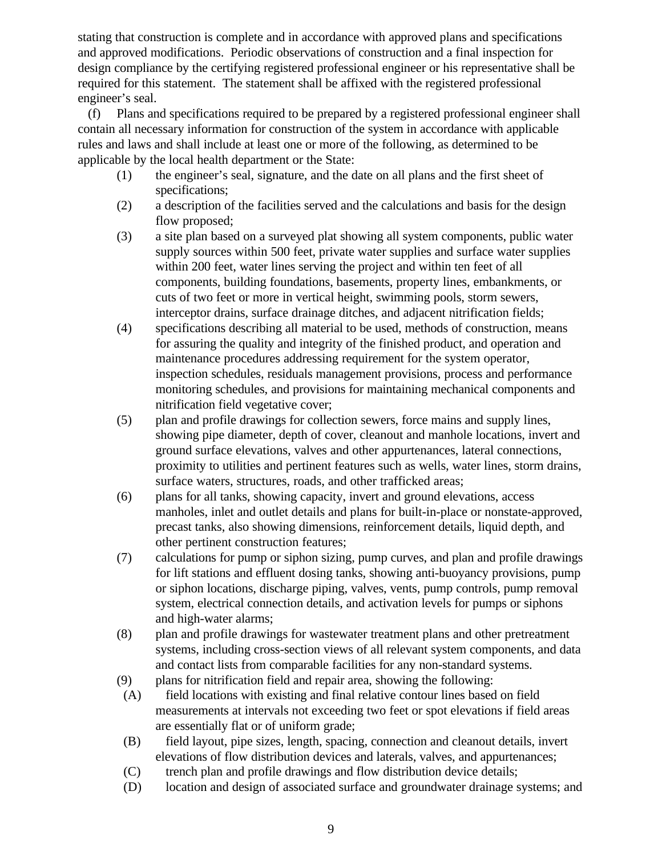stating that construction is complete and in accordance with approved plans and specifications and approved modifications. Periodic observations of construction and a final inspection for design compliance by the certifying registered professional engineer or his representative shall be required for this statement. The statement shall be affixed with the registered professional engineer's seal.

 (f) Plans and specifications required to be prepared by a registered professional engineer shall contain all necessary information for construction of the system in accordance with applicable rules and laws and shall include at least one or more of the following, as determined to be applicable by the local health department or the State:

- (1) the engineer's seal, signature, and the date on all plans and the first sheet of specifications;
- (2) a description of the facilities served and the calculations and basis for the design flow proposed;
- (3) a site plan based on a surveyed plat showing all system components, public water supply sources within 500 feet, private water supplies and surface water supplies within 200 feet, water lines serving the project and within ten feet of all components, building foundations, basements, property lines, embankments, or cuts of two feet or more in vertical height, swimming pools, storm sewers, interceptor drains, surface drainage ditches, and adjacent nitrification fields;
- (4) specifications describing all material to be used, methods of construction, means for assuring the quality and integrity of the finished product, and operation and maintenance procedures addressing requirement for the system operator, inspection schedules, residuals management provisions, process and performance monitoring schedules, and provisions for maintaining mechanical components and nitrification field vegetative cover;
- (5) plan and profile drawings for collection sewers, force mains and supply lines, showing pipe diameter, depth of cover, cleanout and manhole locations, invert and ground surface elevations, valves and other appurtenances, lateral connections, proximity to utilities and pertinent features such as wells, water lines, storm drains, surface waters, structures, roads, and other trafficked areas;
- (6) plans for all tanks, showing capacity, invert and ground elevations, access manholes, inlet and outlet details and plans for built-in-place or nonstate-approved, precast tanks, also showing dimensions, reinforcement details, liquid depth, and other pertinent construction features;
- (7) calculations for pump or siphon sizing, pump curves, and plan and profile drawings for lift stations and effluent dosing tanks, showing anti-buoyancy provisions, pump or siphon locations, discharge piping, valves, vents, pump controls, pump removal system, electrical connection details, and activation levels for pumps or siphons and high-water alarms;
- (8) plan and profile drawings for wastewater treatment plans and other pretreatment systems, including cross-section views of all relevant system components, and data and contact lists from comparable facilities for any non-standard systems.
- (9) plans for nitrification field and repair area, showing the following:
- (A) field locations with existing and final relative contour lines based on field measurements at intervals not exceeding two feet or spot elevations if field areas are essentially flat or of uniform grade;
- (B) field layout, pipe sizes, length, spacing, connection and cleanout details, invert elevations of flow distribution devices and laterals, valves, and appurtenances;
- (C) trench plan and profile drawings and flow distribution device details;
- (D) location and design of associated surface and groundwater drainage systems; and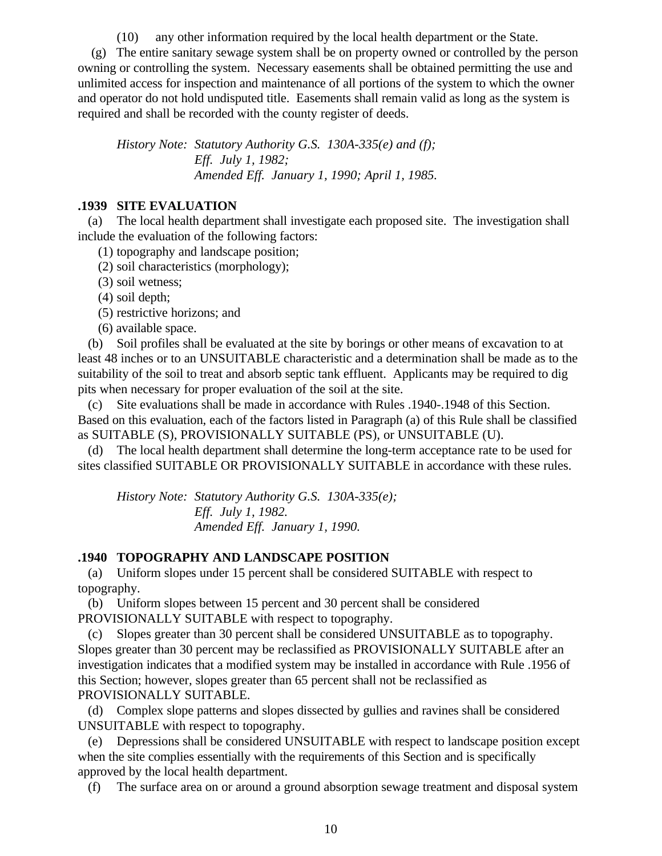(10) any other information required by the local health department or the State.

 (g) The entire sanitary sewage system shall be on property owned or controlled by the person owning or controlling the system. Necessary easements shall be obtained permitting the use and unlimited access for inspection and maintenance of all portions of the system to which the owner and operator do not hold undisputed title. Easements shall remain valid as long as the system is required and shall be recorded with the county register of deeds.

*History Note: Statutory Authority G.S. 130A-335(e) and (f); Eff. July 1, 1982; Amended Eff. January 1, 1990; April 1, 1985.*

## **.1939 SITE EVALUATION**

 (a) The local health department shall investigate each proposed site. The investigation shall include the evaluation of the following factors:

- (1) topography and landscape position;
- (2) soil characteristics (morphology);
- (3) soil wetness;
- (4) soil depth;
- (5) restrictive horizons; and
- (6) available space.

 (b) Soil profiles shall be evaluated at the site by borings or other means of excavation to at least 48 inches or to an UNSUITABLE characteristic and a determination shall be made as to the suitability of the soil to treat and absorb septic tank effluent. Applicants may be required to dig pits when necessary for proper evaluation of the soil at the site.

 (c) Site evaluations shall be made in accordance with Rules .1940-.1948 of this Section. Based on this evaluation, each of the factors listed in Paragraph (a) of this Rule shall be classified as SUITABLE (S), PROVISIONALLY SUITABLE (PS), or UNSUITABLE (U).

 (d) The local health department shall determine the long-term acceptance rate to be used for sites classified SUITABLE OR PROVISIONALLY SUITABLE in accordance with these rules.

*History Note: Statutory Authority G.S. 130A-335(e); Eff. July 1, 1982. Amended Eff. January 1, 1990.*

### **.1940 TOPOGRAPHY AND LANDSCAPE POSITION**

 (a) Uniform slopes under 15 percent shall be considered SUITABLE with respect to topography.

 (b) Uniform slopes between 15 percent and 30 percent shall be considered PROVISIONALLY SUITABLE with respect to topography.

 (c) Slopes greater than 30 percent shall be considered UNSUITABLE as to topography. Slopes greater than 30 percent may be reclassified as PROVISIONALLY SUITABLE after an investigation indicates that a modified system may be installed in accordance with Rule .1956 of this Section; however, slopes greater than 65 percent shall not be reclassified as PROVISIONALLY SUITABLE.

 (d) Complex slope patterns and slopes dissected by gullies and ravines shall be considered UNSUITABLE with respect to topography.

 (e) Depressions shall be considered UNSUITABLE with respect to landscape position except when the site complies essentially with the requirements of this Section and is specifically approved by the local health department.

(f) The surface area on or around a ground absorption sewage treatment and disposal system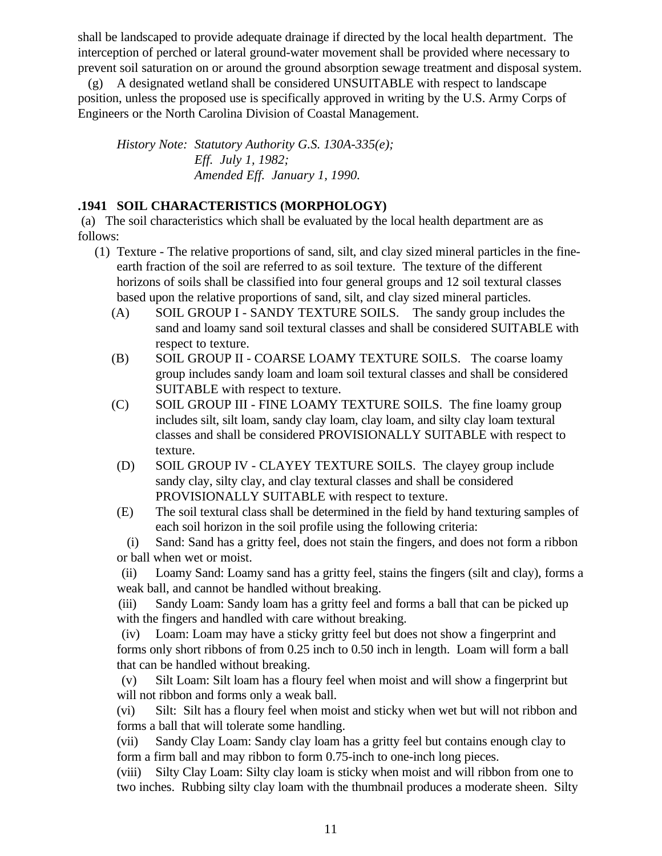shall be landscaped to provide adequate drainage if directed by the local health department. The interception of perched or lateral ground-water movement shall be provided where necessary to prevent soil saturation on or around the ground absorption sewage treatment and disposal system.

 (g) A designated wetland shall be considered UNSUITABLE with respect to landscape position, unless the proposed use is specifically approved in writing by the U.S. Army Corps of Engineers or the North Carolina Division of Coastal Management.

*History Note: Statutory Authority G.S. 130A-335(e); Eff. July 1, 1982; Amended Eff. January 1, 1990.*

# **.1941 SOIL CHARACTERISTICS (MORPHOLOGY)**

 (a) The soil characteristics which shall be evaluated by the local health department are as follows:

- (1) Texture The relative proportions of sand, silt, and clay sized mineral particles in the fineearth fraction of the soil are referred to as soil texture. The texture of the different horizons of soils shall be classified into four general groups and 12 soil textural classes based upon the relative proportions of sand, silt, and clay sized mineral particles.
	- (A) SOIL GROUP I SANDY TEXTURE SOILS. The sandy group includes the sand and loamy sand soil textural classes and shall be considered SUITABLE with respect to texture.
	- (B) SOIL GROUP II COARSE LOAMY TEXTURE SOILS. The coarse loamy group includes sandy loam and loam soil textural classes and shall be considered SUITABLE with respect to texture.
	- (C) SOIL GROUP III FINE LOAMY TEXTURE SOILS. The fine loamy group includes silt, silt loam, sandy clay loam, clay loam, and silty clay loam textural classes and shall be considered PROVISIONALLY SUITABLE with respect to texture.
	- (D) SOIL GROUP IV CLAYEY TEXTURE SOILS. The clayey group include sandy clay, silty clay, and clay textural classes and shall be considered PROVISIONALLY SUITABLE with respect to texture.
	- (E) The soil textural class shall be determined in the field by hand texturing samples of each soil horizon in the soil profile using the following criteria:

 (i) Sand: Sand has a gritty feel, does not stain the fingers, and does not form a ribbon or ball when wet or moist.

 (ii) Loamy Sand: Loamy sand has a gritty feel, stains the fingers (silt and clay), forms a weak ball, and cannot be handled without breaking.

 (iii) Sandy Loam: Sandy loam has a gritty feel and forms a ball that can be picked up with the fingers and handled with care without breaking.

 (iv) Loam: Loam may have a sticky gritty feel but does not show a fingerprint and forms only short ribbons of from 0.25 inch to 0.50 inch in length. Loam will form a ball that can be handled without breaking.

 (v) Silt Loam: Silt loam has a floury feel when moist and will show a fingerprint but will not ribbon and forms only a weak ball.

(vi) Silt: Silt has a floury feel when moist and sticky when wet but will not ribbon and forms a ball that will tolerate some handling.

(vii) Sandy Clay Loam: Sandy clay loam has a gritty feel but contains enough clay to form a firm ball and may ribbon to form 0.75-inch to one-inch long pieces.

(viii) Silty Clay Loam: Silty clay loam is sticky when moist and will ribbon from one to two inches. Rubbing silty clay loam with the thumbnail produces a moderate sheen. Silty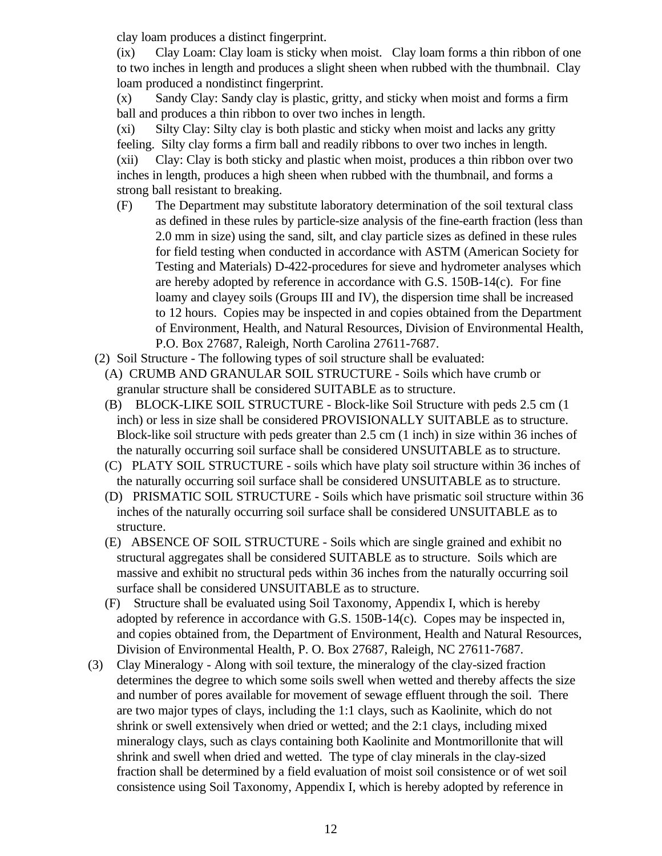clay loam produces a distinct fingerprint.

(ix) Clay Loam: Clay loam is sticky when moist. Clay loam forms a thin ribbon of one to two inches in length and produces a slight sheen when rubbed with the thumbnail. Clay loam produced a nondistinct fingerprint.

(x) Sandy Clay: Sandy clay is plastic, gritty, and sticky when moist and forms a firm ball and produces a thin ribbon to over two inches in length.

(xi) Silty Clay: Silty clay is both plastic and sticky when moist and lacks any gritty feeling. Silty clay forms a firm ball and readily ribbons to over two inches in length. (xii) Clay: Clay is both sticky and plastic when moist, produces a thin ribbon over two inches in length, produces a high sheen when rubbed with the thumbnail, and forms a strong ball resistant to breaking.

- (F) The Department may substitute laboratory determination of the soil textural class as defined in these rules by particle-size analysis of the fine-earth fraction (less than 2.0 mm in size) using the sand, silt, and clay particle sizes as defined in these rules for field testing when conducted in accordance with ASTM (American Society for Testing and Materials) D-422-procedures for sieve and hydrometer analyses which are hereby adopted by reference in accordance with G.S. 150B-14(c). For fine loamy and clayey soils (Groups III and IV), the dispersion time shall be increased to 12 hours. Copies may be inspected in and copies obtained from the Department of Environment, Health, and Natural Resources, Division of Environmental Health, P.O. Box 27687, Raleigh, North Carolina 27611-7687.
- (2) Soil Structure The following types of soil structure shall be evaluated:
	- (A) CRUMB AND GRANULAR SOIL STRUCTURE Soils which have crumb or granular structure shall be considered SUITABLE as to structure.
	- (B) BLOCK-LIKE SOIL STRUCTURE Block-like Soil Structure with peds 2.5 cm (1 inch) or less in size shall be considered PROVISIONALLY SUITABLE as to structure. Block-like soil structure with peds greater than 2.5 cm (1 inch) in size within 36 inches of the naturally occurring soil surface shall be considered UNSUITABLE as to structure.
	- (C) PLATY SOIL STRUCTURE soils which have platy soil structure within 36 inches of the naturally occurring soil surface shall be considered UNSUITABLE as to structure.
	- (D) PRISMATIC SOIL STRUCTURE Soils which have prismatic soil structure within 36 inches of the naturally occurring soil surface shall be considered UNSUITABLE as to structure.
	- (E) ABSENCE OF SOIL STRUCTURE Soils which are single grained and exhibit no structural aggregates shall be considered SUITABLE as to structure. Soils which are massive and exhibit no structural peds within 36 inches from the naturally occurring soil surface shall be considered UNSUITABLE as to structure.
	- (F) Structure shall be evaluated using Soil Taxonomy, Appendix I, which is hereby adopted by reference in accordance with G.S. 150B-14(c). Copes may be inspected in, and copies obtained from, the Department of Environment, Health and Natural Resources, Division of Environmental Health, P. O. Box 27687, Raleigh, NC 27611-7687.
- (3) Clay Mineralogy Along with soil texture, the mineralogy of the clay-sized fraction determines the degree to which some soils swell when wetted and thereby affects the size and number of pores available for movement of sewage effluent through the soil. There are two major types of clays, including the 1:1 clays, such as Kaolinite, which do not shrink or swell extensively when dried or wetted; and the 2:1 clays, including mixed mineralogy clays, such as clays containing both Kaolinite and Montmorillonite that will shrink and swell when dried and wetted. The type of clay minerals in the clay-sized fraction shall be determined by a field evaluation of moist soil consistence or of wet soil consistence using Soil Taxonomy, Appendix I, which is hereby adopted by reference in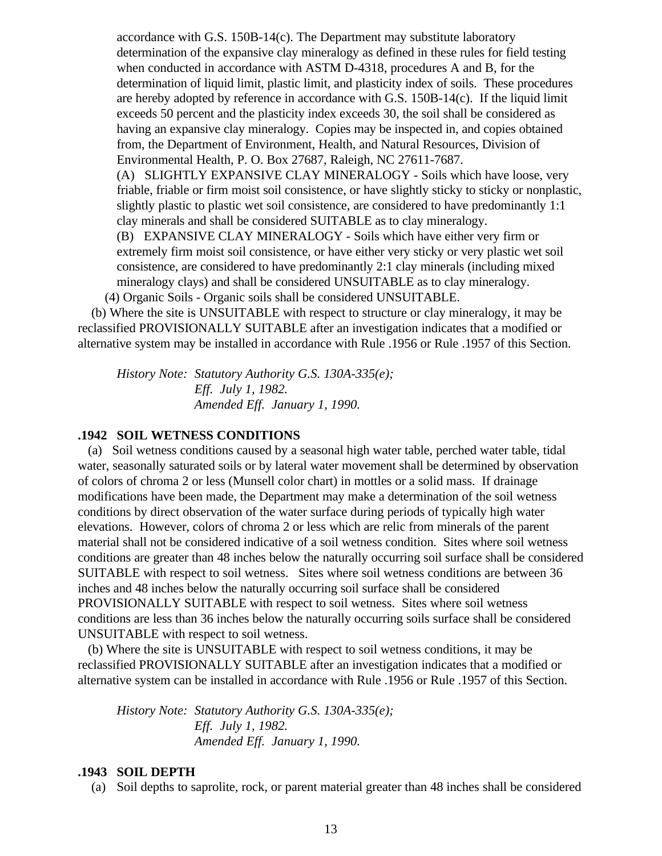accordance with G.S. 150B-14(c). The Department may substitute laboratory determination of the expansive clay mineralogy as defined in these rules for field testing when conducted in accordance with ASTM D-4318, procedures A and B, for the determination of liquid limit, plastic limit, and plasticity index of soils. These procedures are hereby adopted by reference in accordance with G.S. 150B-14(c). If the liquid limit exceeds 50 percent and the plasticity index exceeds 30, the soil shall be considered as having an expansive clay mineralogy. Copies may be inspected in, and copies obtained from, the Department of Environment, Health, and Natural Resources, Division of Environmental Health, P. O. Box 27687, Raleigh, NC 27611-7687. (A) SLIGHTLY EXPANSIVE CLAY MINERALOGY - Soils which have loose, very friable, friable or firm moist soil consistence, or have slightly sticky to sticky or nonplastic, slightly plastic to plastic wet soil consistence, are considered to have predominantly 1:1 clay minerals and shall be considered SUITABLE as to clay mineralogy. (B) EXPANSIVE CLAY MINERALOGY - Soils which have either very firm or extremely firm moist soil consistence, or have either very sticky or very plastic wet soil consistence, are considered to have predominantly 2:1 clay minerals (including mixed mineralogy clays) and shall be considered UNSUITABLE as to clay mineralogy.

(4) Organic Soils - Organic soils shall be considered UNSUITABLE.

 (b) Where the site is UNSUITABLE with respect to structure or clay mineralogy, it may be reclassified PROVISIONALLY SUITABLE after an investigation indicates that a modified or alternative system may be installed in accordance with Rule .1956 or Rule .1957 of this Section.

*History Note: Statutory Authority G.S. 130A-335(e); Eff. July 1, 1982. Amended Eff. January 1, 1990.*

# **.1942 SOIL WETNESS CONDITIONS**

 (a) Soil wetness conditions caused by a seasonal high water table, perched water table, tidal water, seasonally saturated soils or by lateral water movement shall be determined by observation of colors of chroma 2 or less (Munsell color chart) in mottles or a solid mass. If drainage modifications have been made, the Department may make a determination of the soil wetness conditions by direct observation of the water surface during periods of typically high water elevations. However, colors of chroma 2 or less which are relic from minerals of the parent material shall not be considered indicative of a soil wetness condition. Sites where soil wetness conditions are greater than 48 inches below the naturally occurring soil surface shall be considered SUITABLE with respect to soil wetness. Sites where soil wetness conditions are between 36 inches and 48 inches below the naturally occurring soil surface shall be considered PROVISIONALLY SUITABLE with respect to soil wetness. Sites where soil wetness conditions are less than 36 inches below the naturally occurring soils surface shall be considered UNSUITABLE with respect to soil wetness.

 (b) Where the site is UNSUITABLE with respect to soil wetness conditions, it may be reclassified PROVISIONALLY SUITABLE after an investigation indicates that a modified or alternative system can be installed in accordance with Rule .1956 or Rule .1957 of this Section.

*History Note: Statutory Authority G.S. 130A-335(e); Eff. July 1, 1982. Amended Eff. January 1, 1990.*

#### **.1943 SOIL DEPTH**

(a) Soil depths to saprolite, rock, or parent material greater than 48 inches shall be considered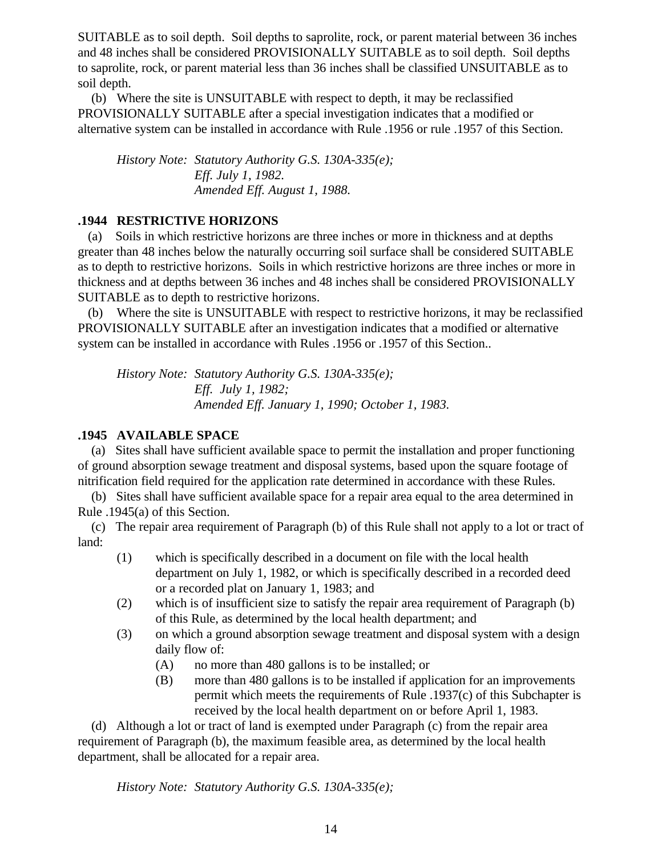SUITABLE as to soil depth. Soil depths to saprolite, rock, or parent material between 36 inches and 48 inches shall be considered PROVISIONALLY SUITABLE as to soil depth. Soil depths to saprolite, rock, or parent material less than 36 inches shall be classified UNSUITABLE as to soil depth.

 (b) Where the site is UNSUITABLE with respect to depth, it may be reclassified PROVISIONALLY SUITABLE after a special investigation indicates that a modified or alternative system can be installed in accordance with Rule .1956 or rule .1957 of this Section.

*History Note: Statutory Authority G.S. 130A-335(e); Eff. July 1, 1982. Amended Eff. August 1, 1988.*

# **.1944 RESTRICTIVE HORIZONS**

 (a) Soils in which restrictive horizons are three inches or more in thickness and at depths greater than 48 inches below the naturally occurring soil surface shall be considered SUITABLE as to depth to restrictive horizons. Soils in which restrictive horizons are three inches or more in thickness and at depths between 36 inches and 48 inches shall be considered PROVISIONALLY SUITABLE as to depth to restrictive horizons.

 (b) Where the site is UNSUITABLE with respect to restrictive horizons, it may be reclassified PROVISIONALLY SUITABLE after an investigation indicates that a modified or alternative system can be installed in accordance with Rules .1956 or .1957 of this Section..

*History Note: Statutory Authority G.S. 130A-335(e); Eff. July 1, 1982; Amended Eff. January 1, 1990; October 1, 1983.*

# **.1945 AVAILABLE SPACE**

 (a) Sites shall have sufficient available space to permit the installation and proper functioning of ground absorption sewage treatment and disposal systems, based upon the square footage of nitrification field required for the application rate determined in accordance with these Rules.

 (b) Sites shall have sufficient available space for a repair area equal to the area determined in Rule .1945(a) of this Section.

 (c) The repair area requirement of Paragraph (b) of this Rule shall not apply to a lot or tract of land:

- (1) which is specifically described in a document on file with the local health department on July 1, 1982, or which is specifically described in a recorded deed or a recorded plat on January 1, 1983; and
- (2) which is of insufficient size to satisfy the repair area requirement of Paragraph (b) of this Rule, as determined by the local health department; and
- (3) on which a ground absorption sewage treatment and disposal system with a design daily flow of:
	- (A) no more than 480 gallons is to be installed; or
	- (B) more than 480 gallons is to be installed if application for an improvements permit which meets the requirements of Rule .1937(c) of this Subchapter is received by the local health department on or before April 1, 1983.

 (d) Although a lot or tract of land is exempted under Paragraph (c) from the repair area requirement of Paragraph (b), the maximum feasible area, as determined by the local health department, shall be allocated for a repair area.

*History Note: Statutory Authority G.S. 130A-335(e);*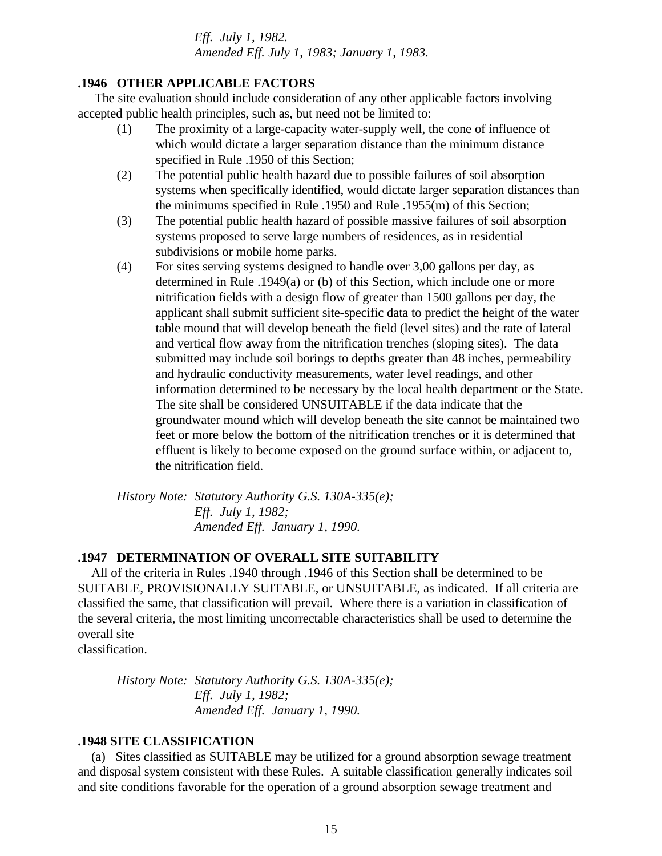*Eff. July 1, 1982. Amended Eff. July 1, 1983; January 1, 1983.*

### **.1946 OTHER APPLICABLE FACTORS**

 The site evaluation should include consideration of any other applicable factors involving accepted public health principles, such as, but need not be limited to:

- (1) The proximity of a large-capacity water-supply well, the cone of influence of which would dictate a larger separation distance than the minimum distance specified in Rule .1950 of this Section;
- (2) The potential public health hazard due to possible failures of soil absorption systems when specifically identified, would dictate larger separation distances than the minimums specified in Rule .1950 and Rule .1955(m) of this Section;
- (3) The potential public health hazard of possible massive failures of soil absorption systems proposed to serve large numbers of residences, as in residential subdivisions or mobile home parks.
- (4) For sites serving systems designed to handle over 3,00 gallons per day, as determined in Rule .1949(a) or (b) of this Section, which include one or more nitrification fields with a design flow of greater than 1500 gallons per day, the applicant shall submit sufficient site-specific data to predict the height of the water table mound that will develop beneath the field (level sites) and the rate of lateral and vertical flow away from the nitrification trenches (sloping sites). The data submitted may include soil borings to depths greater than 48 inches, permeability and hydraulic conductivity measurements, water level readings, and other information determined to be necessary by the local health department or the State. The site shall be considered UNSUITABLE if the data indicate that the groundwater mound which will develop beneath the site cannot be maintained two feet or more below the bottom of the nitrification trenches or it is determined that effluent is likely to become exposed on the ground surface within, or adjacent to, the nitrification field.

*History Note: Statutory Authority G.S. 130A-335(e); Eff. July 1, 1982; Amended Eff. January 1, 1990.*

### **.1947 DETERMINATION OF OVERALL SITE SUITABILITY**

 All of the criteria in Rules .1940 through .1946 of this Section shall be determined to be SUITABLE, PROVISIONALLY SUITABLE, or UNSUITABLE, as indicated. If all criteria are classified the same, that classification will prevail. Where there is a variation in classification of the several criteria, the most limiting uncorrectable characteristics shall be used to determine the overall site

classification.

*History Note: Statutory Authority G.S. 130A-335(e); Eff. July 1, 1982; Amended Eff. January 1, 1990.*

### **.1948 SITE CLASSIFICATION**

 (a) Sites classified as SUITABLE may be utilized for a ground absorption sewage treatment and disposal system consistent with these Rules. A suitable classification generally indicates soil and site conditions favorable for the operation of a ground absorption sewage treatment and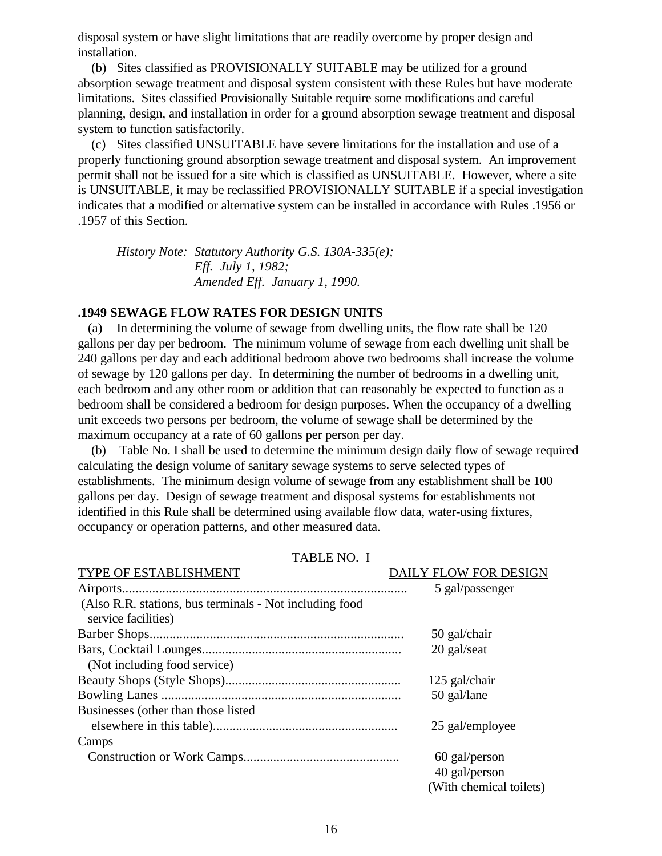disposal system or have slight limitations that are readily overcome by proper design and installation.

 (b) Sites classified as PROVISIONALLY SUITABLE may be utilized for a ground absorption sewage treatment and disposal system consistent with these Rules but have moderate limitations. Sites classified Provisionally Suitable require some modifications and careful planning, design, and installation in order for a ground absorption sewage treatment and disposal system to function satisfactorily.

 (c) Sites classified UNSUITABLE have severe limitations for the installation and use of a properly functioning ground absorption sewage treatment and disposal system. An improvement permit shall not be issued for a site which is classified as UNSUITABLE. However, where a site is UNSUITABLE, it may be reclassified PROVISIONALLY SUITABLE if a special investigation indicates that a modified or alternative system can be installed in accordance with Rules .1956 or .1957 of this Section.

*History Note: Statutory Authority G.S. 130A-335(e); Eff. July 1, 1982; Amended Eff. January 1, 1990.*

### **.1949 SEWAGE FLOW RATES FOR DESIGN UNITS**

 (a) In determining the volume of sewage from dwelling units, the flow rate shall be 120 gallons per day per bedroom. The minimum volume of sewage from each dwelling unit shall be 240 gallons per day and each additional bedroom above two bedrooms shall increase the volume of sewage by 120 gallons per day. In determining the number of bedrooms in a dwelling unit, each bedroom and any other room or addition that can reasonably be expected to function as a bedroom shall be considered a bedroom for design purposes. When the occupancy of a dwelling unit exceeds two persons per bedroom, the volume of sewage shall be determined by the maximum occupancy at a rate of 60 gallons per person per day.

 (b) Table No. I shall be used to determine the minimum design daily flow of sewage required calculating the design volume of sanitary sewage systems to serve selected types of establishments. The minimum design volume of sewage from any establishment shall be 100 gallons per day. Design of sewage treatment and disposal systems for establishments not identified in this Rule shall be determined using available flow data, water-using fixtures, occupancy or operation patterns, and other measured data.

| TYPE OF ESTABLISHMENT                                                          | DAILY FLOW FOR DESIGN   |
|--------------------------------------------------------------------------------|-------------------------|
|                                                                                | 5 gal/passenger         |
| (Also R.R. stations, bus terminals - Not including food<br>service facilities) |                         |
|                                                                                | 50 gal/chair            |
|                                                                                | 20 gal/seat             |
| (Not including food service)                                                   |                         |
|                                                                                | 125 gal/chair           |
|                                                                                | 50 gal/lane             |
| Businesses (other than those listed                                            |                         |
|                                                                                | 25 gal/employee         |
| Camps                                                                          |                         |
|                                                                                | 60 gal/person           |
|                                                                                | 40 gal/person           |
|                                                                                | (With chemical toilets) |

#### TABLE NO. I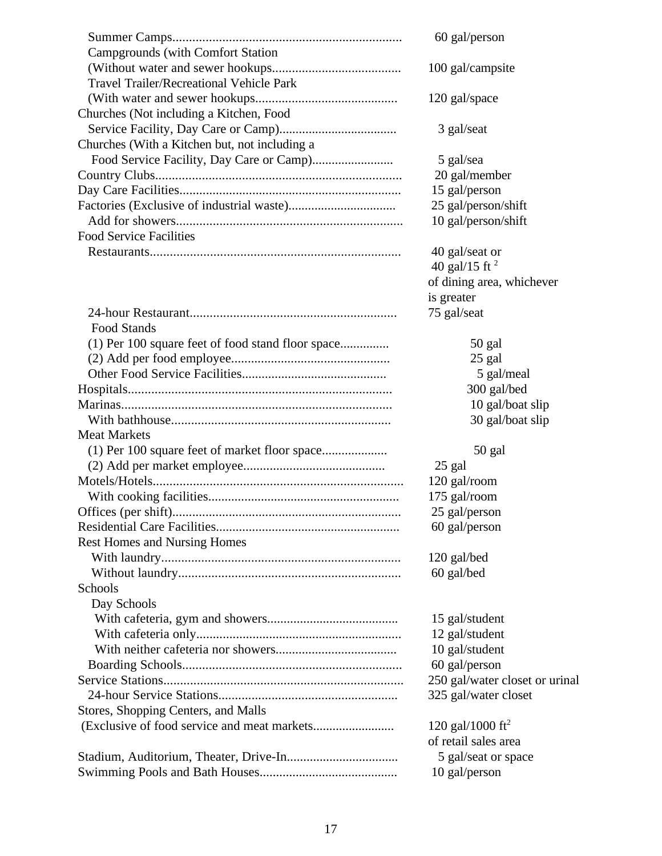|                                                   | 60 gal/person                  |
|---------------------------------------------------|--------------------------------|
| <b>Campgrounds (with Comfort Station)</b>         |                                |
|                                                   | 100 gal/campsite               |
| <b>Travel Trailer/Recreational Vehicle Park</b>   |                                |
|                                                   | 120 gal/space                  |
| Churches (Not including a Kitchen, Food           |                                |
|                                                   | 3 gal/seat                     |
| Churches (With a Kitchen but, not including a     |                                |
|                                                   | 5 gal/sea                      |
|                                                   | 20 gal/member                  |
|                                                   | 15 gal/person                  |
|                                                   | 25 gal/person/shift            |
|                                                   | 10 gal/person/shift            |
| <b>Food Service Facilities</b>                    |                                |
|                                                   | 40 gal/seat or                 |
|                                                   | 40 gal/15 ft $^2$              |
|                                                   | of dining area, whichever      |
|                                                   | is greater                     |
|                                                   | 75 gal/seat                    |
| <b>Food Stands</b>                                |                                |
| (1) Per 100 square feet of food stand floor space | 50 gal                         |
|                                                   | 25 gal                         |
|                                                   | 5 gal/meal                     |
|                                                   | 300 gal/bed                    |
|                                                   | 10 gal/boat slip               |
|                                                   | 30 gal/boat slip               |
| <b>Meat Markets</b>                               |                                |
|                                                   | 50 gal                         |
|                                                   | 25 gal                         |
|                                                   | 120 gal/room                   |
|                                                   | 175 gal/room                   |
|                                                   | 25 gal/person                  |
|                                                   | 60 gal/person                  |
| <b>Rest Homes and Nursing Homes</b>               |                                |
|                                                   | 120 gal/bed                    |
|                                                   | 60 gal/bed                     |
| Schools                                           |                                |
| Day Schools                                       |                                |
|                                                   | 15 gal/student                 |
|                                                   | 12 gal/student                 |
|                                                   | 10 gal/student                 |
|                                                   | 60 gal/person                  |
|                                                   | 250 gal/water closet or urinal |
|                                                   | 325 gal/water closet           |
| Stores, Shopping Centers, and Malls               |                                |
|                                                   | 120 gal/1000 ft <sup>2</sup>   |
|                                                   | of retail sales area           |
|                                                   | 5 gal/seat or space            |
|                                                   | 10 gal/person                  |
|                                                   |                                |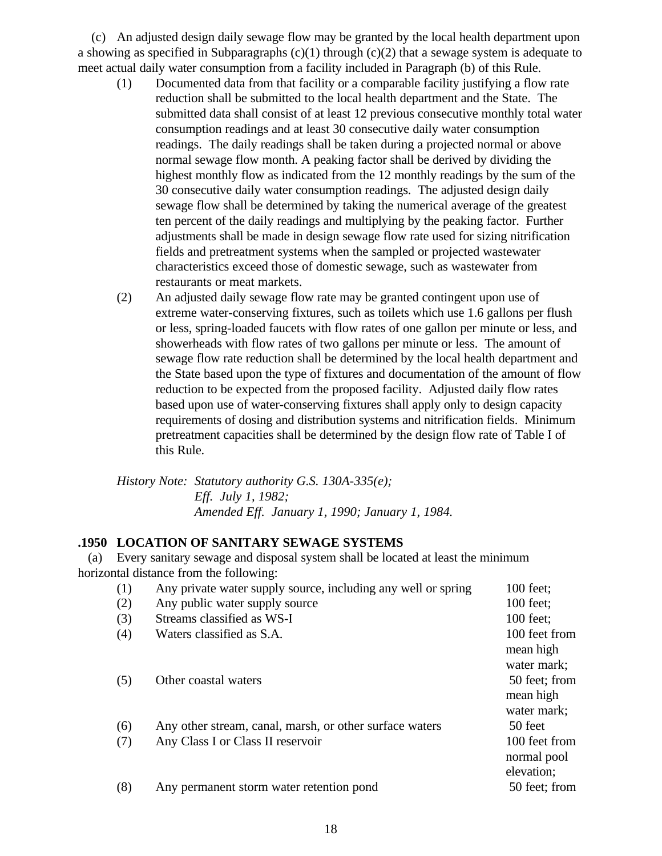(c) An adjusted design daily sewage flow may be granted by the local health department upon a showing as specified in Subparagraphs  $(c)(1)$  through  $(c)(2)$  that a sewage system is adequate to meet actual daily water consumption from a facility included in Paragraph (b) of this Rule.

- (1) Documented data from that facility or a comparable facility justifying a flow rate reduction shall be submitted to the local health department and the State. The submitted data shall consist of at least 12 previous consecutive monthly total water consumption readings and at least 30 consecutive daily water consumption readings. The daily readings shall be taken during a projected normal or above normal sewage flow month. A peaking factor shall be derived by dividing the highest monthly flow as indicated from the 12 monthly readings by the sum of the 30 consecutive daily water consumption readings. The adjusted design daily sewage flow shall be determined by taking the numerical average of the greatest ten percent of the daily readings and multiplying by the peaking factor. Further adjustments shall be made in design sewage flow rate used for sizing nitrification fields and pretreatment systems when the sampled or projected wastewater characteristics exceed those of domestic sewage, such as wastewater from restaurants or meat markets.
- (2) An adjusted daily sewage flow rate may be granted contingent upon use of extreme water-conserving fixtures, such as toilets which use 1.6 gallons per flush or less, spring-loaded faucets with flow rates of one gallon per minute or less, and showerheads with flow rates of two gallons per minute or less. The amount of sewage flow rate reduction shall be determined by the local health department and the State based upon the type of fixtures and documentation of the amount of flow reduction to be expected from the proposed facility. Adjusted daily flow rates based upon use of water-conserving fixtures shall apply only to design capacity requirements of dosing and distribution systems and nitrification fields. Minimum pretreatment capacities shall be determined by the design flow rate of Table I of this Rule.

*History Note: Statutory authority G.S. 130A-335(e); Eff. July 1, 1982; Amended Eff. January 1, 1990; January 1, 1984.*

# **.1950 LOCATION OF SANITARY SEWAGE SYSTEMS**

 (a) Every sanitary sewage and disposal system shall be located at least the minimum horizontal distance from the following:

(1) Any private water supply source, including any well or spring 100 feet; (2) Any public water supply source 100 feet; (3) Streams classified as WS-I 100 feet; (4) Waters classified as S.A. 100 feet from mean high water mark; (5) Other coastal waters 50 feet; from mean high water mark; (6) Any other stream, canal, marsh, or other surface waters 50 feet (7) Any Class I or Class II reservoir 100 feet from normal pool elevation; (8) Any permanent storm water retention pond 50 feet; from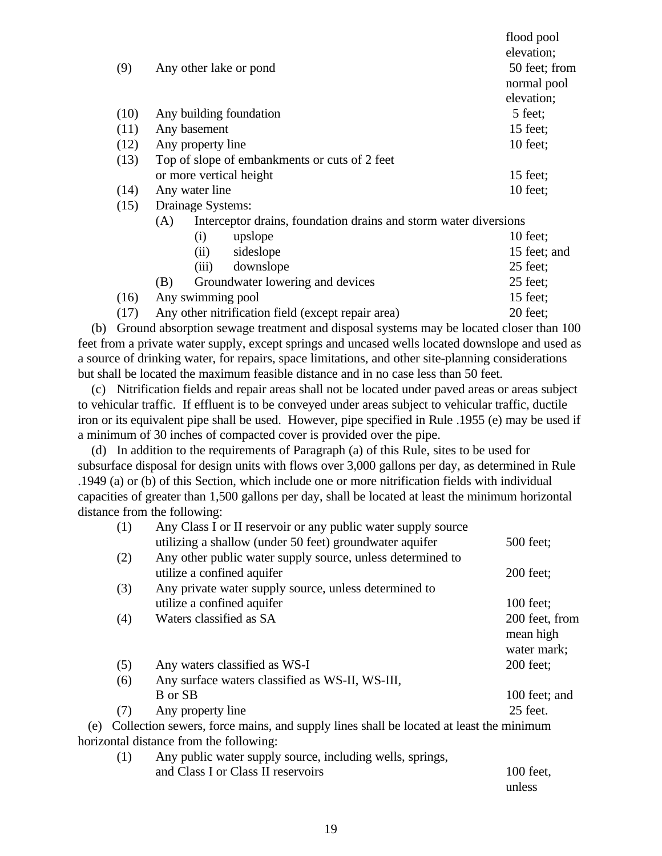|                                                    | flood pool                                                                                                                                                   |
|----------------------------------------------------|--------------------------------------------------------------------------------------------------------------------------------------------------------------|
|                                                    | elevation;                                                                                                                                                   |
| Any other lake or pond                             | 50 feet; from                                                                                                                                                |
|                                                    | normal pool                                                                                                                                                  |
|                                                    | elevation;                                                                                                                                                   |
| Any building foundation                            | 5 feet;                                                                                                                                                      |
| Any basement                                       | 15 feet;                                                                                                                                                     |
| Any property line                                  | $10$ feet;                                                                                                                                                   |
| Top of slope of embankments or cuts of 2 feet      |                                                                                                                                                              |
| or more vertical height                            | $15$ feet;                                                                                                                                                   |
| Any water line                                     | $10$ feet;                                                                                                                                                   |
|                                                    |                                                                                                                                                              |
| (A)                                                |                                                                                                                                                              |
| upslope<br>(i)                                     | $10$ feet;                                                                                                                                                   |
| sideslope<br>(ii)                                  | 15 feet; and                                                                                                                                                 |
| downslope<br>(iii)                                 | $25$ feet;                                                                                                                                                   |
| Groundwater lowering and devices<br>(B)            | $25$ feet;                                                                                                                                                   |
| Any swimming pool                                  | 15 feet;                                                                                                                                                     |
| Any other nitrification field (except repair area) | 20 feet;                                                                                                                                                     |
|                                                    | (9)<br>(10)<br>(11)<br>(12)<br>(13)<br>(14)<br>(15)<br>Drainage Systems:<br>Interceptor drains, foundation drains and storm water diversions<br>(16)<br>(17) |

 (b) Ground absorption sewage treatment and disposal systems may be located closer than 100 feet from a private water supply, except springs and uncased wells located downslope and used as a source of drinking water, for repairs, space limitations, and other site-planning considerations but shall be located the maximum feasible distance and in no case less than 50 feet.

 (c) Nitrification fields and repair areas shall not be located under paved areas or areas subject to vehicular traffic. If effluent is to be conveyed under areas subject to vehicular traffic, ductile iron or its equivalent pipe shall be used. However, pipe specified in Rule .1955 (e) may be used if a minimum of 30 inches of compacted cover is provided over the pipe.

 (d) In addition to the requirements of Paragraph (a) of this Rule, sites to be used for subsurface disposal for design units with flows over 3,000 gallons per day, as determined in Rule .1949 (a) or (b) of this Section, which include one or more nitrification fields with individual capacities of greater than 1,500 gallons per day, shall be located at least the minimum horizontal distance from the following:

|     | (1) | Any Class I or II reservoir or any public water supply source                          |                |
|-----|-----|----------------------------------------------------------------------------------------|----------------|
|     |     | utilizing a shallow (under 50 feet) groundwater aquifer                                | 500 feet;      |
|     | (2) | Any other public water supply source, unless determined to                             |                |
|     |     | utilize a confined aquifer                                                             | $200$ feet;    |
|     | (3) | Any private water supply source, unless determined to                                  |                |
|     |     | utilize a confined aquifer                                                             | 100 feet;      |
|     | (4) | Waters classified as SA                                                                | 200 feet, from |
|     |     |                                                                                        | mean high      |
|     |     |                                                                                        | water mark;    |
|     | (5) | Any waters classified as WS-I                                                          | 200 feet;      |
|     | (6) | Any surface waters classified as WS-II, WS-III,                                        |                |
|     |     | B or SB                                                                                | 100 feet; and  |
|     | (7) | Any property line                                                                      | 25 feet.       |
| (e) |     | Collection sewers, force mains, and supply lines shall be located at least the minimum |                |
|     |     | horizontal distance from the following:                                                |                |
|     | (1) | Any public water supply source, including wells, springs,                              |                |
|     |     |                                                                                        |                |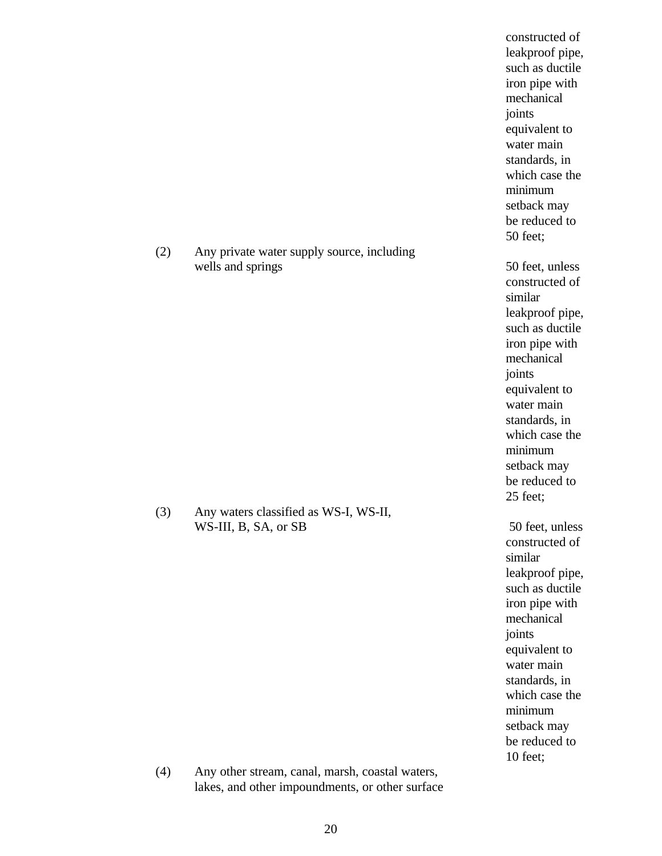(2) Any private water supply source, including wells and springs 50 feet, unless

(3) Any waters classified as WS-I, WS-II, WS-III, B, SA, or SB 50 feet, unless

constructed of leakproof pipe, such as ductile iron pipe with mechanical joints equivalent to water main standards, in which case the minimum setback may be reduced to 50 feet;

constructed of similar leakproof pipe, such as ductile iron pipe with mechanical joints equivalent to water main standards, in which case the minimum setback may be reduced to 25 feet;

constructed of similar leakproof pipe, such as ductile iron pipe with mechanical joints equivalent to water main standards, in which case the minimum setback may be reduced to 10 feet;

(4) Any other stream, canal, marsh, coastal waters, lakes, and other impoundments, or other surface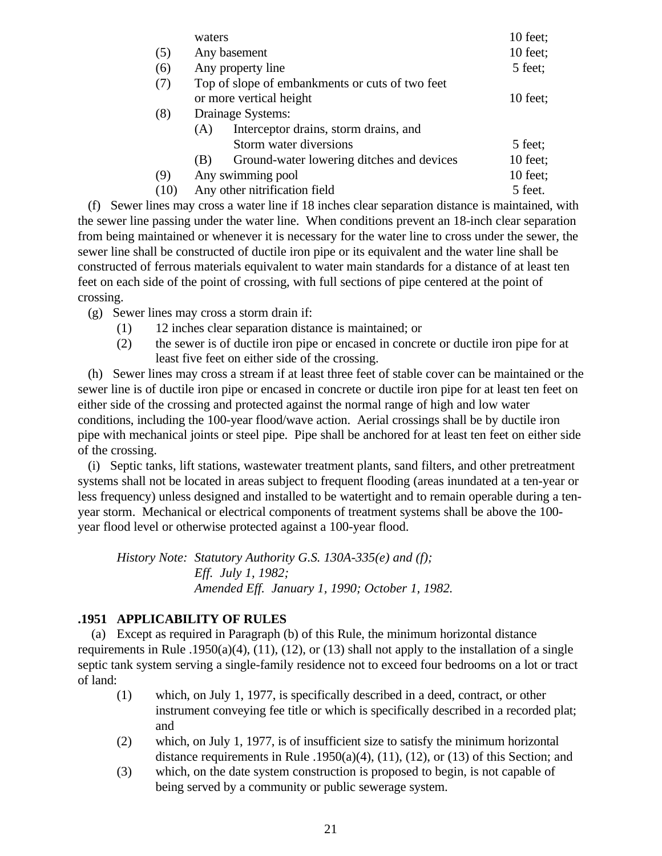| 10 feet; |
|----------|
| 5 feet;  |
|          |
| 10 feet; |
|          |
|          |
| 5 feet;  |
| 10 feet; |
| 10 feet; |
| 5 feet.  |
|          |

 (f) Sewer lines may cross a water line if 18 inches clear separation distance is maintained, with the sewer line passing under the water line. When conditions prevent an 18-inch clear separation from being maintained or whenever it is necessary for the water line to cross under the sewer, the sewer line shall be constructed of ductile iron pipe or its equivalent and the water line shall be constructed of ferrous materials equivalent to water main standards for a distance of at least ten feet on each side of the point of crossing, with full sections of pipe centered at the point of crossing.

(g) Sewer lines may cross a storm drain if:

- (1) 12 inches clear separation distance is maintained; or
- (2) the sewer is of ductile iron pipe or encased in concrete or ductile iron pipe for at least five feet on either side of the crossing.

 (h) Sewer lines may cross a stream if at least three feet of stable cover can be maintained or the sewer line is of ductile iron pipe or encased in concrete or ductile iron pipe for at least ten feet on either side of the crossing and protected against the normal range of high and low water conditions, including the 100-year flood/wave action. Aerial crossings shall be by ductile iron pipe with mechanical joints or steel pipe. Pipe shall be anchored for at least ten feet on either side of the crossing.

 (i) Septic tanks, lift stations, wastewater treatment plants, sand filters, and other pretreatment systems shall not be located in areas subject to frequent flooding (areas inundated at a ten-year or less frequency) unless designed and installed to be watertight and to remain operable during a tenyear storm. Mechanical or electrical components of treatment systems shall be above the 100 year flood level or otherwise protected against a 100-year flood.

*History Note: Statutory Authority G.S. 130A-335(e) and (f); Eff. July 1, 1982; Amended Eff. January 1, 1990; October 1, 1982.*

# **.1951 APPLICABILITY OF RULES**

 (a) Except as required in Paragraph (b) of this Rule, the minimum horizontal distance requirements in Rule .1950(a)(4), (11), (12), or (13) shall not apply to the installation of a single septic tank system serving a single-family residence not to exceed four bedrooms on a lot or tract of land:

- (1) which, on July 1, 1977, is specifically described in a deed, contract, or other instrument conveying fee title or which is specifically described in a recorded plat; and
- (2) which, on July 1, 1977, is of insufficient size to satisfy the minimum horizontal distance requirements in Rule .1950(a)(4), (11), (12), or (13) of this Section; and
- (3) which, on the date system construction is proposed to begin, is not capable of being served by a community or public sewerage system.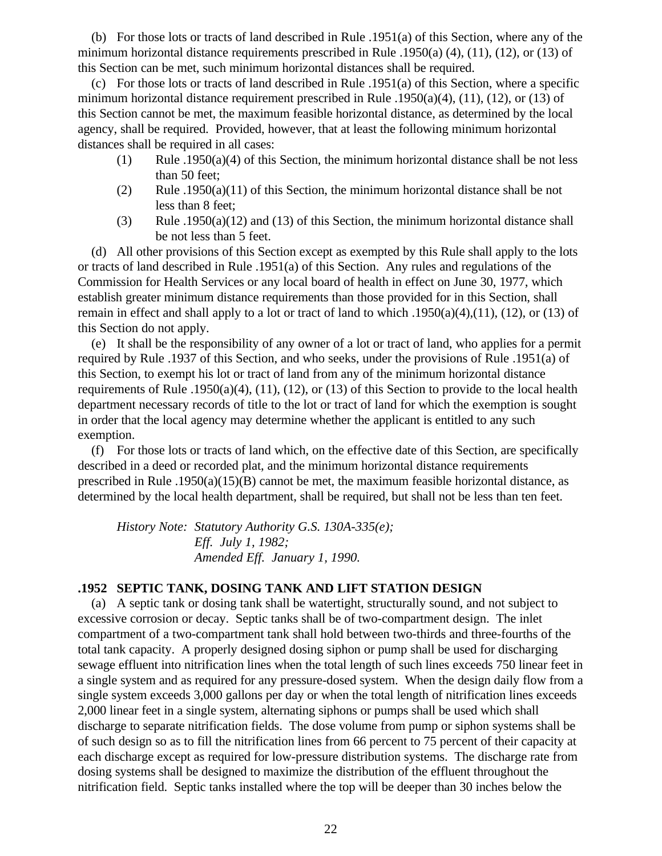(b) For those lots or tracts of land described in Rule .1951(a) of this Section, where any of the minimum horizontal distance requirements prescribed in Rule .1950(a) (4), (11), (12), or (13) of this Section can be met, such minimum horizontal distances shall be required.

 (c) For those lots or tracts of land described in Rule .1951(a) of this Section, where a specific minimum horizontal distance requirement prescribed in Rule .1950(a)(4), (11), (12), or (13) of this Section cannot be met, the maximum feasible horizontal distance, as determined by the local agency, shall be required. Provided, however, that at least the following minimum horizontal distances shall be required in all cases:

- (1) Rule .1950(a)(4) of this Section, the minimum horizontal distance shall be not less than 50 feet;
- (2) Rule .1950(a)(11) of this Section, the minimum horizontal distance shall be not less than 8 feet;
- (3) Rule .1950(a)(12) and (13) of this Section, the minimum horizontal distance shall be not less than 5 feet.

 (d) All other provisions of this Section except as exempted by this Rule shall apply to the lots or tracts of land described in Rule .1951(a) of this Section. Any rules and regulations of the Commission for Health Services or any local board of health in effect on June 30, 1977, which establish greater minimum distance requirements than those provided for in this Section, shall remain in effect and shall apply to a lot or tract of land to which .1950(a)(4),(11), (12), or (13) of this Section do not apply.

 (e) It shall be the responsibility of any owner of a lot or tract of land, who applies for a permit required by Rule .1937 of this Section, and who seeks, under the provisions of Rule .1951(a) of this Section, to exempt his lot or tract of land from any of the minimum horizontal distance requirements of Rule .1950(a)(4), (11), (12), or (13) of this Section to provide to the local health department necessary records of title to the lot or tract of land for which the exemption is sought in order that the local agency may determine whether the applicant is entitled to any such exemption.

 (f) For those lots or tracts of land which, on the effective date of this Section, are specifically described in a deed or recorded plat, and the minimum horizontal distance requirements prescribed in Rule .1950(a)(15)(B) cannot be met, the maximum feasible horizontal distance, as determined by the local health department, shall be required, but shall not be less than ten feet.

*History Note: Statutory Authority G.S. 130A-335(e); Eff. July 1, 1982; Amended Eff. January 1, 1990.*

# **.1952 SEPTIC TANK, DOSING TANK AND LIFT STATION DESIGN**

 (a) A septic tank or dosing tank shall be watertight, structurally sound, and not subject to excessive corrosion or decay. Septic tanks shall be of two-compartment design. The inlet compartment of a two-compartment tank shall hold between two-thirds and three-fourths of the total tank capacity. A properly designed dosing siphon or pump shall be used for discharging sewage effluent into nitrification lines when the total length of such lines exceeds 750 linear feet in a single system and as required for any pressure-dosed system. When the design daily flow from a single system exceeds 3,000 gallons per day or when the total length of nitrification lines exceeds 2,000 linear feet in a single system, alternating siphons or pumps shall be used which shall discharge to separate nitrification fields. The dose volume from pump or siphon systems shall be of such design so as to fill the nitrification lines from 66 percent to 75 percent of their capacity at each discharge except as required for low-pressure distribution systems. The discharge rate from dosing systems shall be designed to maximize the distribution of the effluent throughout the nitrification field. Septic tanks installed where the top will be deeper than 30 inches below the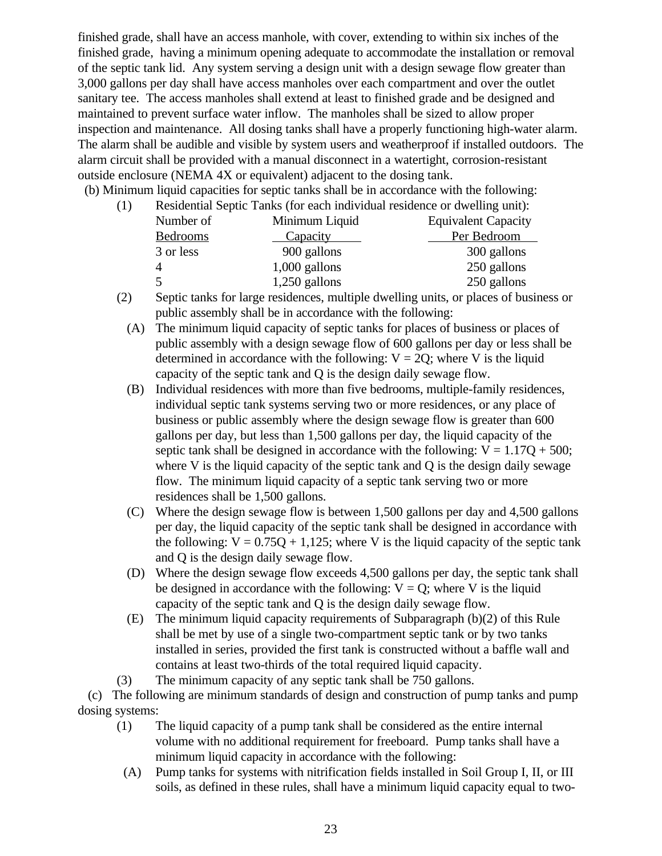finished grade, shall have an access manhole, with cover, extending to within six inches of the finished grade, having a minimum opening adequate to accommodate the installation or removal of the septic tank lid. Any system serving a design unit with a design sewage flow greater than 3,000 gallons per day shall have access manholes over each compartment and over the outlet sanitary tee. The access manholes shall extend at least to finished grade and be designed and maintained to prevent surface water inflow. The manholes shall be sized to allow proper inspection and maintenance. All dosing tanks shall have a properly functioning high-water alarm. The alarm shall be audible and visible by system users and weatherproof if installed outdoors. The alarm circuit shall be provided with a manual disconnect in a watertight, corrosion-resistant outside enclosure (NEMA 4X or equivalent) adjacent to the dosing tank.

(b) Minimum liquid capacities for septic tanks shall be in accordance with the following:

| (1) | Residential Septic Tanks (for each individual residence or dwelling unit): |  |  |  |  |
|-----|----------------------------------------------------------------------------|--|--|--|--|
|-----|----------------------------------------------------------------------------|--|--|--|--|

| Number of       | Minimum Liquid  | <b>Equivalent Capacity</b> |
|-----------------|-----------------|----------------------------|
| <b>Bedrooms</b> | <b>Capacity</b> | Per Bedroom                |
| 3 or less       | 900 gallons     | 300 gallons                |
|                 | $1,000$ gallons | 250 gallons                |
|                 | $1,250$ gallons | 250 gallons                |

- (2) Septic tanks for large residences, multiple dwelling units, or places of business or public assembly shall be in accordance with the following:
	- (A) The minimum liquid capacity of septic tanks for places of business or places of public assembly with a design sewage flow of 600 gallons per day or less shall be determined in accordance with the following:  $V = 2Q$ ; where V is the liquid capacity of the septic tank and Q is the design daily sewage flow.
	- (B) Individual residences with more than five bedrooms, multiple-family residences, individual septic tank systems serving two or more residences, or any place of business or public assembly where the design sewage flow is greater than 600 gallons per day, but less than 1,500 gallons per day, the liquid capacity of the septic tank shall be designed in accordance with the following:  $V = 1.17Q + 500$ ; where V is the liquid capacity of the septic tank and Q is the design daily sewage flow. The minimum liquid capacity of a septic tank serving two or more residences shall be 1,500 gallons.
	- (C) Where the design sewage flow is between 1,500 gallons per day and 4,500 gallons per day, the liquid capacity of the septic tank shall be designed in accordance with the following:  $V = 0.75Q + 1.125$ ; where V is the liquid capacity of the septic tank and Q is the design daily sewage flow.
	- (D) Where the design sewage flow exceeds 4,500 gallons per day, the septic tank shall be designed in accordance with the following:  $V = Q$ ; where V is the liquid capacity of the septic tank and Q is the design daily sewage flow.
	- (E) The minimum liquid capacity requirements of Subparagraph (b)(2) of this Rule shall be met by use of a single two-compartment septic tank or by two tanks installed in series, provided the first tank is constructed without a baffle wall and contains at least two-thirds of the total required liquid capacity.
- (3) The minimum capacity of any septic tank shall be 750 gallons.

 (c) The following are minimum standards of design and construction of pump tanks and pump dosing systems:

- (1) The liquid capacity of a pump tank shall be considered as the entire internal volume with no additional requirement for freeboard. Pump tanks shall have a minimum liquid capacity in accordance with the following:
- (A) Pump tanks for systems with nitrification fields installed in Soil Group I, II, or III soils, as defined in these rules, shall have a minimum liquid capacity equal to two-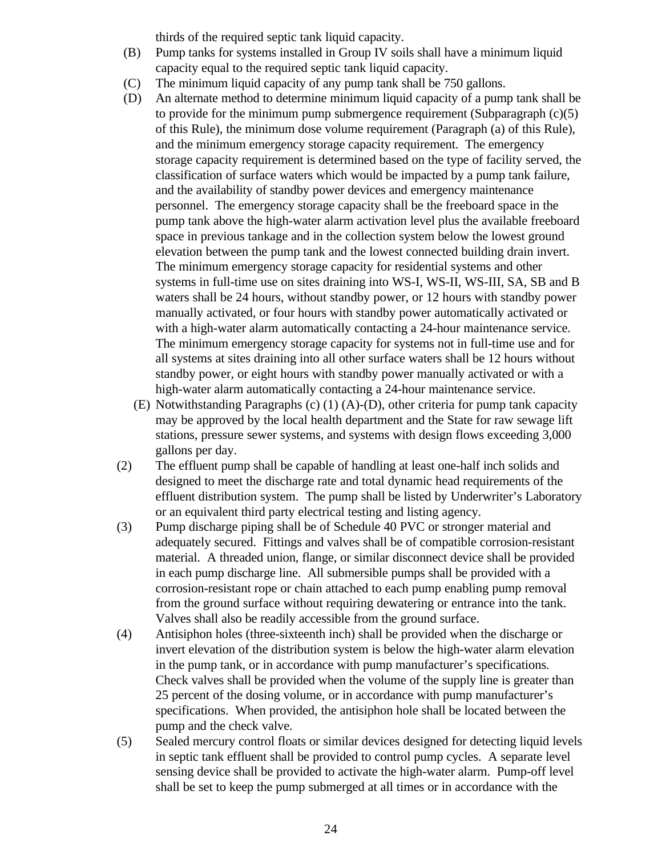thirds of the required septic tank liquid capacity.

- (B) Pump tanks for systems installed in Group IV soils shall have a minimum liquid capacity equal to the required septic tank liquid capacity.
- (C) The minimum liquid capacity of any pump tank shall be 750 gallons.
- (D) An alternate method to determine minimum liquid capacity of a pump tank shall be to provide for the minimum pump submergence requirement (Subparagraph  $(c)(5)$ ) of this Rule), the minimum dose volume requirement (Paragraph (a) of this Rule), and the minimum emergency storage capacity requirement. The emergency storage capacity requirement is determined based on the type of facility served, the classification of surface waters which would be impacted by a pump tank failure, and the availability of standby power devices and emergency maintenance personnel. The emergency storage capacity shall be the freeboard space in the pump tank above the high-water alarm activation level plus the available freeboard space in previous tankage and in the collection system below the lowest ground elevation between the pump tank and the lowest connected building drain invert. The minimum emergency storage capacity for residential systems and other systems in full-time use on sites draining into WS-I, WS-II, WS-III, SA, SB and B waters shall be 24 hours, without standby power, or 12 hours with standby power manually activated, or four hours with standby power automatically activated or with a high-water alarm automatically contacting a 24-hour maintenance service. The minimum emergency storage capacity for systems not in full-time use and for all systems at sites draining into all other surface waters shall be 12 hours without standby power, or eight hours with standby power manually activated or with a high-water alarm automatically contacting a 24-hour maintenance service.
	- (E) Notwithstanding Paragraphs (c) (1) (A)-(D), other criteria for pump tank capacity may be approved by the local health department and the State for raw sewage lift stations, pressure sewer systems, and systems with design flows exceeding 3,000 gallons per day.
- (2) The effluent pump shall be capable of handling at least one-half inch solids and designed to meet the discharge rate and total dynamic head requirements of the effluent distribution system. The pump shall be listed by Underwriter's Laboratory or an equivalent third party electrical testing and listing agency.
- (3) Pump discharge piping shall be of Schedule 40 PVC or stronger material and adequately secured. Fittings and valves shall be of compatible corrosion-resistant material. A threaded union, flange, or similar disconnect device shall be provided in each pump discharge line. All submersible pumps shall be provided with a corrosion-resistant rope or chain attached to each pump enabling pump removal from the ground surface without requiring dewatering or entrance into the tank. Valves shall also be readily accessible from the ground surface.
- (4) Antisiphon holes (three-sixteenth inch) shall be provided when the discharge or invert elevation of the distribution system is below the high-water alarm elevation in the pump tank, or in accordance with pump manufacturer's specifications. Check valves shall be provided when the volume of the supply line is greater than 25 percent of the dosing volume, or in accordance with pump manufacturer's specifications. When provided, the antisiphon hole shall be located between the pump and the check valve.
- (5) Sealed mercury control floats or similar devices designed for detecting liquid levels in septic tank effluent shall be provided to control pump cycles. A separate level sensing device shall be provided to activate the high-water alarm. Pump-off level shall be set to keep the pump submerged at all times or in accordance with the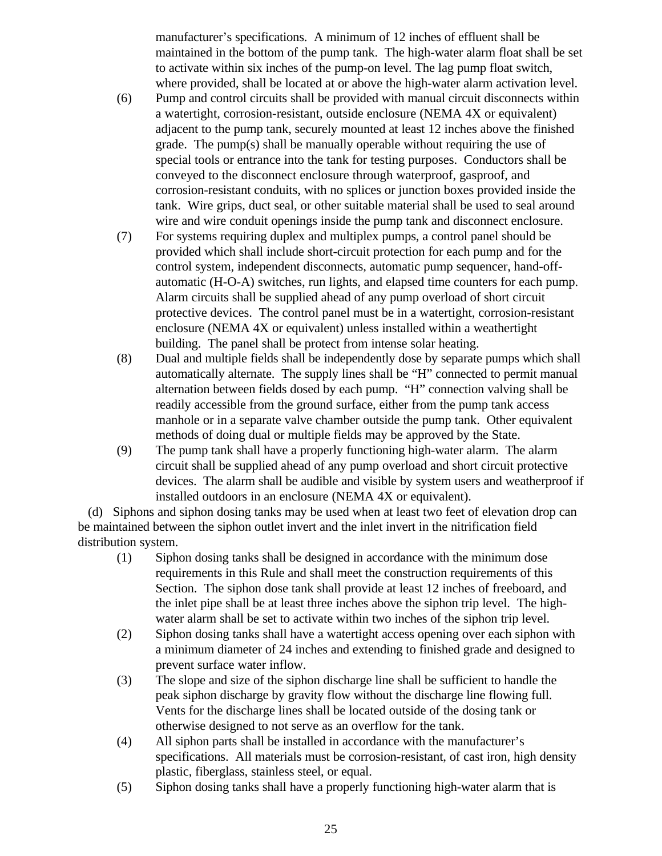manufacturer's specifications. A minimum of 12 inches of effluent shall be maintained in the bottom of the pump tank. The high-water alarm float shall be set to activate within six inches of the pump-on level. The lag pump float switch, where provided, shall be located at or above the high-water alarm activation level.

- (6) Pump and control circuits shall be provided with manual circuit disconnects within a watertight, corrosion-resistant, outside enclosure (NEMA 4X or equivalent) adjacent to the pump tank, securely mounted at least 12 inches above the finished grade. The pump(s) shall be manually operable without requiring the use of special tools or entrance into the tank for testing purposes. Conductors shall be conveyed to the disconnect enclosure through waterproof, gasproof, and corrosion-resistant conduits, with no splices or junction boxes provided inside the tank. Wire grips, duct seal, or other suitable material shall be used to seal around wire and wire conduit openings inside the pump tank and disconnect enclosure.
- (7) For systems requiring duplex and multiplex pumps, a control panel should be provided which shall include short-circuit protection for each pump and for the control system, independent disconnects, automatic pump sequencer, hand-offautomatic (H-O-A) switches, run lights, and elapsed time counters for each pump. Alarm circuits shall be supplied ahead of any pump overload of short circuit protective devices. The control panel must be in a watertight, corrosion-resistant enclosure (NEMA 4X or equivalent) unless installed within a weathertight building. The panel shall be protect from intense solar heating.
- (8) Dual and multiple fields shall be independently dose by separate pumps which shall automatically alternate. The supply lines shall be "H" connected to permit manual alternation between fields dosed by each pump. "H" connection valving shall be readily accessible from the ground surface, either from the pump tank access manhole or in a separate valve chamber outside the pump tank. Other equivalent methods of doing dual or multiple fields may be approved by the State.
- (9) The pump tank shall have a properly functioning high-water alarm. The alarm circuit shall be supplied ahead of any pump overload and short circuit protective devices. The alarm shall be audible and visible by system users and weatherproof if installed outdoors in an enclosure (NEMA 4X or equivalent).

 (d) Siphons and siphon dosing tanks may be used when at least two feet of elevation drop can be maintained between the siphon outlet invert and the inlet invert in the nitrification field distribution system.

- (1) Siphon dosing tanks shall be designed in accordance with the minimum dose requirements in this Rule and shall meet the construction requirements of this Section. The siphon dose tank shall provide at least 12 inches of freeboard, and the inlet pipe shall be at least three inches above the siphon trip level. The highwater alarm shall be set to activate within two inches of the siphon trip level.
- (2) Siphon dosing tanks shall have a watertight access opening over each siphon with a minimum diameter of 24 inches and extending to finished grade and designed to prevent surface water inflow.
- (3) The slope and size of the siphon discharge line shall be sufficient to handle the peak siphon discharge by gravity flow without the discharge line flowing full. Vents for the discharge lines shall be located outside of the dosing tank or otherwise designed to not serve as an overflow for the tank.
- (4) All siphon parts shall be installed in accordance with the manufacturer's specifications. All materials must be corrosion-resistant, of cast iron, high density plastic, fiberglass, stainless steel, or equal.
- (5) Siphon dosing tanks shall have a properly functioning high-water alarm that is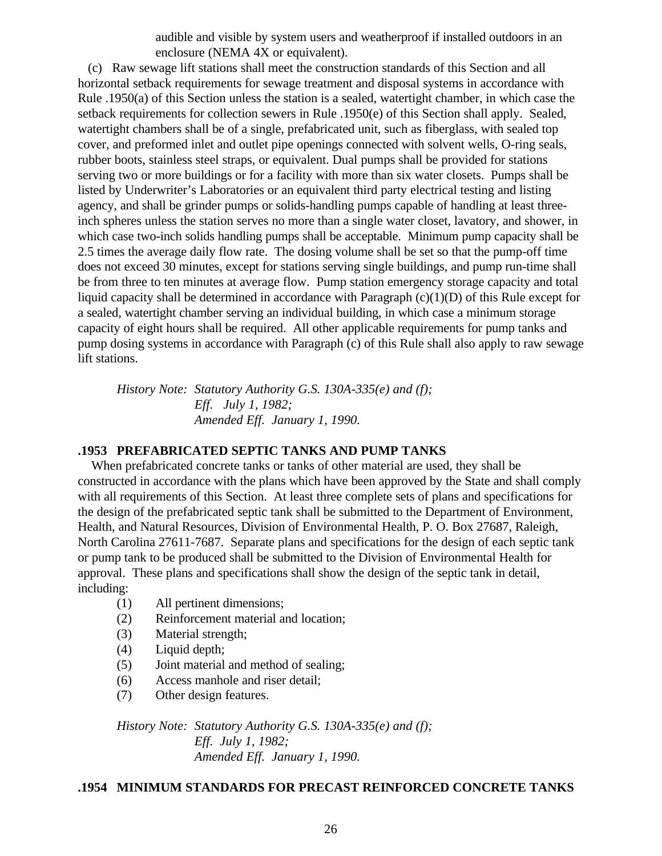audible and visible by system users and weatherproof if installed outdoors in an enclosure (NEMA 4X or equivalent).

 (c) Raw sewage lift stations shall meet the construction standards of this Section and all horizontal setback requirements for sewage treatment and disposal systems in accordance with Rule .1950(a) of this Section unless the station is a sealed, watertight chamber, in which case the setback requirements for collection sewers in Rule .1950(e) of this Section shall apply. Sealed, watertight chambers shall be of a single, prefabricated unit, such as fiberglass, with sealed top cover, and preformed inlet and outlet pipe openings connected with solvent wells, O-ring seals, rubber boots, stainless steel straps, or equivalent. Dual pumps shall be provided for stations serving two or more buildings or for a facility with more than six water closets. Pumps shall be listed by Underwriter's Laboratories or an equivalent third party electrical testing and listing agency, and shall be grinder pumps or solids-handling pumps capable of handling at least threeinch spheres unless the station serves no more than a single water closet, lavatory, and shower, in which case two-inch solids handling pumps shall be acceptable. Minimum pump capacity shall be 2.5 times the average daily flow rate. The dosing volume shall be set so that the pump-off time does not exceed 30 minutes, except for stations serving single buildings, and pump run-time shall be from three to ten minutes at average flow. Pump station emergency storage capacity and total liquid capacity shall be determined in accordance with Paragraph (c)(1)(D) of this Rule except for a sealed, watertight chamber serving an individual building, in which case a minimum storage capacity of eight hours shall be required. All other applicable requirements for pump tanks and pump dosing systems in accordance with Paragraph (c) of this Rule shall also apply to raw sewage lift stations.

*History Note: Statutory Authority G.S. 130A-335(e) and (f); Eff. July 1, 1982; Amended Eff. January 1, 1990.*

### **.1953 PREFABRICATED SEPTIC TANKS AND PUMP TANKS**

 When prefabricated concrete tanks or tanks of other material are used, they shall be constructed in accordance with the plans which have been approved by the State and shall comply with all requirements of this Section. At least three complete sets of plans and specifications for the design of the prefabricated septic tank shall be submitted to the Department of Environment, Health, and Natural Resources, Division of Environmental Health, P. O. Box 27687, Raleigh, North Carolina 27611-7687. Separate plans and specifications for the design of each septic tank or pump tank to be produced shall be submitted to the Division of Environmental Health for approval. These plans and specifications shall show the design of the septic tank in detail, including:

- (1) All pertinent dimensions;
- (2) Reinforcement material and location;
- (3) Material strength;
- (4) Liquid depth;
- (5) Joint material and method of sealing;
- (6) Access manhole and riser detail;
- (7) Other design features.

*History Note: Statutory Authority G.S. 130A-335(e) and (f); Eff. July 1, 1982; Amended Eff. January 1, 1990.*

## **.1954 MINIMUM STANDARDS FOR PRECAST REINFORCED CONCRETE TANKS**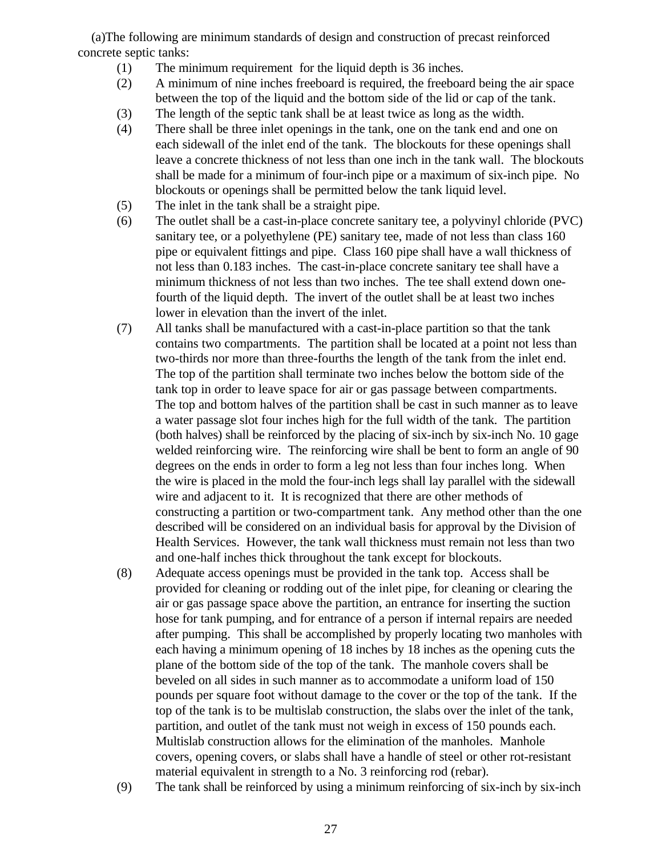(a)The following are minimum standards of design and construction of precast reinforced concrete septic tanks:

- (1) The minimum requirement for the liquid depth is 36 inches.
- (2) A minimum of nine inches freeboard is required, the freeboard being the air space between the top of the liquid and the bottom side of the lid or cap of the tank.
- (3) The length of the septic tank shall be at least twice as long as the width.
- (4) There shall be three inlet openings in the tank, one on the tank end and one on each sidewall of the inlet end of the tank. The blockouts for these openings shall leave a concrete thickness of not less than one inch in the tank wall. The blockouts shall be made for a minimum of four-inch pipe or a maximum of six-inch pipe. No blockouts or openings shall be permitted below the tank liquid level.
- (5) The inlet in the tank shall be a straight pipe.
- (6) The outlet shall be a cast-in-place concrete sanitary tee, a polyvinyl chloride (PVC) sanitary tee, or a polyethylene (PE) sanitary tee, made of not less than class 160 pipe or equivalent fittings and pipe. Class 160 pipe shall have a wall thickness of not less than 0.183 inches. The cast-in-place concrete sanitary tee shall have a minimum thickness of not less than two inches. The tee shall extend down onefourth of the liquid depth. The invert of the outlet shall be at least two inches lower in elevation than the invert of the inlet.
- (7) All tanks shall be manufactured with a cast-in-place partition so that the tank contains two compartments. The partition shall be located at a point not less than two-thirds nor more than three-fourths the length of the tank from the inlet end. The top of the partition shall terminate two inches below the bottom side of the tank top in order to leave space for air or gas passage between compartments. The top and bottom halves of the partition shall be cast in such manner as to leave a water passage slot four inches high for the full width of the tank. The partition (both halves) shall be reinforced by the placing of six-inch by six-inch No. 10 gage welded reinforcing wire. The reinforcing wire shall be bent to form an angle of 90 degrees on the ends in order to form a leg not less than four inches long. When the wire is placed in the mold the four-inch legs shall lay parallel with the sidewall wire and adjacent to it. It is recognized that there are other methods of constructing a partition or two-compartment tank. Any method other than the one described will be considered on an individual basis for approval by the Division of Health Services. However, the tank wall thickness must remain not less than two and one-half inches thick throughout the tank except for blockouts.
- (8) Adequate access openings must be provided in the tank top. Access shall be provided for cleaning or rodding out of the inlet pipe, for cleaning or clearing the air or gas passage space above the partition, an entrance for inserting the suction hose for tank pumping, and for entrance of a person if internal repairs are needed after pumping. This shall be accomplished by properly locating two manholes with each having a minimum opening of 18 inches by 18 inches as the opening cuts the plane of the bottom side of the top of the tank. The manhole covers shall be beveled on all sides in such manner as to accommodate a uniform load of 150 pounds per square foot without damage to the cover or the top of the tank. If the top of the tank is to be multislab construction, the slabs over the inlet of the tank, partition, and outlet of the tank must not weigh in excess of 150 pounds each. Multislab construction allows for the elimination of the manholes. Manhole covers, opening covers, or slabs shall have a handle of steel or other rot-resistant material equivalent in strength to a No. 3 reinforcing rod (rebar).
- (9) The tank shall be reinforced by using a minimum reinforcing of six-inch by six-inch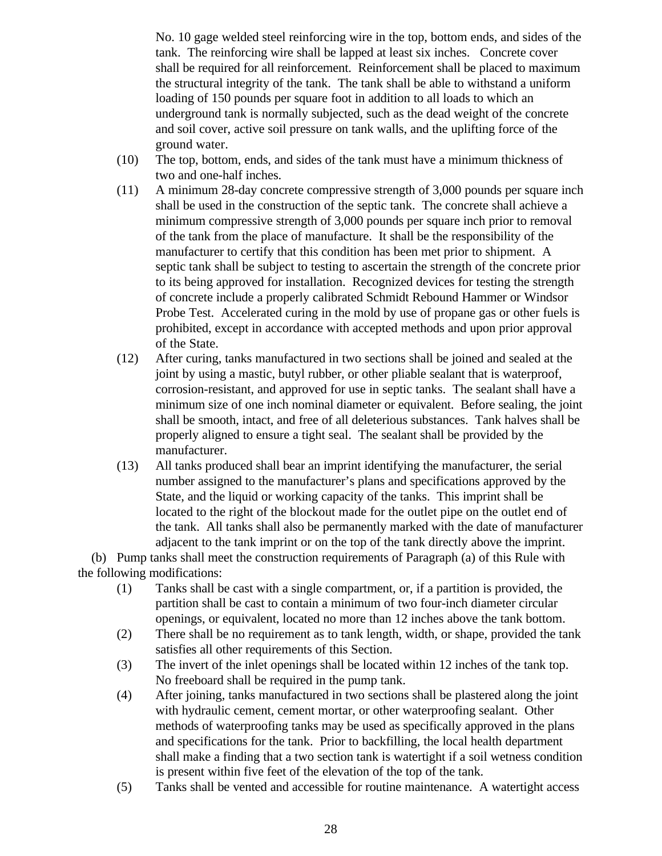No. 10 gage welded steel reinforcing wire in the top, bottom ends, and sides of the tank. The reinforcing wire shall be lapped at least six inches. Concrete cover shall be required for all reinforcement. Reinforcement shall be placed to maximum the structural integrity of the tank. The tank shall be able to withstand a uniform loading of 150 pounds per square foot in addition to all loads to which an underground tank is normally subjected, such as the dead weight of the concrete and soil cover, active soil pressure on tank walls, and the uplifting force of the ground water.

- (10) The top, bottom, ends, and sides of the tank must have a minimum thickness of two and one-half inches.
- (11) A minimum 28-day concrete compressive strength of 3,000 pounds per square inch shall be used in the construction of the septic tank. The concrete shall achieve a minimum compressive strength of 3,000 pounds per square inch prior to removal of the tank from the place of manufacture. It shall be the responsibility of the manufacturer to certify that this condition has been met prior to shipment. A septic tank shall be subject to testing to ascertain the strength of the concrete prior to its being approved for installation. Recognized devices for testing the strength of concrete include a properly calibrated Schmidt Rebound Hammer or Windsor Probe Test. Accelerated curing in the mold by use of propane gas or other fuels is prohibited, except in accordance with accepted methods and upon prior approval of the State.
- (12) After curing, tanks manufactured in two sections shall be joined and sealed at the joint by using a mastic, butyl rubber, or other pliable sealant that is waterproof, corrosion-resistant, and approved for use in septic tanks. The sealant shall have a minimum size of one inch nominal diameter or equivalent. Before sealing, the joint shall be smooth, intact, and free of all deleterious substances. Tank halves shall be properly aligned to ensure a tight seal. The sealant shall be provided by the manufacturer.
- (13) All tanks produced shall bear an imprint identifying the manufacturer, the serial number assigned to the manufacturer's plans and specifications approved by the State, and the liquid or working capacity of the tanks. This imprint shall be located to the right of the blockout made for the outlet pipe on the outlet end of the tank. All tanks shall also be permanently marked with the date of manufacturer adjacent to the tank imprint or on the top of the tank directly above the imprint.

 (b) Pump tanks shall meet the construction requirements of Paragraph (a) of this Rule with the following modifications:

- (1) Tanks shall be cast with a single compartment, or, if a partition is provided, the partition shall be cast to contain a minimum of two four-inch diameter circular openings, or equivalent, located no more than 12 inches above the tank bottom.
- (2) There shall be no requirement as to tank length, width, or shape, provided the tank satisfies all other requirements of this Section.
- (3) The invert of the inlet openings shall be located within 12 inches of the tank top. No freeboard shall be required in the pump tank.
- (4) After joining, tanks manufactured in two sections shall be plastered along the joint with hydraulic cement, cement mortar, or other waterproofing sealant. Other methods of waterproofing tanks may be used as specifically approved in the plans and specifications for the tank. Prior to backfilling, the local health department shall make a finding that a two section tank is watertight if a soil wetness condition is present within five feet of the elevation of the top of the tank.
- (5) Tanks shall be vented and accessible for routine maintenance. A watertight access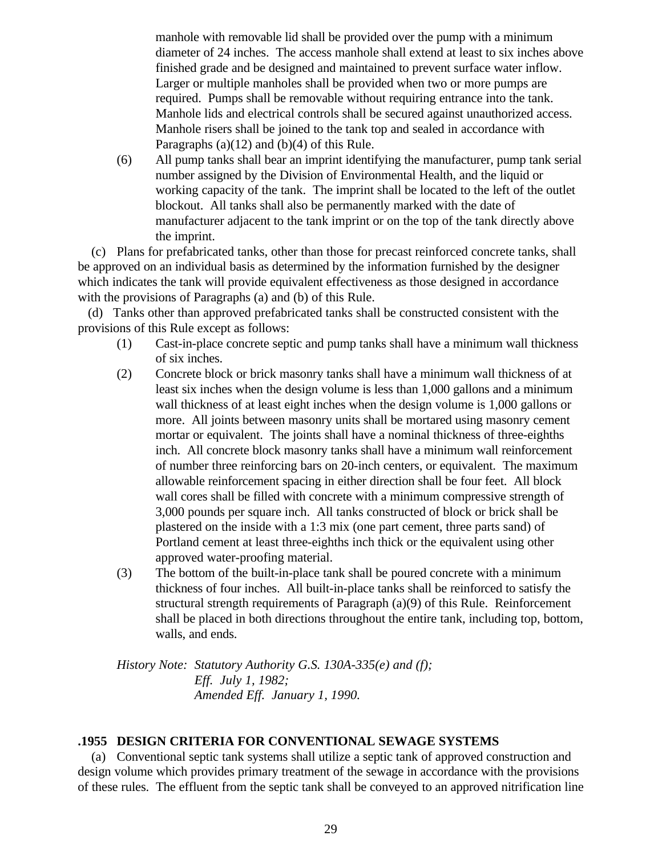manhole with removable lid shall be provided over the pump with a minimum diameter of 24 inches. The access manhole shall extend at least to six inches above finished grade and be designed and maintained to prevent surface water inflow. Larger or multiple manholes shall be provided when two or more pumps are required. Pumps shall be removable without requiring entrance into the tank. Manhole lids and electrical controls shall be secured against unauthorized access. Manhole risers shall be joined to the tank top and sealed in accordance with Paragraphs (a)(12) and (b)(4) of this Rule.

(6) All pump tanks shall bear an imprint identifying the manufacturer, pump tank serial number assigned by the Division of Environmental Health, and the liquid or working capacity of the tank. The imprint shall be located to the left of the outlet blockout. All tanks shall also be permanently marked with the date of manufacturer adjacent to the tank imprint or on the top of the tank directly above the imprint.

 (c) Plans for prefabricated tanks, other than those for precast reinforced concrete tanks, shall be approved on an individual basis as determined by the information furnished by the designer which indicates the tank will provide equivalent effectiveness as those designed in accordance with the provisions of Paragraphs (a) and (b) of this Rule.

 (d) Tanks other than approved prefabricated tanks shall be constructed consistent with the provisions of this Rule except as follows:

- (1) Cast-in-place concrete septic and pump tanks shall have a minimum wall thickness of six inches.
- (2) Concrete block or brick masonry tanks shall have a minimum wall thickness of at least six inches when the design volume is less than 1,000 gallons and a minimum wall thickness of at least eight inches when the design volume is 1,000 gallons or more. All joints between masonry units shall be mortared using masonry cement mortar or equivalent. The joints shall have a nominal thickness of three-eighths inch. All concrete block masonry tanks shall have a minimum wall reinforcement of number three reinforcing bars on 20-inch centers, or equivalent. The maximum allowable reinforcement spacing in either direction shall be four feet. All block wall cores shall be filled with concrete with a minimum compressive strength of 3,000 pounds per square inch. All tanks constructed of block or brick shall be plastered on the inside with a 1:3 mix (one part cement, three parts sand) of Portland cement at least three-eighths inch thick or the equivalent using other approved water-proofing material.
- (3) The bottom of the built-in-place tank shall be poured concrete with a minimum thickness of four inches. All built-in-place tanks shall be reinforced to satisfy the structural strength requirements of Paragraph (a)(9) of this Rule. Reinforcement shall be placed in both directions throughout the entire tank, including top, bottom, walls, and ends.

*History Note: Statutory Authority G.S. 130A-335(e) and (f); Eff. July 1, 1982; Amended Eff. January 1, 1990.*

## **.1955 DESIGN CRITERIA FOR CONVENTIONAL SEWAGE SYSTEMS**

 (a) Conventional septic tank systems shall utilize a septic tank of approved construction and design volume which provides primary treatment of the sewage in accordance with the provisions of these rules. The effluent from the septic tank shall be conveyed to an approved nitrification line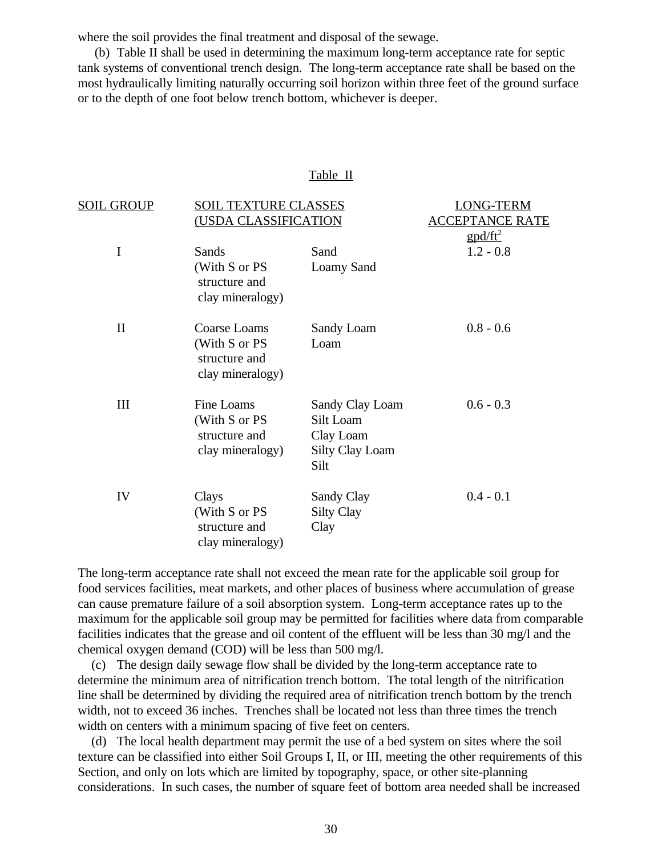where the soil provides the final treatment and disposal of the sewage.

 (b) Table II shall be used in determining the maximum long-term acceptance rate for septic tank systems of conventional trench design. The long-term acceptance rate shall be based on the most hydraulically limiting naturally occurring soil horizon within three feet of the ground surface or to the depth of one foot below trench bottom, whichever is deeper.

### Table II

| <b>SOIL GROUP</b> | SOIL TEXTURE CLASSES<br><u>(USDA CLASSIFICATION</u> |                                | ONG-TERM                      |  |
|-------------------|-----------------------------------------------------|--------------------------------|-------------------------------|--|
|                   |                                                     |                                | PT <u>ANCE RATE</u>           |  |
|                   |                                                     |                                | $\frac{g \frac{pd}{ft^2}}{h}$ |  |
| I                 | Sands                                               | Sand                           | $1.2 - 0.8$                   |  |
|                   | (With S or PS<br>structure and<br>clay mineralogy)  | Loamy Sand                     |                               |  |
| $\mathbf{I}$      | Coarse Loams                                        | Sandy Loam                     | $0.8 - 0.6$                   |  |
|                   | (With S or PS<br>structure and<br>clay mineralogy)  | Loam                           |                               |  |
| III               | Fine Loams                                          | Sandy Clay Loam                | $0.6 - 0.3$                   |  |
|                   | (With S or PS                                       | Silt Loam                      |                               |  |
|                   | structure and                                       | Clay Loam                      |                               |  |
|                   | clay mineralogy)                                    | <b>Silty Clay Loam</b><br>Silt |                               |  |
| IV                | Clays                                               | Sandy Clay                     | $0.4 - 0.1$                   |  |
|                   | (With S or PS                                       | <b>Silty Clay</b>              |                               |  |
|                   | structure and<br>clay mineralogy)                   | Clay                           |                               |  |

The long-term acceptance rate shall not exceed the mean rate for the applicable soil group for food services facilities, meat markets, and other places of business where accumulation of grease can cause premature failure of a soil absorption system. Long-term acceptance rates up to the maximum for the applicable soil group may be permitted for facilities where data from comparable facilities indicates that the grease and oil content of the effluent will be less than 30 mg/l and the chemical oxygen demand (COD) will be less than 500 mg/l.

 (c) The design daily sewage flow shall be divided by the long-term acceptance rate to determine the minimum area of nitrification trench bottom. The total length of the nitrification line shall be determined by dividing the required area of nitrification trench bottom by the trench width, not to exceed 36 inches. Trenches shall be located not less than three times the trench width on centers with a minimum spacing of five feet on centers.

 (d) The local health department may permit the use of a bed system on sites where the soil texture can be classified into either Soil Groups I, II, or III, meeting the other requirements of this Section, and only on lots which are limited by topography, space, or other site-planning considerations. In such cases, the number of square feet of bottom area needed shall be increased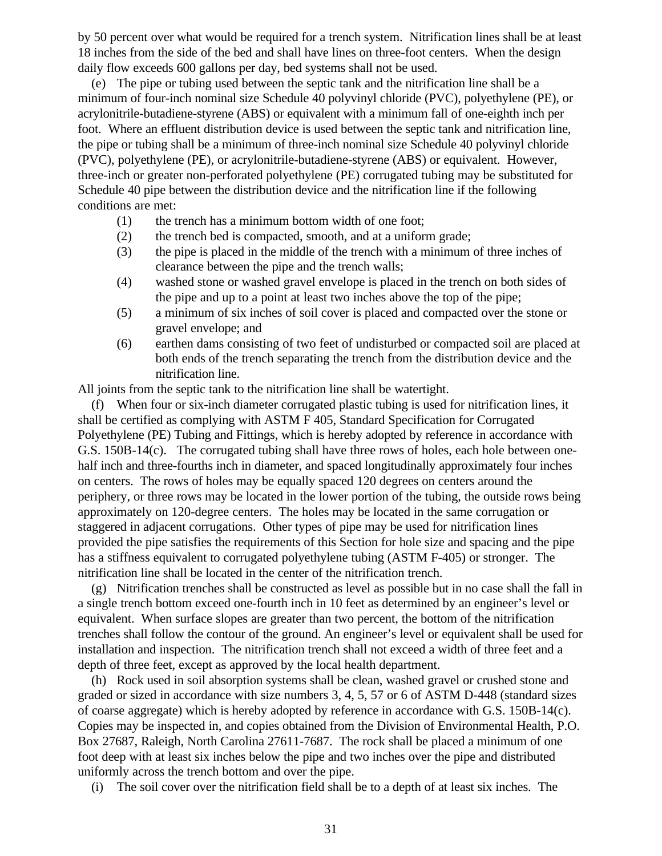by 50 percent over what would be required for a trench system. Nitrification lines shall be at least 18 inches from the side of the bed and shall have lines on three-foot centers. When the design daily flow exceeds 600 gallons per day, bed systems shall not be used.

 (e) The pipe or tubing used between the septic tank and the nitrification line shall be a minimum of four-inch nominal size Schedule 40 polyvinyl chloride (PVC), polyethylene (PE), or acrylonitrile-butadiene-styrene (ABS) or equivalent with a minimum fall of one-eighth inch per foot. Where an effluent distribution device is used between the septic tank and nitrification line, the pipe or tubing shall be a minimum of three-inch nominal size Schedule 40 polyvinyl chloride (PVC), polyethylene (PE), or acrylonitrile-butadiene-styrene (ABS) or equivalent. However, three-inch or greater non-perforated polyethylene (PE) corrugated tubing may be substituted for Schedule 40 pipe between the distribution device and the nitrification line if the following conditions are met:

- (1) the trench has a minimum bottom width of one foot;
- (2) the trench bed is compacted, smooth, and at a uniform grade;
- (3) the pipe is placed in the middle of the trench with a minimum of three inches of clearance between the pipe and the trench walls;
- (4) washed stone or washed gravel envelope is placed in the trench on both sides of the pipe and up to a point at least two inches above the top of the pipe;
- (5) a minimum of six inches of soil cover is placed and compacted over the stone or gravel envelope; and
- (6) earthen dams consisting of two feet of undisturbed or compacted soil are placed at both ends of the trench separating the trench from the distribution device and the nitrification line.

All joints from the septic tank to the nitrification line shall be watertight.

 (f) When four or six-inch diameter corrugated plastic tubing is used for nitrification lines, it shall be certified as complying with ASTM F 405, Standard Specification for Corrugated Polyethylene (PE) Tubing and Fittings, which is hereby adopted by reference in accordance with G.S. 150B-14(c). The corrugated tubing shall have three rows of holes, each hole between onehalf inch and three-fourths inch in diameter, and spaced longitudinally approximately four inches on centers. The rows of holes may be equally spaced 120 degrees on centers around the periphery, or three rows may be located in the lower portion of the tubing, the outside rows being approximately on 120-degree centers. The holes may be located in the same corrugation or staggered in adjacent corrugations. Other types of pipe may be used for nitrification lines provided the pipe satisfies the requirements of this Section for hole size and spacing and the pipe has a stiffness equivalent to corrugated polyethylene tubing (ASTM F-405) or stronger. The nitrification line shall be located in the center of the nitrification trench.

 (g) Nitrification trenches shall be constructed as level as possible but in no case shall the fall in a single trench bottom exceed one-fourth inch in 10 feet as determined by an engineer's level or equivalent. When surface slopes are greater than two percent, the bottom of the nitrification trenches shall follow the contour of the ground. An engineer's level or equivalent shall be used for installation and inspection. The nitrification trench shall not exceed a width of three feet and a depth of three feet, except as approved by the local health department.

 (h) Rock used in soil absorption systems shall be clean, washed gravel or crushed stone and graded or sized in accordance with size numbers 3, 4, 5, 57 or 6 of ASTM D-448 (standard sizes of coarse aggregate) which is hereby adopted by reference in accordance with G.S. 150B-14(c). Copies may be inspected in, and copies obtained from the Division of Environmental Health, P.O. Box 27687, Raleigh, North Carolina 27611-7687. The rock shall be placed a minimum of one foot deep with at least six inches below the pipe and two inches over the pipe and distributed uniformly across the trench bottom and over the pipe.

(i) The soil cover over the nitrification field shall be to a depth of at least six inches. The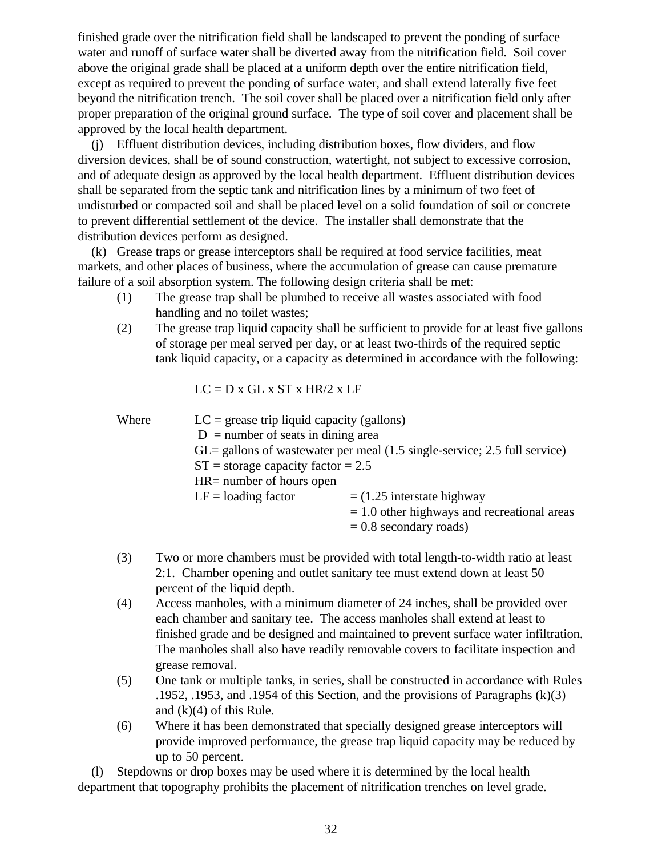finished grade over the nitrification field shall be landscaped to prevent the ponding of surface water and runoff of surface water shall be diverted away from the nitrification field. Soil cover above the original grade shall be placed at a uniform depth over the entire nitrification field, except as required to prevent the ponding of surface water, and shall extend laterally five feet beyond the nitrification trench. The soil cover shall be placed over a nitrification field only after proper preparation of the original ground surface. The type of soil cover and placement shall be approved by the local health department.

 (j) Effluent distribution devices, including distribution boxes, flow dividers, and flow diversion devices, shall be of sound construction, watertight, not subject to excessive corrosion, and of adequate design as approved by the local health department. Effluent distribution devices shall be separated from the septic tank and nitrification lines by a minimum of two feet of undisturbed or compacted soil and shall be placed level on a solid foundation of soil or concrete to prevent differential settlement of the device. The installer shall demonstrate that the distribution devices perform as designed.

 (k) Grease traps or grease interceptors shall be required at food service facilities, meat markets, and other places of business, where the accumulation of grease can cause premature failure of a soil absorption system. The following design criteria shall be met:

- (1) The grease trap shall be plumbed to receive all wastes associated with food handling and no toilet wastes;
- (2) The grease trap liquid capacity shall be sufficient to provide for at least five gallons of storage per meal served per day, or at least two-thirds of the required septic tank liquid capacity, or a capacity as determined in accordance with the following:

 $LC = D x GL x ST x HR/2 x LF$ 

| Where | $LC =$ grease trip liquid capacity (gallons)                                                   |                                               |  |  |
|-------|------------------------------------------------------------------------------------------------|-----------------------------------------------|--|--|
|       | $D =$ number of seats in dining area                                                           |                                               |  |  |
|       | $GL =$ gallons of wastewater per meal $(1.5 \text{ single-service}; 2.5 \text{ full service})$ |                                               |  |  |
|       | $ST =$ storage capacity factor = 2.5                                                           |                                               |  |  |
|       | $HR =$ number of hours open                                                                    |                                               |  |  |
|       | $LF =$ loading factor                                                                          | $=$ (1.25 interstate highway                  |  |  |
|       |                                                                                                | $= 1.0$ other highways and recreational areas |  |  |
|       |                                                                                                | $= 0.8$ secondary roads)                      |  |  |

- (3) Two or more chambers must be provided with total length-to-width ratio at least 2:1. Chamber opening and outlet sanitary tee must extend down at least 50 percent of the liquid depth.
- (4) Access manholes, with a minimum diameter of 24 inches, shall be provided over each chamber and sanitary tee. The access manholes shall extend at least to finished grade and be designed and maintained to prevent surface water infiltration. The manholes shall also have readily removable covers to facilitate inspection and grease removal.
- (5) One tank or multiple tanks, in series, shall be constructed in accordance with Rules .1952, .1953, and .1954 of this Section, and the provisions of Paragraphs (k)(3) and  $(k)(4)$  of this Rule.
- (6) Where it has been demonstrated that specially designed grease interceptors will provide improved performance, the grease trap liquid capacity may be reduced by up to 50 percent.

 (l) Stepdowns or drop boxes may be used where it is determined by the local health department that topography prohibits the placement of nitrification trenches on level grade.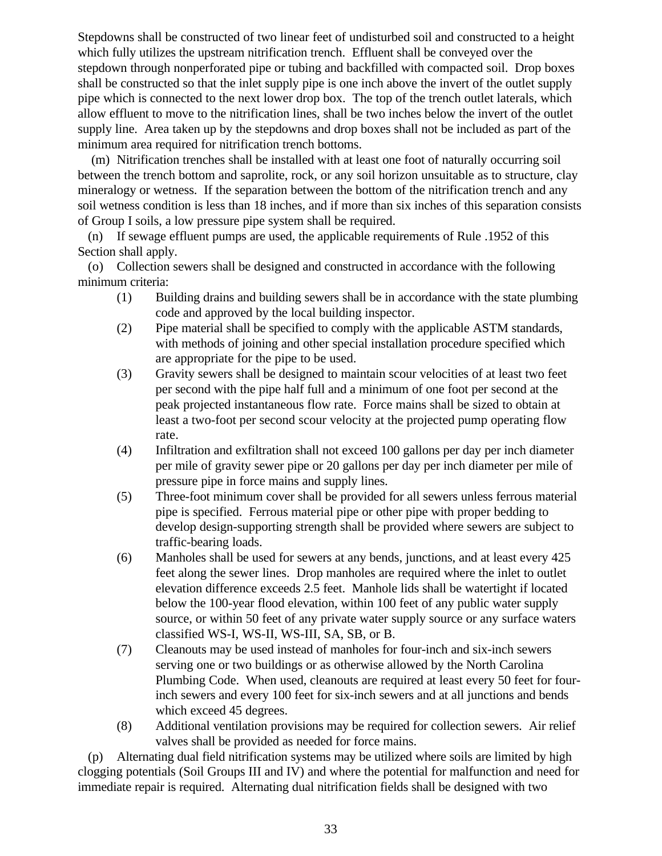Stepdowns shall be constructed of two linear feet of undisturbed soil and constructed to a height which fully utilizes the upstream nitrification trench. Effluent shall be conveyed over the stepdown through nonperforated pipe or tubing and backfilled with compacted soil. Drop boxes shall be constructed so that the inlet supply pipe is one inch above the invert of the outlet supply pipe which is connected to the next lower drop box. The top of the trench outlet laterals, which allow effluent to move to the nitrification lines, shall be two inches below the invert of the outlet supply line. Area taken up by the stepdowns and drop boxes shall not be included as part of the minimum area required for nitrification trench bottoms.

 (m) Nitrification trenches shall be installed with at least one foot of naturally occurring soil between the trench bottom and saprolite, rock, or any soil horizon unsuitable as to structure, clay mineralogy or wetness. If the separation between the bottom of the nitrification trench and any soil wetness condition is less than 18 inches, and if more than six inches of this separation consists of Group I soils, a low pressure pipe system shall be required.

 (n) If sewage effluent pumps are used, the applicable requirements of Rule .1952 of this Section shall apply.

 (o) Collection sewers shall be designed and constructed in accordance with the following minimum criteria:

- (1) Building drains and building sewers shall be in accordance with the state plumbing code and approved by the local building inspector.
- (2) Pipe material shall be specified to comply with the applicable ASTM standards, with methods of joining and other special installation procedure specified which are appropriate for the pipe to be used.
- (3) Gravity sewers shall be designed to maintain scour velocities of at least two feet per second with the pipe half full and a minimum of one foot per second at the peak projected instantaneous flow rate. Force mains shall be sized to obtain at least a two-foot per second scour velocity at the projected pump operating flow rate.
- (4) Infiltration and exfiltration shall not exceed 100 gallons per day per inch diameter per mile of gravity sewer pipe or 20 gallons per day per inch diameter per mile of pressure pipe in force mains and supply lines.
- (5) Three-foot minimum cover shall be provided for all sewers unless ferrous material pipe is specified. Ferrous material pipe or other pipe with proper bedding to develop design-supporting strength shall be provided where sewers are subject to traffic-bearing loads.
- (6) Manholes shall be used for sewers at any bends, junctions, and at least every 425 feet along the sewer lines. Drop manholes are required where the inlet to outlet elevation difference exceeds 2.5 feet. Manhole lids shall be watertight if located below the 100-year flood elevation, within 100 feet of any public water supply source, or within 50 feet of any private water supply source or any surface waters classified WS-I, WS-II, WS-III, SA, SB, or B.
- (7) Cleanouts may be used instead of manholes for four-inch and six-inch sewers serving one or two buildings or as otherwise allowed by the North Carolina Plumbing Code. When used, cleanouts are required at least every 50 feet for fourinch sewers and every 100 feet for six-inch sewers and at all junctions and bends which exceed 45 degrees.
- (8) Additional ventilation provisions may be required for collection sewers. Air relief valves shall be provided as needed for force mains.

 (p) Alternating dual field nitrification systems may be utilized where soils are limited by high clogging potentials (Soil Groups III and IV) and where the potential for malfunction and need for immediate repair is required. Alternating dual nitrification fields shall be designed with two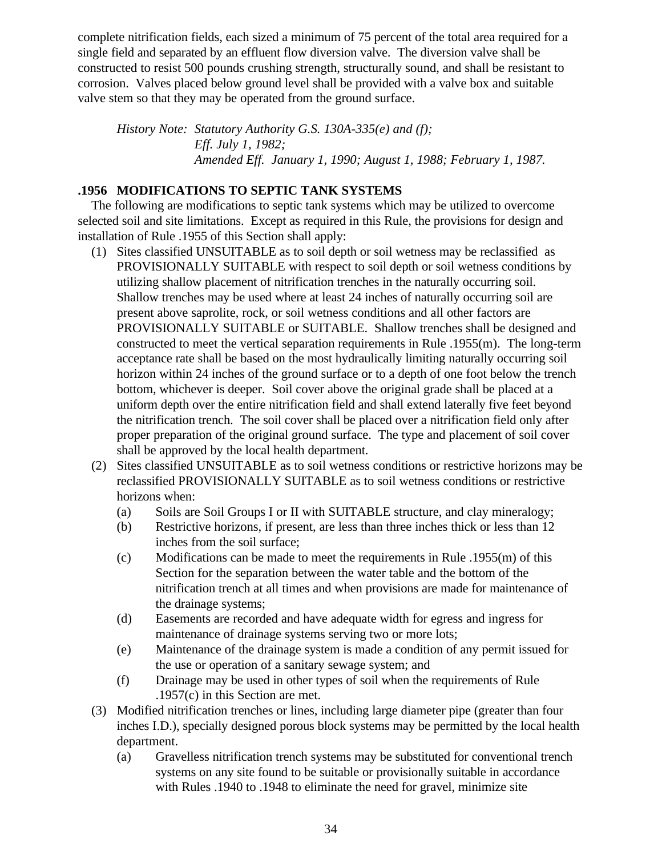complete nitrification fields, each sized a minimum of 75 percent of the total area required for a single field and separated by an effluent flow diversion valve. The diversion valve shall be constructed to resist 500 pounds crushing strength, structurally sound, and shall be resistant to corrosion. Valves placed below ground level shall be provided with a valve box and suitable valve stem so that they may be operated from the ground surface.

*History Note: Statutory Authority G.S. 130A-335(e) and (f); Eff. July 1, 1982; Amended Eff. January 1, 1990; August 1, 1988; February 1, 1987.*

# **.1956 MODIFICATIONS TO SEPTIC TANK SYSTEMS**

 The following are modifications to septic tank systems which may be utilized to overcome selected soil and site limitations. Except as required in this Rule, the provisions for design and installation of Rule .1955 of this Section shall apply:

- (1) Sites classified UNSUITABLE as to soil depth or soil wetness may be reclassified as PROVISIONALLY SUITABLE with respect to soil depth or soil wetness conditions by utilizing shallow placement of nitrification trenches in the naturally occurring soil. Shallow trenches may be used where at least 24 inches of naturally occurring soil are present above saprolite, rock, or soil wetness conditions and all other factors are PROVISIONALLY SUITABLE or SUITABLE. Shallow trenches shall be designed and constructed to meet the vertical separation requirements in Rule .1955(m). The long-term acceptance rate shall be based on the most hydraulically limiting naturally occurring soil horizon within 24 inches of the ground surface or to a depth of one foot below the trench bottom, whichever is deeper. Soil cover above the original grade shall be placed at a uniform depth over the entire nitrification field and shall extend laterally five feet beyond the nitrification trench. The soil cover shall be placed over a nitrification field only after proper preparation of the original ground surface. The type and placement of soil cover shall be approved by the local health department.
- (2) Sites classified UNSUITABLE as to soil wetness conditions or restrictive horizons may be reclassified PROVISIONALLY SUITABLE as to soil wetness conditions or restrictive horizons when:
	- (a) Soils are Soil Groups I or II with SUITABLE structure, and clay mineralogy;
	- (b) Restrictive horizons, if present, are less than three inches thick or less than 12 inches from the soil surface;
	- (c) Modifications can be made to meet the requirements in Rule .1955(m) of this Section for the separation between the water table and the bottom of the nitrification trench at all times and when provisions are made for maintenance of the drainage systems;
	- (d) Easements are recorded and have adequate width for egress and ingress for maintenance of drainage systems serving two or more lots;
	- (e) Maintenance of the drainage system is made a condition of any permit issued for the use or operation of a sanitary sewage system; and
	- (f) Drainage may be used in other types of soil when the requirements of Rule .1957(c) in this Section are met.
- (3) Modified nitrification trenches or lines, including large diameter pipe (greater than four inches I.D.), specially designed porous block systems may be permitted by the local health department.
	- (a) Gravelless nitrification trench systems may be substituted for conventional trench systems on any site found to be suitable or provisionally suitable in accordance with Rules .1940 to .1948 to eliminate the need for gravel, minimize site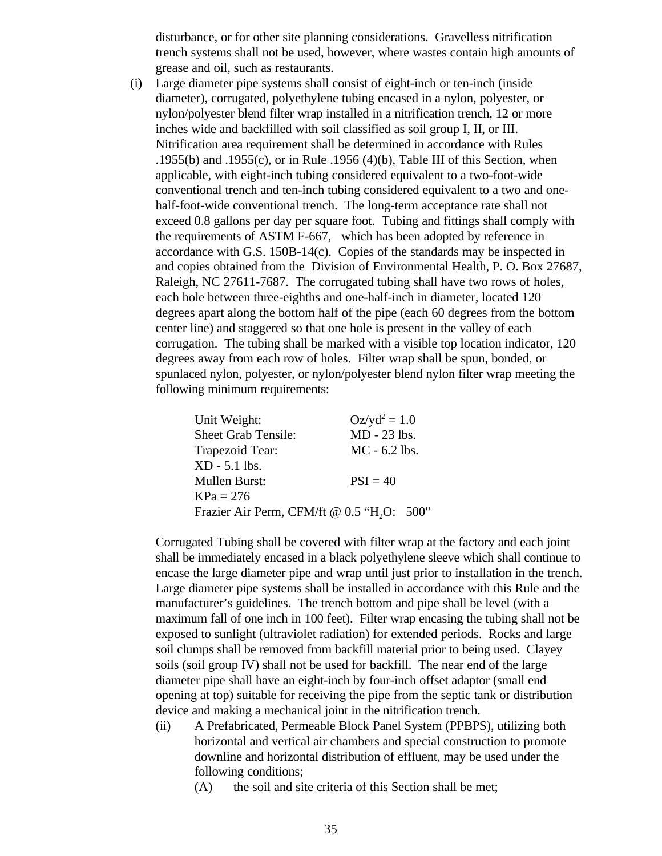disturbance, or for other site planning considerations. Gravelless nitrification trench systems shall not be used, however, where wastes contain high amounts of grease and oil, such as restaurants.

 (i) Large diameter pipe systems shall consist of eight-inch or ten-inch (inside diameter), corrugated, polyethylene tubing encased in a nylon, polyester, or nylon/polyester blend filter wrap installed in a nitrification trench, 12 or more inches wide and backfilled with soil classified as soil group I, II, or III. Nitrification area requirement shall be determined in accordance with Rules .1955(b) and .1955(c), or in Rule .1956 (4)(b), Table III of this Section, when applicable, with eight-inch tubing considered equivalent to a two-foot-wide conventional trench and ten-inch tubing considered equivalent to a two and onehalf-foot-wide conventional trench. The long-term acceptance rate shall not exceed 0.8 gallons per day per square foot. Tubing and fittings shall comply with the requirements of ASTM F-667, which has been adopted by reference in accordance with G.S.  $150B-14(c)$ . Copies of the standards may be inspected in and copies obtained from the Division of Environmental Health, P. O. Box 27687, Raleigh, NC 27611-7687. The corrugated tubing shall have two rows of holes, each hole between three-eighths and one-half-inch in diameter, located 120 degrees apart along the bottom half of the pipe (each 60 degrees from the bottom center line) and staggered so that one hole is present in the valley of each corrugation. The tubing shall be marked with a visible top location indicator, 120 degrees away from each row of holes. Filter wrap shall be spun, bonded, or spunlaced nylon, polyester, or nylon/polyester blend nylon filter wrap meeting the following minimum requirements:

| $Oz/yd^2 = 1.0$                                        |
|--------------------------------------------------------|
| $MD - 23$ lbs.                                         |
| $MC - 6.2$ lbs.                                        |
|                                                        |
| $PSI = 40$                                             |
|                                                        |
| Frazier Air Perm, CFM/ft @ 0.5 "H <sub>2</sub> O: 500" |
|                                                        |

Corrugated Tubing shall be covered with filter wrap at the factory and each joint shall be immediately encased in a black polyethylene sleeve which shall continue to encase the large diameter pipe and wrap until just prior to installation in the trench. Large diameter pipe systems shall be installed in accordance with this Rule and the manufacturer's guidelines. The trench bottom and pipe shall be level (with a maximum fall of one inch in 100 feet). Filter wrap encasing the tubing shall not be exposed to sunlight (ultraviolet radiation) for extended periods. Rocks and large soil clumps shall be removed from backfill material prior to being used. Clayey soils (soil group IV) shall not be used for backfill. The near end of the large diameter pipe shall have an eight-inch by four-inch offset adaptor (small end opening at top) suitable for receiving the pipe from the septic tank or distribution device and making a mechanical joint in the nitrification trench.

- (ii) A Prefabricated, Permeable Block Panel System (PPBPS), utilizing both horizontal and vertical air chambers and special construction to promote downline and horizontal distribution of effluent, may be used under the following conditions;
	- (A) the soil and site criteria of this Section shall be met;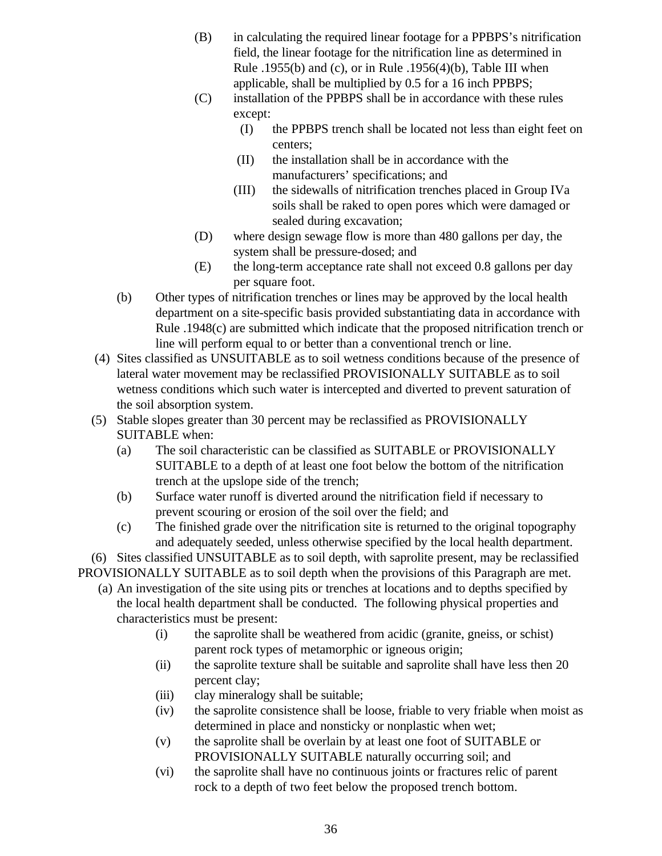- (B) in calculating the required linear footage for a PPBPS's nitrification field, the linear footage for the nitrification line as determined in Rule  $.1955(b)$  and (c), or in Rule  $.1956(4)(b)$ , Table III when applicable, shall be multiplied by 0.5 for a 16 inch PPBPS;
- (C) installation of the PPBPS shall be in accordance with these rules except:
	- (I) the PPBPS trench shall be located not less than eight feet on centers;
	- (II) the installation shall be in accordance with the manufacturers' specifications; and
	- (III) the sidewalls of nitrification trenches placed in Group IVa soils shall be raked to open pores which were damaged or sealed during excavation;
- (D) where design sewage flow is more than 480 gallons per day, the system shall be pressure-dosed; and
- (E) the long-term acceptance rate shall not exceed 0.8 gallons per day per square foot.
- (b) Other types of nitrification trenches or lines may be approved by the local health department on a site-specific basis provided substantiating data in accordance with Rule .1948(c) are submitted which indicate that the proposed nitrification trench or line will perform equal to or better than a conventional trench or line.
- (4) Sites classified as UNSUITABLE as to soil wetness conditions because of the presence of lateral water movement may be reclassified PROVISIONALLY SUITABLE as to soil wetness conditions which such water is intercepted and diverted to prevent saturation of the soil absorption system.
- (5) Stable slopes greater than 30 percent may be reclassified as PROVISIONALLY SUITABLE when:
	- (a) The soil characteristic can be classified as SUITABLE or PROVISIONALLY SUITABLE to a depth of at least one foot below the bottom of the nitrification trench at the upslope side of the trench;
	- (b) Surface water runoff is diverted around the nitrification field if necessary to prevent scouring or erosion of the soil over the field; and
	- (c) The finished grade over the nitrification site is returned to the original topography and adequately seeded, unless otherwise specified by the local health department.

 (6) Sites classified UNSUITABLE as to soil depth, with saprolite present, may be reclassified PROVISIONALLY SUITABLE as to soil depth when the provisions of this Paragraph are met.

- (a) An investigation of the site using pits or trenches at locations and to depths specified by the local health department shall be conducted. The following physical properties and characteristics must be present:
	- (i) the saprolite shall be weathered from acidic (granite, gneiss, or schist) parent rock types of metamorphic or igneous origin;
	- (ii) the saprolite texture shall be suitable and saprolite shall have less then 20 percent clay;
	- (iii) clay mineralogy shall be suitable;
	- (iv) the saprolite consistence shall be loose, friable to very friable when moist as determined in place and nonsticky or nonplastic when wet;
	- (v) the saprolite shall be overlain by at least one foot of SUITABLE or PROVISIONALLY SUITABLE naturally occurring soil; and
	- (vi) the saprolite shall have no continuous joints or fractures relic of parent rock to a depth of two feet below the proposed trench bottom.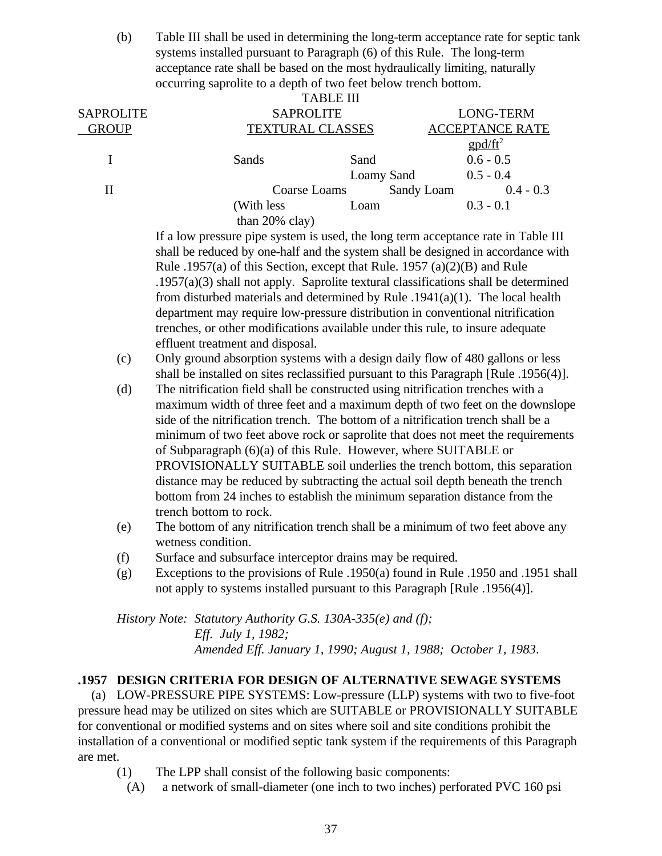(b) Table III shall be used in determining the long-term acceptance rate for septic tank systems installed pursuant to Paragraph (6) of this Rule. The long-term acceptance rate shall be based on the most hydraulically limiting, naturally occurring saprolite to a depth of two feet below trench bottom.

|                  |                         | <b>TABLE III</b> |                                                  |  |
|------------------|-------------------------|------------------|--------------------------------------------------|--|
| <b>SAPROLITE</b> | <b>SAPROLITE</b>        |                  | <b>LONG-TERM</b>                                 |  |
| <b>GROUP</b>     | <b>TEXTURAL CLASSES</b> |                  | <b>ACCEPTANCE RATE</b>                           |  |
|                  |                         |                  | $\text{g} \text{p} \text{d}/\text{f} \text{t}^2$ |  |
|                  | Sands                   | Sand             | $0.6 - 0.5$                                      |  |
|                  |                         | Loamy Sand       | $0.5 - 0.4$                                      |  |
| Н                | Coarse Loams            |                  | Sandy Loam<br>$0.4 - 0.3$                        |  |
|                  | (With less)             | Loam             | $0.3 - 0.1$                                      |  |
|                  | than $20\%$ clay)       |                  |                                                  |  |

If a low pressure pipe system is used, the long term acceptance rate in Table III shall be reduced by one-half and the system shall be designed in accordance with Rule .1957(a) of this Section, except that Rule. 1957 (a)(2)(B) and Rule .1957(a)(3) shall not apply. Saprolite textural classifications shall be determined from disturbed materials and determined by Rule .1941(a)(1). The local health department may require low-pressure distribution in conventional nitrification trenches, or other modifications available under this rule, to insure adequate effluent treatment and disposal.

- (c) Only ground absorption systems with a design daily flow of 480 gallons or less shall be installed on sites reclassified pursuant to this Paragraph [Rule .1956(4)].
- (d) The nitrification field shall be constructed using nitrification trenches with a maximum width of three feet and a maximum depth of two feet on the downslope side of the nitrification trench. The bottom of a nitrification trench shall be a minimum of two feet above rock or saprolite that does not meet the requirements of Subparagraph (6)(a) of this Rule. However, where SUITABLE or PROVISIONALLY SUITABLE soil underlies the trench bottom, this separation distance may be reduced by subtracting the actual soil depth beneath the trench bottom from 24 inches to establish the minimum separation distance from the trench bottom to rock.
- (e) The bottom of any nitrification trench shall be a minimum of two feet above any wetness condition.
- (f) Surface and subsurface interceptor drains may be required.
- (g) Exceptions to the provisions of Rule .1950(a) found in Rule .1950 and .1951 shall not apply to systems installed pursuant to this Paragraph [Rule .1956(4)].

*History Note: Statutory Authority G.S. 130A-335(e) and (f); Eff. July 1, 1982; Amended Eff. January 1, 1990; August 1, 1988; October 1, 1983*.

# **.1957 DESIGN CRITERIA FOR DESIGN OF ALTERNATIVE SEWAGE SYSTEMS**

 (a) LOW-PRESSURE PIPE SYSTEMS: Low-pressure (LLP) systems with two to five-foot pressure head may be utilized on sites which are SUITABLE or PROVISIONALLY SUITABLE for conventional or modified systems and on sites where soil and site conditions prohibit the installation of a conventional or modified septic tank system if the requirements of this Paragraph are met.

- (1) The LPP shall consist of the following basic components:
	- (A) a network of small-diameter (one inch to two inches) perforated PVC 160 psi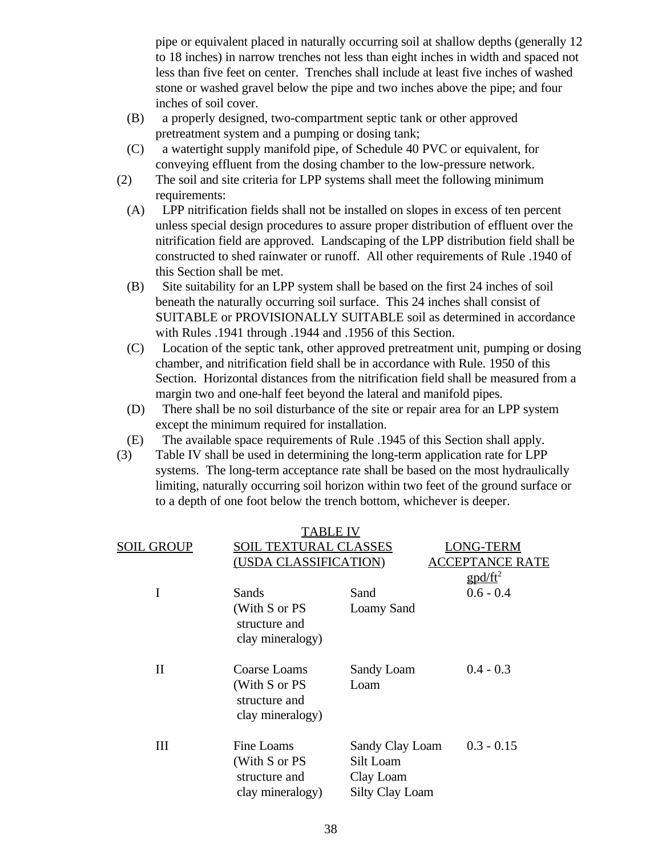pipe or equivalent placed in naturally occurring soil at shallow depths (generally 12 to 18 inches) in narrow trenches not less than eight inches in width and spaced not less than five feet on center. Trenches shall include at least five inches of washed stone or washed gravel below the pipe and two inches above the pipe; and four inches of soil cover.

- (B) a properly designed, two-compartment septic tank or other approved pretreatment system and a pumping or dosing tank;
- (C) a watertight supply manifold pipe, of Schedule 40 PVC or equivalent, for conveying effluent from the dosing chamber to the low-pressure network.
- (2) The soil and site criteria for LPP systems shall meet the following minimum requirements:
	- (A) LPP nitrification fields shall not be installed on slopes in excess of ten percent unless special design procedures to assure proper distribution of effluent over the nitrification field are approved. Landscaping of the LPP distribution field shall be constructed to shed rainwater or runoff. All other requirements of Rule .1940 of this Section shall be met.
	- (B) Site suitability for an LPP system shall be based on the first 24 inches of soil beneath the naturally occurring soil surface. This 24 inches shall consist of SUITABLE or PROVISIONALLY SUITABLE soil as determined in accordance with Rules .1941 through .1944 and .1956 of this Section.
	- (C) Location of the septic tank, other approved pretreatment unit, pumping or dosing chamber, and nitrification field shall be in accordance with Rule. 1950 of this Section. Horizontal distances from the nitrification field shall be measured from a margin two and one-half feet beyond the lateral and manifold pipes.
	- (D) There shall be no soil disturbance of the site or repair area for an LPP system except the minimum required for installation.
- (E) The available space requirements of Rule .1945 of this Section shall apply.
- (3) Table IV shall be used in determining the long-term application rate for LPP systems. The long-term acceptance rate shall be based on the most hydraulically limiting, naturally occurring soil horizon within two feet of the ground surface or to a depth of one foot below the trench bottom, whichever is deeper.

|             | TABLE                                                              |                                                                     |                                                   |
|-------------|--------------------------------------------------------------------|---------------------------------------------------------------------|---------------------------------------------------|
| SOIL GROUP  | SOIL TEXTURAL CLASSES                                              |                                                                     | <b>LONG-TERM</b>                                  |
|             | (USDA CLASSIFICATION)                                              |                                                                     | ACCEPTANCE RATE                                   |
|             |                                                                    |                                                                     | $\frac{g \text{p} d / \text{ft}^2}{g \text{p} d}$ |
| I           | Sands                                                              | Sand                                                                | $0.6 - 0.4$                                       |
|             | (With S or PS<br>structure and<br>clay mineralogy)                 | Loamy Sand                                                          |                                                   |
| $_{\rm II}$ | Coarse Loams<br>(With S or PS<br>structure and<br>clay mineralogy) | Sandy Loam<br>Loam                                                  | $0.4 - 0.3$                                       |
| Ш           | Fine Loams<br>(With S or PS<br>structure and<br>clay mineralogy)   | Sandy Clay Loam<br>Silt Loam<br>Clay Loam<br><b>Silty Clay Loam</b> | $0.3 - 0.15$                                      |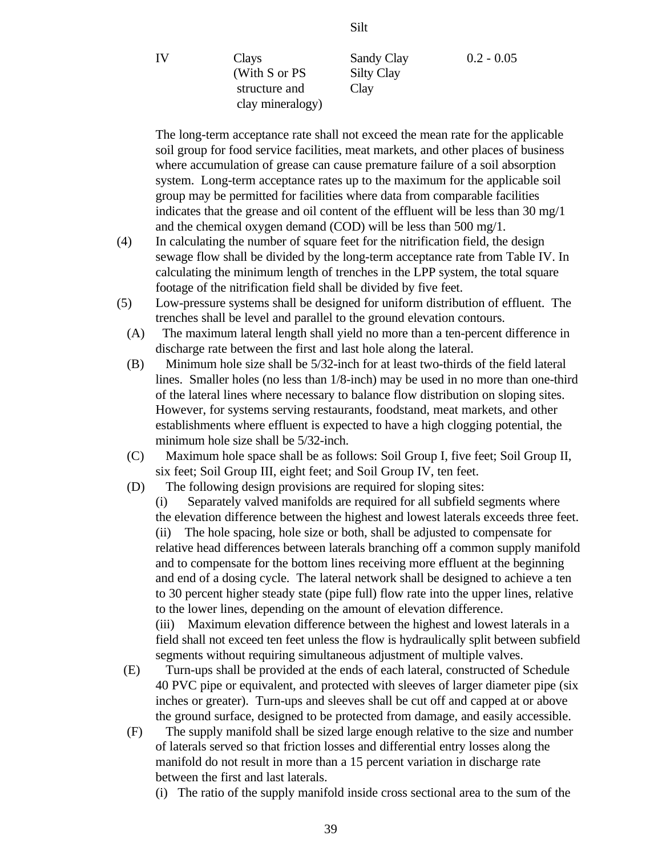IV Clays Sandy Clay 0.2 - 0.05 (With S or PS Silty Clay structure and Clay clay mineralogy)

The long-term acceptance rate shall not exceed the mean rate for the applicable soil group for food service facilities, meat markets, and other places of business where accumulation of grease can cause premature failure of a soil absorption system. Long-term acceptance rates up to the maximum for the applicable soil group may be permitted for facilities where data from comparable facilities indicates that the grease and oil content of the effluent will be less than 30 mg/1 and the chemical oxygen demand (COD) will be less than 500 mg/1.

- (4) In calculating the number of square feet for the nitrification field, the design sewage flow shall be divided by the long-term acceptance rate from Table IV. In calculating the minimum length of trenches in the LPP system, the total square footage of the nitrification field shall be divided by five feet.
- (5) Low-pressure systems shall be designed for uniform distribution of effluent. The trenches shall be level and parallel to the ground elevation contours.
	- (A) The maximum lateral length shall yield no more than a ten-percent difference in discharge rate between the first and last hole along the lateral.
	- (B) Minimum hole size shall be 5/32-inch for at least two-thirds of the field lateral lines. Smaller holes (no less than 1/8-inch) may be used in no more than one-third of the lateral lines where necessary to balance flow distribution on sloping sites. However, for systems serving restaurants, foodstand, meat markets, and other establishments where effluent is expected to have a high clogging potential, the minimum hole size shall be 5/32-inch.
	- (C) Maximum hole space shall be as follows: Soil Group I, five feet; Soil Group II, six feet; Soil Group III, eight feet; and Soil Group IV, ten feet.
	- (D) The following design provisions are required for sloping sites:

(i) Separately valved manifolds are required for all subfield segments where the elevation difference between the highest and lowest laterals exceeds three feet. (ii) The hole spacing, hole size or both, shall be adjusted to compensate for relative head differences between laterals branching off a common supply manifold and to compensate for the bottom lines receiving more effluent at the beginning and end of a dosing cycle. The lateral network shall be designed to achieve a ten to 30 percent higher steady state (pipe full) flow rate into the upper lines, relative to the lower lines, depending on the amount of elevation difference.

(iii) Maximum elevation difference between the highest and lowest laterals in a field shall not exceed ten feet unless the flow is hydraulically split between subfield segments without requiring simultaneous adjustment of multiple valves.

- (E) Turn-ups shall be provided at the ends of each lateral, constructed of Schedule 40 PVC pipe or equivalent, and protected with sleeves of larger diameter pipe (six inches or greater). Turn-ups and sleeves shall be cut off and capped at or above the ground surface, designed to be protected from damage, and easily accessible.
- (F) The supply manifold shall be sized large enough relative to the size and number of laterals served so that friction losses and differential entry losses along the manifold do not result in more than a 15 percent variation in discharge rate between the first and last laterals.

(i) The ratio of the supply manifold inside cross sectional area to the sum of the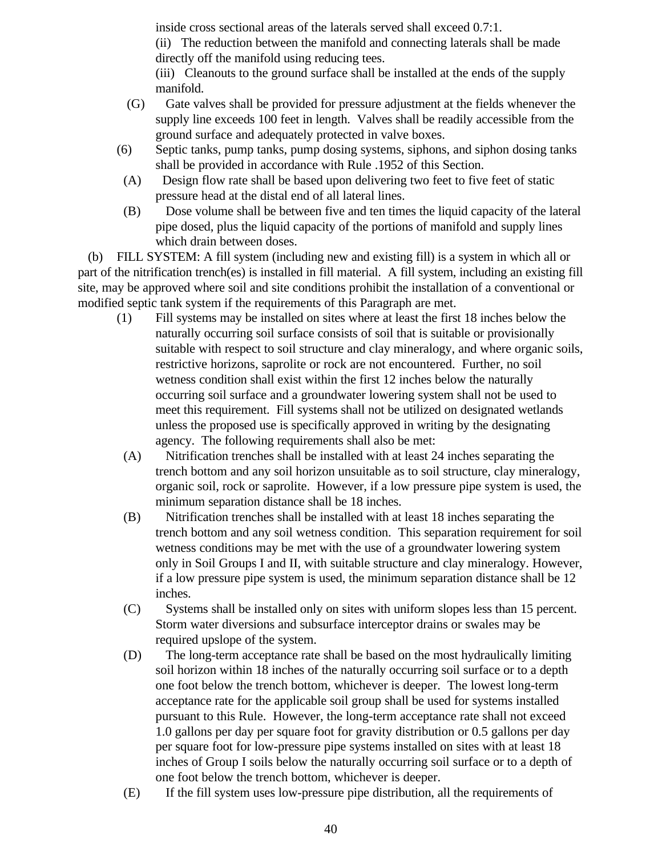inside cross sectional areas of the laterals served shall exceed 0.7:1.

(ii) The reduction between the manifold and connecting laterals shall be made directly off the manifold using reducing tees.

(iii) Cleanouts to the ground surface shall be installed at the ends of the supply manifold.

- (G) Gate valves shall be provided for pressure adjustment at the fields whenever the supply line exceeds 100 feet in length. Valves shall be readily accessible from the ground surface and adequately protected in valve boxes.
- (6) Septic tanks, pump tanks, pump dosing systems, siphons, and siphon dosing tanks shall be provided in accordance with Rule .1952 of this Section.
- (A) Design flow rate shall be based upon delivering two feet to five feet of static pressure head at the distal end of all lateral lines.
- (B) Dose volume shall be between five and ten times the liquid capacity of the lateral pipe dosed, plus the liquid capacity of the portions of manifold and supply lines which drain between doses.

 (b) FILL SYSTEM: A fill system (including new and existing fill) is a system in which all or part of the nitrification trench(es) is installed in fill material. A fill system, including an existing fill site, may be approved where soil and site conditions prohibit the installation of a conventional or modified septic tank system if the requirements of this Paragraph are met.

- (1) Fill systems may be installed on sites where at least the first 18 inches below the naturally occurring soil surface consists of soil that is suitable or provisionally suitable with respect to soil structure and clay mineralogy, and where organic soils, restrictive horizons, saprolite or rock are not encountered. Further, no soil wetness condition shall exist within the first 12 inches below the naturally occurring soil surface and a groundwater lowering system shall not be used to meet this requirement. Fill systems shall not be utilized on designated wetlands unless the proposed use is specifically approved in writing by the designating agency. The following requirements shall also be met:
- (A) Nitrification trenches shall be installed with at least 24 inches separating the trench bottom and any soil horizon unsuitable as to soil structure, clay mineralogy, organic soil, rock or saprolite. However, if a low pressure pipe system is used, the minimum separation distance shall be 18 inches.
- (B) Nitrification trenches shall be installed with at least 18 inches separating the trench bottom and any soil wetness condition. This separation requirement for soil wetness conditions may be met with the use of a groundwater lowering system only in Soil Groups I and II, with suitable structure and clay mineralogy. However, if a low pressure pipe system is used, the minimum separation distance shall be 12 inches.
- (C) Systems shall be installed only on sites with uniform slopes less than 15 percent. Storm water diversions and subsurface interceptor drains or swales may be required upslope of the system.
- (D) The long-term acceptance rate shall be based on the most hydraulically limiting soil horizon within 18 inches of the naturally occurring soil surface or to a depth one foot below the trench bottom, whichever is deeper. The lowest long-term acceptance rate for the applicable soil group shall be used for systems installed pursuant to this Rule. However, the long-term acceptance rate shall not exceed 1.0 gallons per day per square foot for gravity distribution or 0.5 gallons per day per square foot for low-pressure pipe systems installed on sites with at least 18 inches of Group I soils below the naturally occurring soil surface or to a depth of one foot below the trench bottom, whichever is deeper.
- (E) If the fill system uses low-pressure pipe distribution, all the requirements of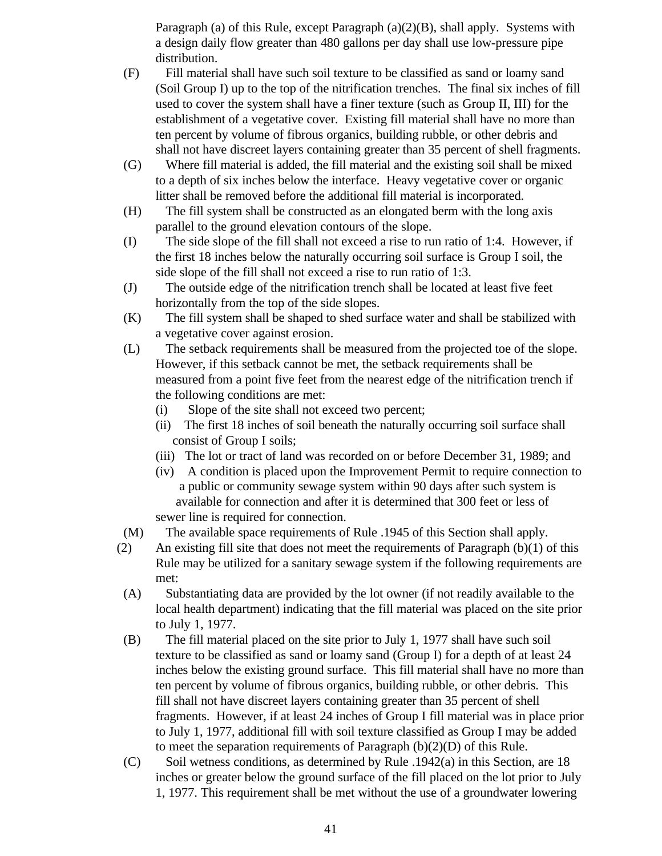Paragraph (a) of this Rule, except Paragraph  $(a)(2)(B)$ , shall apply. Systems with a design daily flow greater than 480 gallons per day shall use low-pressure pipe distribution.

- (F) Fill material shall have such soil texture to be classified as sand or loamy sand (Soil Group I) up to the top of the nitrification trenches. The final six inches of fill used to cover the system shall have a finer texture (such as Group II, III) for the establishment of a vegetative cover. Existing fill material shall have no more than ten percent by volume of fibrous organics, building rubble, or other debris and shall not have discreet layers containing greater than 35 percent of shell fragments.
- (G) Where fill material is added, the fill material and the existing soil shall be mixed to a depth of six inches below the interface. Heavy vegetative cover or organic litter shall be removed before the additional fill material is incorporated.
- (H) The fill system shall be constructed as an elongated berm with the long axis parallel to the ground elevation contours of the slope.
- (I) The side slope of the fill shall not exceed a rise to run ratio of 1:4. However, if the first 18 inches below the naturally occurring soil surface is Group I soil, the side slope of the fill shall not exceed a rise to run ratio of 1:3.
- (J) The outside edge of the nitrification trench shall be located at least five feet horizontally from the top of the side slopes.
- (K) The fill system shall be shaped to shed surface water and shall be stabilized with a vegetative cover against erosion.
- (L) The setback requirements shall be measured from the projected toe of the slope. However, if this setback cannot be met, the setback requirements shall be measured from a point five feet from the nearest edge of the nitrification trench if the following conditions are met:
	- (i) Slope of the site shall not exceed two percent;
	- (ii) The first 18 inches of soil beneath the naturally occurring soil surface shall consist of Group I soils;
	- (iii) The lot or tract of land was recorded on or before December 31, 1989; and
	- (iv) A condition is placed upon the Improvement Permit to require connection to a public or community sewage system within 90 days after such system is available for connection and after it is determined that 300 feet or less of sewer line is required for connection.
- (M) The available space requirements of Rule .1945 of this Section shall apply.
- (2) An existing fill site that does not meet the requirements of Paragraph  $(b)(1)$  of this Rule may be utilized for a sanitary sewage system if the following requirements are met:
- (A) Substantiating data are provided by the lot owner (if not readily available to the local health department) indicating that the fill material was placed on the site prior to July 1, 1977.
- (B) The fill material placed on the site prior to July 1, 1977 shall have such soil texture to be classified as sand or loamy sand (Group I) for a depth of at least 24 inches below the existing ground surface. This fill material shall have no more than ten percent by volume of fibrous organics, building rubble, or other debris. This fill shall not have discreet layers containing greater than 35 percent of shell fragments. However, if at least 24 inches of Group I fill material was in place prior to July 1, 1977, additional fill with soil texture classified as Group I may be added to meet the separation requirements of Paragraph (b)(2)(D) of this Rule.
- $(C)$  Soil wetness conditions, as determined by Rule .1942(a) in this Section, are 18 inches or greater below the ground surface of the fill placed on the lot prior to July 1, 1977. This requirement shall be met without the use of a groundwater lowering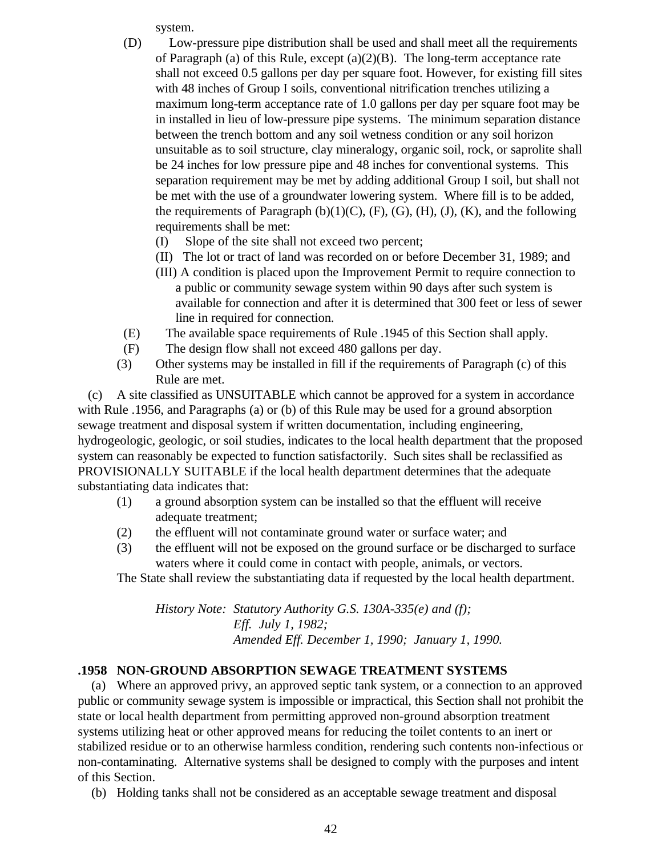system.

- (D) Low-pressure pipe distribution shall be used and shall meet all the requirements of Paragraph (a) of this Rule, except (a)(2)(B). The long-term acceptance rate shall not exceed 0.5 gallons per day per square foot. However, for existing fill sites with 48 inches of Group I soils, conventional nitrification trenches utilizing a maximum long-term acceptance rate of 1.0 gallons per day per square foot may be in installed in lieu of low-pressure pipe systems. The minimum separation distance between the trench bottom and any soil wetness condition or any soil horizon unsuitable as to soil structure, clay mineralogy, organic soil, rock, or saprolite shall be 24 inches for low pressure pipe and 48 inches for conventional systems. This separation requirement may be met by adding additional Group I soil, but shall not be met with the use of a groundwater lowering system. Where fill is to be added, the requirements of Paragraph  $(b)(1)(C)$ ,  $(F)$ ,  $(G)$ ,  $(H)$ ,  $(J)$ ,  $(K)$ , and the following requirements shall be met:
	- (I) Slope of the site shall not exceed two percent;
	- (II) The lot or tract of land was recorded on or before December 31, 1989; and
	- (III) A condition is placed upon the Improvement Permit to require connection to a public or community sewage system within 90 days after such system is available for connection and after it is determined that 300 feet or less of sewer line in required for connection.
- (E) The available space requirements of Rule .1945 of this Section shall apply.
- (F) The design flow shall not exceed 480 gallons per day.
- (3) Other systems may be installed in fill if the requirements of Paragraph (c) of this Rule are met.

 (c) A site classified as UNSUITABLE which cannot be approved for a system in accordance with Rule .1956, and Paragraphs (a) or (b) of this Rule may be used for a ground absorption sewage treatment and disposal system if written documentation, including engineering, hydrogeologic, geologic, or soil studies, indicates to the local health department that the proposed system can reasonably be expected to function satisfactorily. Such sites shall be reclassified as PROVISIONALLY SUITABLE if the local health department determines that the adequate substantiating data indicates that:

- (1) a ground absorption system can be installed so that the effluent will receive adequate treatment;
- (2) the effluent will not contaminate ground water or surface water; and
- (3) the effluent will not be exposed on the ground surface or be discharged to surface waters where it could come in contact with people, animals, or vectors.

The State shall review the substantiating data if requested by the local health department.

*History Note: Statutory Authority G.S. 130A-335(e) and (f); Eff. July 1, 1982; Amended Eff. December 1, 1990; January 1, 1990.*

# **.1958 NON-GROUND ABSORPTION SEWAGE TREATMENT SYSTEMS**

 (a) Where an approved privy, an approved septic tank system, or a connection to an approved public or community sewage system is impossible or impractical, this Section shall not prohibit the state or local health department from permitting approved non-ground absorption treatment systems utilizing heat or other approved means for reducing the toilet contents to an inert or stabilized residue or to an otherwise harmless condition, rendering such contents non-infectious or non-contaminating. Alternative systems shall be designed to comply with the purposes and intent of this Section.

(b) Holding tanks shall not be considered as an acceptable sewage treatment and disposal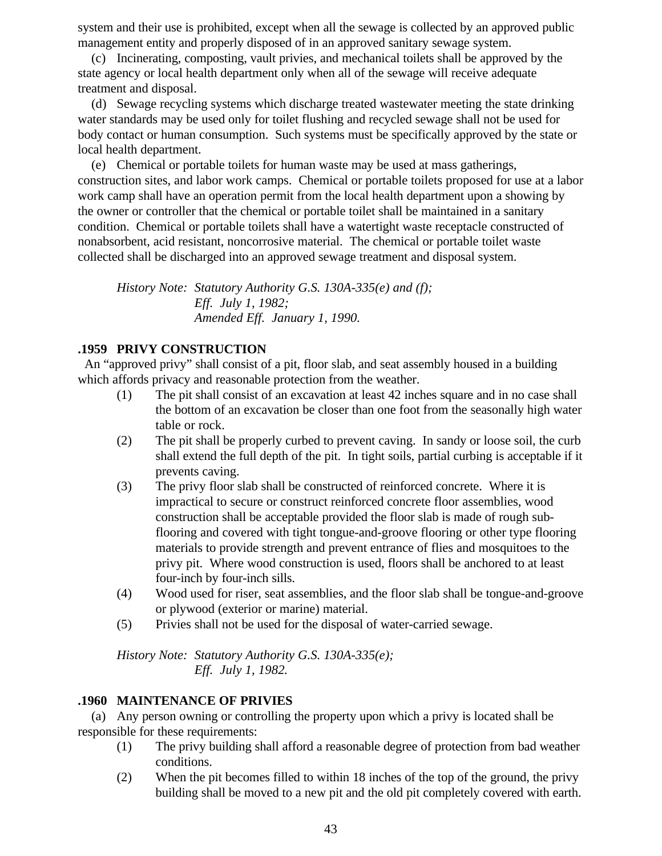system and their use is prohibited, except when all the sewage is collected by an approved public management entity and properly disposed of in an approved sanitary sewage system.

 (c) Incinerating, composting, vault privies, and mechanical toilets shall be approved by the state agency or local health department only when all of the sewage will receive adequate treatment and disposal.

 (d) Sewage recycling systems which discharge treated wastewater meeting the state drinking water standards may be used only for toilet flushing and recycled sewage shall not be used for body contact or human consumption. Such systems must be specifically approved by the state or local health department.

 (e) Chemical or portable toilets for human waste may be used at mass gatherings, construction sites, and labor work camps. Chemical or portable toilets proposed for use at a labor work camp shall have an operation permit from the local health department upon a showing by the owner or controller that the chemical or portable toilet shall be maintained in a sanitary condition. Chemical or portable toilets shall have a watertight waste receptacle constructed of nonabsorbent, acid resistant, noncorrosive material. The chemical or portable toilet waste collected shall be discharged into an approved sewage treatment and disposal system.

*History Note: Statutory Authority G.S. 130A-335(e) and (f); Eff. July 1, 1982; Amended Eff. January 1, 1990.*

## **.1959 PRIVY CONSTRUCTION**

 An "approved privy" shall consist of a pit, floor slab, and seat assembly housed in a building which affords privacy and reasonable protection from the weather.

- (1) The pit shall consist of an excavation at least 42 inches square and in no case shall the bottom of an excavation be closer than one foot from the seasonally high water table or rock.
- (2) The pit shall be properly curbed to prevent caving. In sandy or loose soil, the curb shall extend the full depth of the pit. In tight soils, partial curbing is acceptable if it prevents caving.
- (3) The privy floor slab shall be constructed of reinforced concrete. Where it is impractical to secure or construct reinforced concrete floor assemblies, wood construction shall be acceptable provided the floor slab is made of rough subflooring and covered with tight tongue-and-groove flooring or other type flooring materials to provide strength and prevent entrance of flies and mosquitoes to the privy pit. Where wood construction is used, floors shall be anchored to at least four-inch by four-inch sills.
- (4) Wood used for riser, seat assemblies, and the floor slab shall be tongue-and-groove or plywood (exterior or marine) material.
- (5) Privies shall not be used for the disposal of water-carried sewage.

*History Note: Statutory Authority G.S. 130A-335(e); Eff. July 1, 1982.*

## **.1960 MAINTENANCE OF PRIVIES**

 (a) Any person owning or controlling the property upon which a privy is located shall be responsible for these requirements:

- (1) The privy building shall afford a reasonable degree of protection from bad weather conditions.
- (2) When the pit becomes filled to within 18 inches of the top of the ground, the privy building shall be moved to a new pit and the old pit completely covered with earth.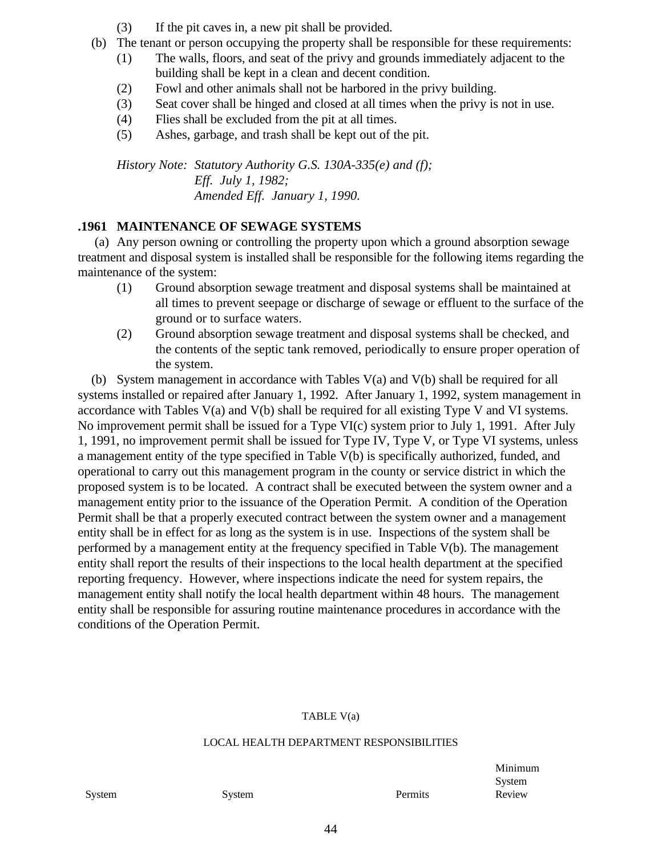- (3) If the pit caves in, a new pit shall be provided.
- (b) The tenant or person occupying the property shall be responsible for these requirements:
	- (1) The walls, floors, and seat of the privy and grounds immediately adjacent to the building shall be kept in a clean and decent condition.
	- (2) Fowl and other animals shall not be harbored in the privy building.
	- (3) Seat cover shall be hinged and closed at all times when the privy is not in use.
	- (4) Flies shall be excluded from the pit at all times.
	- (5) Ashes, garbage, and trash shall be kept out of the pit.

*History Note: Statutory Authority G.S. 130A-335(e) and (f); Eff. July 1, 1982; Amended Eff. January 1, 1990.*

## **.1961 MAINTENANCE OF SEWAGE SYSTEMS**

 (a) Any person owning or controlling the property upon which a ground absorption sewage treatment and disposal system is installed shall be responsible for the following items regarding the maintenance of the system:

- (1) Ground absorption sewage treatment and disposal systems shall be maintained at all times to prevent seepage or discharge of sewage or effluent to the surface of the ground or to surface waters.
- (2) Ground absorption sewage treatment and disposal systems shall be checked, and the contents of the septic tank removed, periodically to ensure proper operation of the system.

 (b) System management in accordance with Tables V(a) and V(b) shall be required for all systems installed or repaired after January 1, 1992. After January 1, 1992, system management in accordance with Tables V(a) and V(b) shall be required for all existing Type V and VI systems. No improvement permit shall be issued for a Type VI(c) system prior to July 1, 1991. After July 1, 1991, no improvement permit shall be issued for Type IV, Type V, or Type VI systems, unless a management entity of the type specified in Table V(b) is specifically authorized, funded, and operational to carry out this management program in the county or service district in which the proposed system is to be located. A contract shall be executed between the system owner and a management entity prior to the issuance of the Operation Permit. A condition of the Operation Permit shall be that a properly executed contract between the system owner and a management entity shall be in effect for as long as the system is in use. Inspections of the system shall be performed by a management entity at the frequency specified in Table V(b). The management entity shall report the results of their inspections to the local health department at the specified reporting frequency. However, where inspections indicate the need for system repairs, the management entity shall notify the local health department within 48 hours. The management entity shall be responsible for assuring routine maintenance procedures in accordance with the conditions of the Operation Permit.

### TABLE V(a)

#### LOCAL HEALTH DEPARTMENT RESPONSIBILITIES

Minimum System

System System System **Permits** Review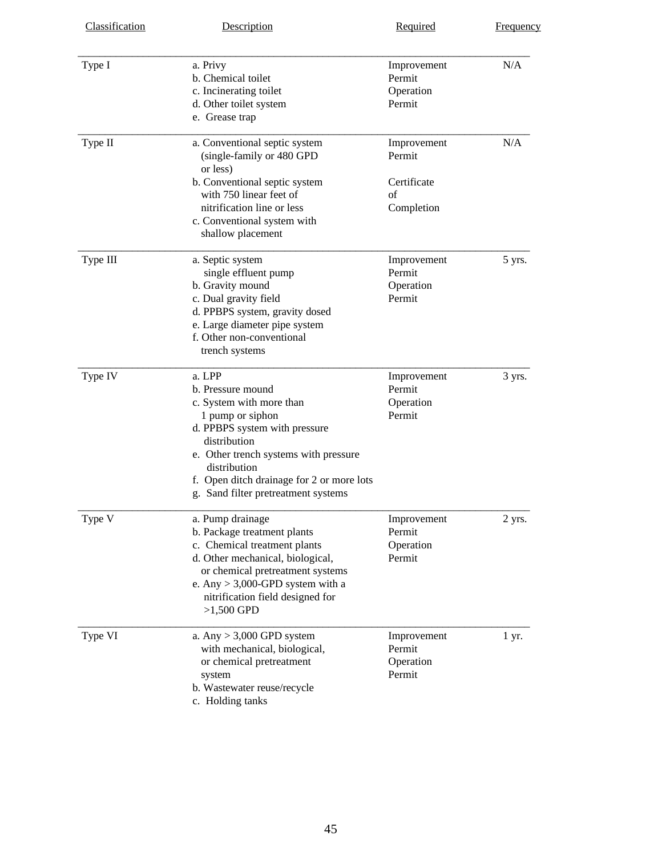| Classification | Description                                                                                                                                                                                                                                                               | Required                                                 | <b>Frequency</b> |
|----------------|---------------------------------------------------------------------------------------------------------------------------------------------------------------------------------------------------------------------------------------------------------------------------|----------------------------------------------------------|------------------|
| Type I         | a. Privy<br>b. Chemical toilet<br>c. Incinerating toilet<br>d. Other toilet system<br>e. Grease trap                                                                                                                                                                      | Improvement<br>Permit<br>Operation<br>Permit             | N/A              |
| Type II        | a. Conventional septic system<br>(single-family or 480 GPD<br>or less)<br>b. Conventional septic system<br>with 750 linear feet of<br>nitrification line or less<br>c. Conventional system with<br>shallow placement                                                      | Improvement<br>Permit<br>Certificate<br>of<br>Completion | N/A              |
| Type III       | a. Septic system<br>single effluent pump<br>b. Gravity mound<br>c. Dual gravity field<br>d. PPBPS system, gravity dosed<br>e. Large diameter pipe system<br>f. Other non-conventional<br>trench systems                                                                   | Improvement<br>Permit<br>Operation<br>Permit             | 5 yrs.           |
| Type IV        | a. LPP<br>b. Pressure mound<br>c. System with more than<br>1 pump or siphon<br>d. PPBPS system with pressure<br>distribution<br>e. Other trench systems with pressure<br>distribution<br>f. Open ditch drainage for 2 or more lots<br>g. Sand filter pretreatment systems | Improvement<br>Permit<br>Operation<br>Permit             | 3 yrs.           |
| Type V         | a. Pump drainage<br>b. Package treatment plants<br>c. Chemical treatment plants<br>d. Other mechanical, biological,<br>or chemical pretreatment systems<br>e. Any $> 3,000$ -GPD system with a<br>nitrification field designed for<br>$>1,500$ GPD                        | Improvement<br>Permit<br>Operation<br>Permit             | 2 yrs.           |
| Type VI        | a. Any $> 3,000$ GPD system<br>with mechanical, biological,<br>or chemical pretreatment<br>system<br>b. Wastewater reuse/recycle<br>c. Holding tanks                                                                                                                      | Improvement<br>Permit<br>Operation<br>Permit             | 1 yr.            |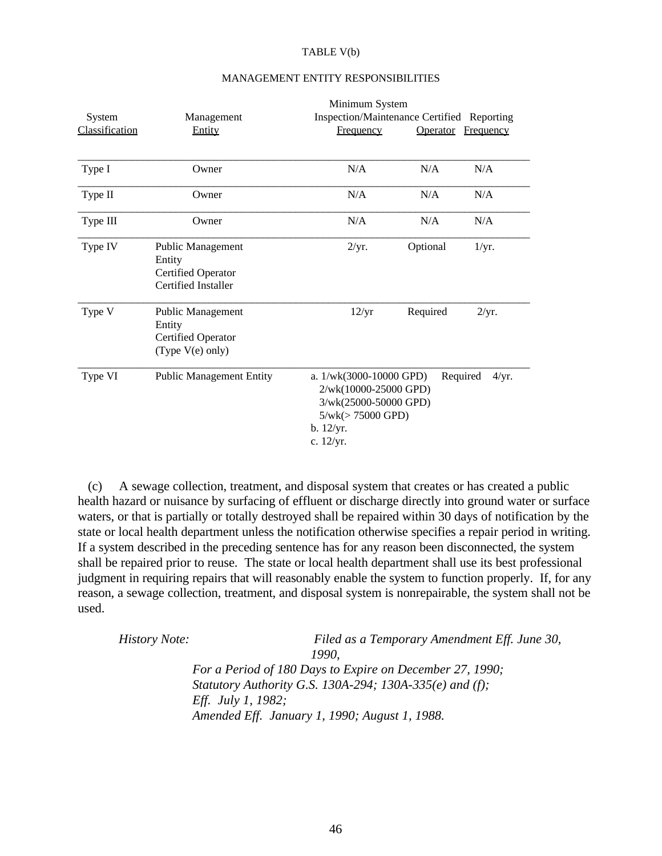#### TABLE V(b)

|                |                                                                                 |                                                                                                                               | Minimum System  |                   |  |
|----------------|---------------------------------------------------------------------------------|-------------------------------------------------------------------------------------------------------------------------------|-----------------|-------------------|--|
| System         | Management                                                                      | Inspection/Maintenance Certified Reporting                                                                                    |                 |                   |  |
| Classification | Entity                                                                          | <b>Frequency</b>                                                                                                              | <b>Operator</b> | <b>Frequency</b>  |  |
| Type I         | Owner                                                                           | N/A                                                                                                                           | N/A             | N/A               |  |
| Type II        | Owner                                                                           | N/A                                                                                                                           | N/A             | N/A               |  |
| Type III       | Owner                                                                           | N/A                                                                                                                           | N/A             | N/A               |  |
| Type IV        | Public Management<br>Entity<br><b>Certified Operator</b><br>Certified Installer | 2/yr.                                                                                                                         | Optional        | 1/yr.             |  |
| Type V         | Public Management<br>Entity<br><b>Certified Operator</b><br>(Type $V(e)$ only)  | 12/yr                                                                                                                         | Required        | 2/yr.             |  |
| Type VI        | <b>Public Management Entity</b>                                                 | a. $1/wk(3000-10000$ GPD)<br>2/wk(10000-25000 GPD)<br>3/wk(25000-50000 GPD)<br>$5/wk (> 75000$ GPD)<br>b. 12/yr.<br>c. 12/yr. |                 | Required<br>4/yr. |  |

### MANAGEMENT ENTITY RESPONSIBILITIES

 (c) A sewage collection, treatment, and disposal system that creates or has created a public health hazard or nuisance by surfacing of effluent or discharge directly into ground water or surface waters, or that is partially or totally destroyed shall be repaired within 30 days of notification by the state or local health department unless the notification otherwise specifies a repair period in writing. If a system described in the preceding sentence has for any reason been disconnected, the system shall be repaired prior to reuse. The state or local health department shall use its best professional judgment in requiring repairs that will reasonably enable the system to function properly. If, for any reason, a sewage collection, treatment, and disposal system is nonrepairable, the system shall not be used.

| <i>History Note:</i> | Filed as a Temporary Amendment Eff. June 30,             |
|----------------------|----------------------------------------------------------|
|                      | 1990.                                                    |
|                      | For a Period of 180 Days to Expire on December 27, 1990; |
|                      | Statutory Authority G.S. 130A-294; 130A-335(e) and (f);  |
|                      | <i>Eff. July 1, 1982</i> ;                               |
|                      | Amended Eff. January 1, 1990; August 1, 1988.            |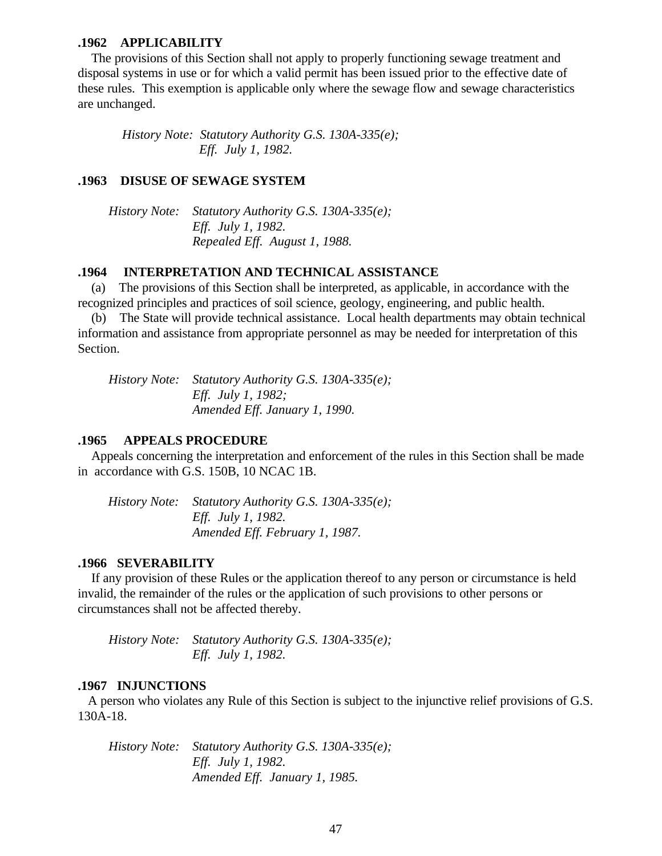### **.1962 APPLICABILITY**

 The provisions of this Section shall not apply to properly functioning sewage treatment and disposal systems in use or for which a valid permit has been issued prior to the effective date of these rules. This exemption is applicable only where the sewage flow and sewage characteristics are unchanged.

 *History Note: Statutory Authority G.S. 130A-335(e); Eff. July 1, 1982.*

### **.1963 DISUSE OF SEWAGE SYSTEM**

 *History Note: Statutory Authority G.S. 130A-335(e); Eff. July 1, 1982. Repealed Eff. August 1, 1988.*

### **.1964 INTERPRETATION AND TECHNICAL ASSISTANCE**

 (a) The provisions of this Section shall be interpreted, as applicable, in accordance with the recognized principles and practices of soil science, geology, engineering, and public health.

 (b) The State will provide technical assistance. Local health departments may obtain technical information and assistance from appropriate personnel as may be needed for interpretation of this Section.

 *History Note: Statutory Authority G.S. 130A-335(e); Eff. July 1, 1982; Amended Eff. January 1, 1990.*

### **.1965 APPEALS PROCEDURE**

 Appeals concerning the interpretation and enforcement of the rules in this Section shall be made in accordance with G.S. 150B, 10 NCAC 1B.

 *History Note: Statutory Authority G.S. 130A-335(e); Eff. July 1, 1982. Amended Eff. February 1, 1987.*

### **.1966 SEVERABILITY**

 If any provision of these Rules or the application thereof to any person or circumstance is held invalid, the remainder of the rules or the application of such provisions to other persons or circumstances shall not be affected thereby.

 *History Note: Statutory Authority G.S. 130A-335(e); Eff. July 1, 1982.*

### **.1967 INJUNCTIONS**

 A person who violates any Rule of this Section is subject to the injunctive relief provisions of G.S. 130A-18.

 *History Note: Statutory Authority G.S. 130A-335(e); Eff. July 1, 1982. Amended Eff. January 1, 1985.*